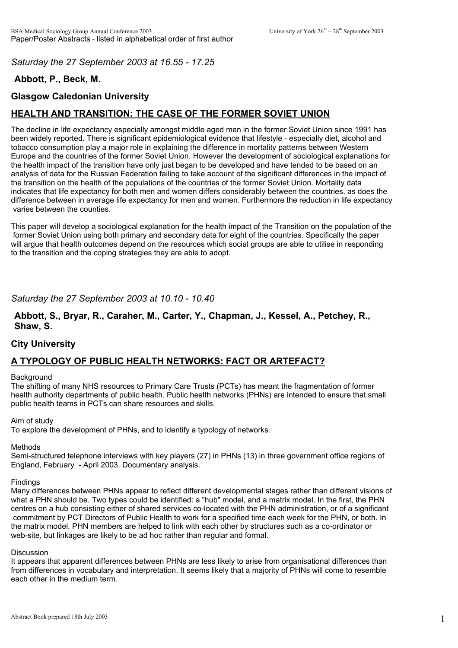*Saturday the 27 September 2003 at 16.55 - 17.25*

# **Abbott, P., Beck, M.**

## **Glasgow Caledonian University**

# **HEALTH AND TRANSITION: THE CASE OF THE FORMER SOVIET UNION**

The decline in life expectancy especially amongst middle aged men in the former Soviet Union since 1991 has been widely reported. There is significant epidemiological evidence that lifestyle - especially diet, alcohol and tobacco consumption play a major role in explaining the difference in mortality patterns between Western Europe and the countries of the former Soviet Union. However the development of sociological explanations for the health impact of the transition have only just began to be developed and have tended to be based on an analysis of data for the Russian Federation failing to take account of the significant differences in the impact of the transition on the health of the populations of the countries of the former Soviet Union. Mortality data indicates that life expectancy for both men and women differs considerably between the countries, as does the difference between in average life expectancy for men and women. Furthermore the reduction in life expectancy varies between the counties.

This paper will develop a sociological explanation for the health impact of the Transition on the population of the former Soviet Union using both primary and secondary data for eight of the countries. Specifically the paper will argue that health outcomes depend on the resources which social groups are able to utilise in responding to the transition and the coping strategies they are able to adopt.

## *Saturday the 27 September 2003 at 10.10 - 10.40*

#### **Abbott, S., Bryar, R., Caraher, M., Carter, Y., Chapman, J., Kessel, A., Petchey, R., Shaw, S.**

### **City University**

# **A TYPOLOGY OF PUBLIC HEALTH NETWORKS: FACT OR ARTEFACT?**

#### **Background**

The shifting of many NHS resources to Primary Care Trusts (PCTs) has meant the fragmentation of former health authority departments of public health. Public health networks (PHNs) are intended to ensure that small public health teams in PCTs can share resources and skills.

#### Aim of study

To explore the development of PHNs, and to identify a typology of networks.

#### Methods

Semi-structured telephone interviews with key players (27) in PHNs (13) in three government office regions of England, February - April 2003. Documentary analysis.

#### **Findings**

Many differences between PHNs appear to reflect different developmental stages rather than different visions of what a PHN should be. Two types could be identified: a "hub" model, and a matrix model. In the first, the PHN centres on a hub consisting either of shared services co-located with the PHN administration, or of a significant commitment by PCT Directors of Public Health to work for a specified time each week for the PHN, or both. In the matrix model, PHN members are helped to link with each other by structures such as a co-ordinator or web-site, but linkages are likely to be ad hoc rather than regular and formal.

#### Discussion

It appears that apparent differences between PHNs are less likely to arise from organisational differences than from differences in vocabulary and interpretation. It seems likely that a majority of PHNs will come to resemble each other in the medium term.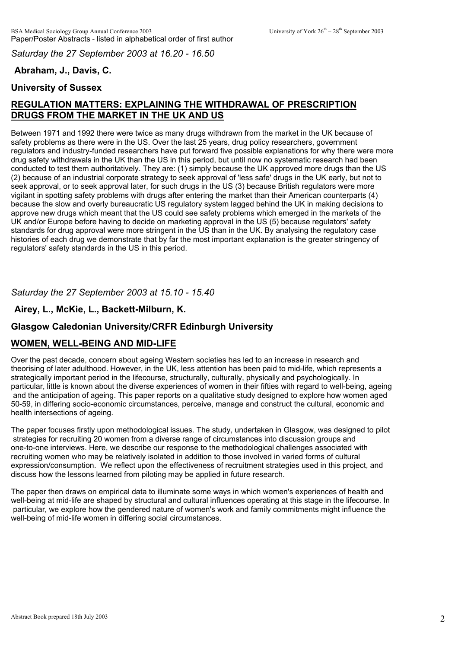*Saturday the 27 September 2003 at 16.20 - 16.50*

# **Abraham, J., Davis, C.**

# **University of Sussex**

# **REGULATION MATTERS: EXPLAINING THE WITHDRAWAL OF PRESCRIPTION DRUGS FROM THE MARKET IN THE UK AND US**

Between 1971 and 1992 there were twice as many drugs withdrawn from the market in the UK because of safety problems as there were in the US. Over the last 25 years, drug policy researchers, government regulators and industry-funded researchers have put forward five possible explanations for why there were more drug safety withdrawals in the UK than the US in this period, but until now no systematic research had been conducted to test them authoritatively. They are: (1) simply because the UK approved more drugs than the US (2) because of an industrial corporate strategy to seek approval of 'less safe' drugs in the UK early, but not to seek approval, or to seek approval later, for such drugs in the US (3) because British regulators were more vigilant in spotting safety problems with drugs after entering the market than their American counterparts (4) because the slow and overly bureaucratic US regulatory system lagged behind the UK in making decisions to approve new drugs which meant that the US could see safety problems which emerged in the markets of the UK and/or Europe before having to decide on marketing approval in the US (5) because regulators' safety standards for drug approval were more stringent in the US than in the UK. By analysing the regulatory case histories of each drug we demonstrate that by far the most important explanation is the greater stringency of regulators' safety standards in the US in this period.

# *Saturday the 27 September 2003 at 15.10 - 15.40*

# **Airey, L., McKie, L., Backett-Milburn, K.**

## **Glasgow Caledonian University/CRFR Edinburgh University**

### **WOMEN, WELL-BEING AND MID-LIFE**

Over the past decade, concern about ageing Western societies has led to an increase in research and theorising of later adulthood. However, in the UK, less attention has been paid to mid-life, which represents a strategically important period in the lifecourse, structurally, culturally, physically and psychologically. In particular, little is known about the diverse experiences of women in their fifties with regard to well-being, ageing and the anticipation of ageing. This paper reports on a qualitative study designed to explore how women aged 50-59, in differing socio-economic circumstances, perceive, manage and construct the cultural, economic and health intersections of ageing.

The paper focuses firstly upon methodological issues. The study, undertaken in Glasgow, was designed to pilot strategies for recruiting 20 women from a diverse range of circumstances into discussion groups and one-to-one interviews. Here, we describe our response to the methodological challenges associated with recruiting women who may be relatively isolated in addition to those involved in varied forms of cultural expression/consumption. We reflect upon the effectiveness of recruitment strategies used in this project, and discuss how the lessons learned from piloting may be applied in future research.

The paper then draws on empirical data to illuminate some ways in which women's experiences of health and well-being at mid-life are shaped by structural and cultural influences operating at this stage in the lifecourse. In particular, we explore how the gendered nature of women's work and family commitments might influence the well-being of mid-life women in differing social circumstances.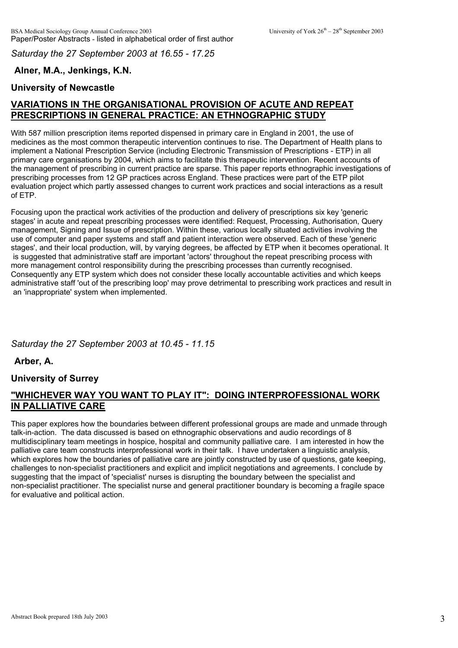*Saturday the 27 September 2003 at 16.55 - 17.25*

# **Alner, M.A., Jenkings, K.N.**

# **University of Newcastle**

# **VARIATIONS IN THE ORGANISATIONAL PROVISION OF ACUTE AND REPEAT PRESCRIPTIONS IN GENERAL PRACTICE: AN ETHNOGRAPHIC STUDY**

With 587 million prescription items reported dispensed in primary care in England in 2001, the use of medicines as the most common therapeutic intervention continues to rise. The Department of Health plans to implement a National Prescription Service (including Electronic Transmission of Prescriptions - ETP) in all primary care organisations by 2004, which aims to facilitate this therapeutic intervention. Recent accounts of the management of prescribing in current practice are sparse. This paper reports ethnographic investigations of prescribing processes from 12 GP practices across England. These practices were part of the ETP pilot evaluation project which partly assessed changes to current work practices and social interactions as a result of ETP.

Focusing upon the practical work activities of the production and delivery of prescriptions six key 'generic stages' in acute and repeat prescribing processes were identified: Request, Processing, Authorisation, Query management, Signing and Issue of prescription. Within these, various locally situated activities involving the use of computer and paper systems and staff and patient interaction were observed. Each of these 'generic stages', and their local production, will, by varying degrees, be affected by ETP when it becomes operational. It is suggested that administrative staff are important 'actors' throughout the repeat prescribing process with more management control responsibility during the prescribing processes than currently recognised. Consequently any ETP system which does not consider these locally accountable activities and which keeps administrative staff 'out of the prescribing loop' may prove detrimental to prescribing work practices and result in an 'inappropriate' system when implemented.

### *Saturday the 27 September 2003 at 10.45 - 11.15*

**Arber, A.**

### **University of Surrey**

# **"WHICHEVER WAY YOU WANT TO PLAY IT": DOING INTERPROFESSIONAL WORK IN PALLIATIVE CARE**

This paper explores how the boundaries between different professional groups are made and unmade through talk-in-action. The data discussed is based on ethnographic observations and audio recordings of 8 multidisciplinary team meetings in hospice, hospital and community palliative care. I am interested in how the palliative care team constructs interprofessional work in their talk. I have undertaken a linguistic analysis, which explores how the boundaries of palliative care are jointly constructed by use of questions, gate keeping, challenges to non-specialist practitioners and explicit and implicit negotiations and agreements. I conclude by suggesting that the impact of 'specialist' nurses is disrupting the boundary between the specialist and non-specialist practitioner. The specialist nurse and general practitioner boundary is becoming a fragile space for evaluative and political action.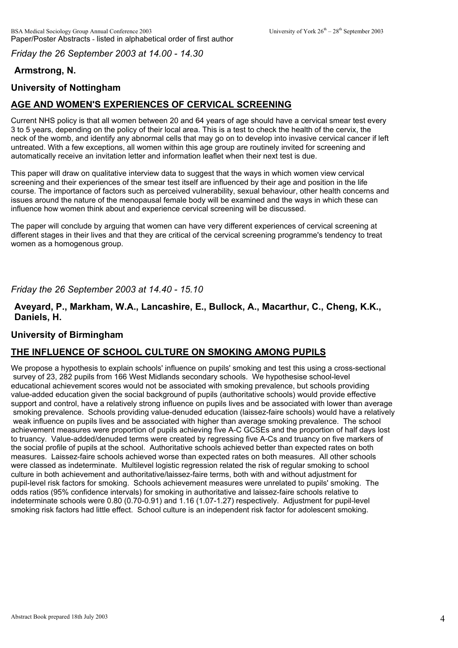*Friday the 26 September 2003 at 14.00 - 14.30*

# **Armstrong, N.**

# **University of Nottingham**

# **AGE AND WOMEN'S EXPERIENCES OF CERVICAL SCREENING**

Current NHS policy is that all women between 20 and 64 years of age should have a cervical smear test every 3 to 5 years, depending on the policy of their local area. This is a test to check the health of the cervix, the neck of the womb, and identify any abnormal cells that may go on to develop into invasive cervical cancer if left untreated. With a few exceptions, all women within this age group are routinely invited for screening and automatically receive an invitation letter and information leaflet when their next test is due.

This paper will draw on qualitative interview data to suggest that the ways in which women view cervical screening and their experiences of the smear test itself are influenced by their age and position in the life course. The importance of factors such as perceived vulnerability, sexual behaviour, other health concerns and issues around the nature of the menopausal female body will be examined and the ways in which these can influence how women think about and experience cervical screening will be discussed.

The paper will conclude by arguing that women can have very different experiences of cervical screening at different stages in their lives and that they are critical of the cervical screening programme's tendency to treat women as a homogenous group.

### *Friday the 26 September 2003 at 14.40 - 15.10*

### **Aveyard, P., Markham, W.A., Lancashire, E., Bullock, A., Macarthur, C., Cheng, K.K., Daniels, H.**

### **University of Birmingham**

### **THE INFLUENCE OF SCHOOL CULTURE ON SMOKING AMONG PUPILS**

We propose a hypothesis to explain schools' influence on pupils' smoking and test this using a cross-sectional survey of 23, 282 pupils from 166 West Midlands secondary schools. We hypothesise school-level educational achievement scores would not be associated with smoking prevalence, but schools providing value-added education given the social background of pupils (authoritative schools) would provide effective support and control, have a relatively strong influence on pupils lives and be associated with lower than average smoking prevalence. Schools providing value-denuded education (laissez-faire schools) would have a relatively weak influence on pupils lives and be associated with higher than average smoking prevalence. The school achievement measures were proportion of pupils achieving five A-C GCSEs and the proportion of half days lost to truancy. Value-added/denuded terms were created by regressing five A-Cs and truancy on five markers of the social profile of pupils at the school. Authoritative schools achieved better than expected rates on both measures. Laissez-faire schools achieved worse than expected rates on both measures. All other schools were classed as indeterminate. Multilevel logistic regression related the risk of regular smoking to school culture in both achievement and authoritative/laissez-faire terms, both with and without adjustment for pupil-level risk factors for smoking. Schools achievement measures were unrelated to pupils' smoking. The odds ratios (95% confidence intervals) for smoking in authoritative and laissez-faire schools relative to indeterminate schools were 0.80 (0.70-0.91) and 1.16 (1.07-1.27) respectively. Adjustment for pupil-level smoking risk factors had little effect. School culture is an independent risk factor for adolescent smoking.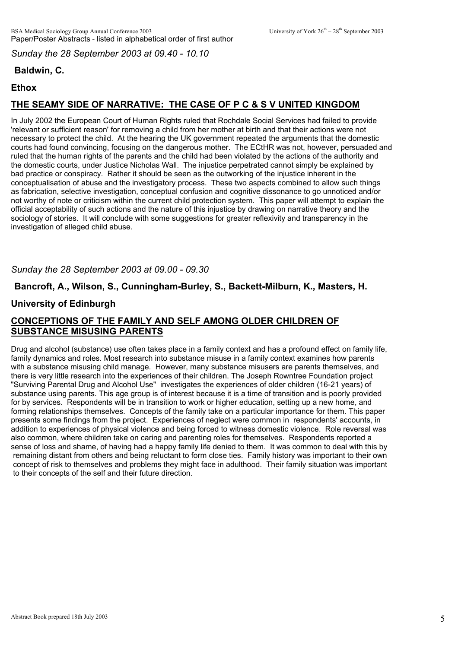*Sunday the 28 September 2003 at 09.40 - 10.10*

# **Baldwin, C.**

## **Ethox**

# **THE SEAMY SIDE OF NARRATIVE: THE CASE OF P C & S V UNITED KINGDOM**

In July 2002 the European Court of Human Rights ruled that Rochdale Social Services had failed to provide 'relevant or sufficient reason' for removing a child from her mother at birth and that their actions were not necessary to protect the child. At the hearing the UK government repeated the arguments that the domestic courts had found convincing, focusing on the dangerous mother. The ECtHR was not, however, persuaded and ruled that the human rights of the parents and the child had been violated by the actions of the authority and the domestic courts, under Justice Nicholas Wall. The injustice perpetrated cannot simply be explained by bad practice or conspiracy. Rather it should be seen as the outworking of the injustice inherent in the conceptualisation of abuse and the investigatory process. These two aspects combined to allow such things as fabrication, selective investigation, conceptual confusion and cognitive dissonance to go unnoticed and/or not worthy of note or criticism within the current child protection system. This paper will attempt to explain the official acceptability of such actions and the nature of this injustice by drawing on narrative theory and the sociology of stories. It will conclude with some suggestions for greater reflexivity and transparency in the investigation of alleged child abuse.

## *Sunday the 28 September 2003 at 09.00 - 09.30*

### **Bancroft, A., Wilson, S., Cunningham-Burley, S., Backett-Milburn, K., Masters, H.**

## **University of Edinburgh**

# **CONCEPTIONS OF THE FAMILY AND SELF AMONG OLDER CHILDREN OF SUBSTANCE MISUSING PARENTS**

Drug and alcohol (substance) use often takes place in a family context and has a profound effect on family life, family dynamics and roles. Most research into substance misuse in a family context examines how parents with a substance misusing child manage. However, many substance misusers are parents themselves, and there is very little research into the experiences of their children. The Joseph Rowntree Foundation project "Surviving Parental Drug and Alcohol Use" investigates the experiences of older children (16-21 years) of substance using parents. This age group is of interest because it is a time of transition and is poorly provided for by services. Respondents will be in transition to work or higher education, setting up a new home, and forming relationships themselves. Concepts of the family take on a particular importance for them. This paper presents some findings from the project. Experiences of neglect were common in respondents' accounts, in addition to experiences of physical violence and being forced to witness domestic violence. Role reversal was also common, where children take on caring and parenting roles for themselves. Respondents reported a sense of loss and shame, of having had a happy family life denied to them. It was common to deal with this by remaining distant from others and being reluctant to form close ties. Family history was important to their own concept of risk to themselves and problems they might face in adulthood. Their family situation was important to their concepts of the self and their future direction.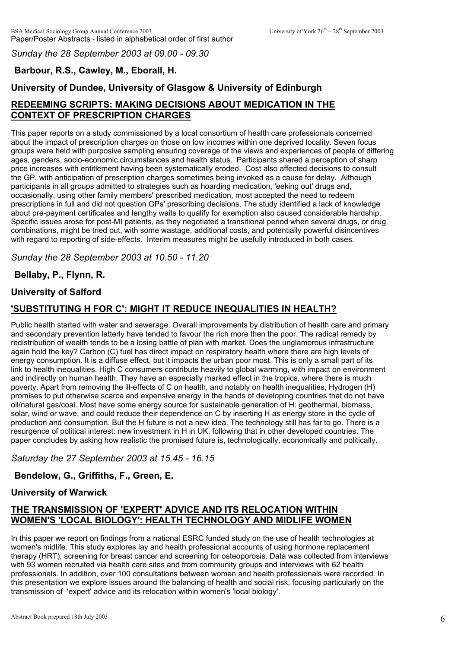*Sunday the 28 September 2003 at 09.00 - 09.30*

# **Barbour, R.S., Cawley, M., Eborall, H.**

# **University of Dundee, University of Glasgow & University of Edinburgh**

# **REDEEMING SCRIPTS: MAKING DECISIONS ABOUT MEDICATION IN THE CONTEXT OF PRESCRIPTION CHARGES**

This paper reports on a study commissioned by a local consortium of health care professionals concerned about the impact of prescription charges on those on low incomes within one deprived locality. Seven focus groups were held with purposive sampling ensuring coverage of the views and experiences of people of differing ages, genders, socio-economic circumstances and health status. Participants shared a perception of sharp price increases with entitlement having been systematically eroded. Cost also affected decisions to consult the GP, with anticipation of prescription charges sometimes being invoked as a cause for delay. Although participants in all groups admitted to strategies such as hoarding medication, 'eeking out' drugs and, occasionally, using other family members' prescribed medication, most accepted the need to redeem prescriptions in full and did not question GPs' prescribing decisions. The study identified a lack of knowledge about pre-payment certificates and lengthy waits to qualify for exemption also caused considerable hardship. Specific issues arose for post-MI patients, as they negotiated a transitional period when several drugs, or drug combinations, might be tried out, with some wastage, additional costs, and potentially powerful disincentives with regard to reporting of side-effects. Interim measures might be usefully introduced in both cases.

*Sunday the 28 September 2003 at 10.50 - 11.20*

# **Bellaby, P., Flynn, R.**

## **University of Salford**

# **'SUBSTITUTING H FOR C': MIGHT IT REDUCE INEQUALITIES IN HEALTH?**

Public health started with water and sewerage. Overall improvements by distribution of health care and primary and secondary prevention latterly have tended to favour the rich more then the poor. The radical remedy by redistribution of wealth tends to be a losing battle of plan with market. Does the unglamorous infrastructure again hold the key? Carbon (C) fuel has direct impact on respiratory health where there are high levels of energy consumption. It is a diffuse effect, but it impacts the urban poor most. This is only a small part of its link to health inequalities. High C consumers contribute heavily to global warming, with impact on environment and indirectly on human health. They have an especially marked effect in the tropics, where there is much poverty. Apart from removing the ill-effects of C on health, and notably on health inequalities, Hydrogen (H) promises to put otherwise scarce and expensive energy in the hands of developing countries that do not have oil/natural gas/coal. Most have some energy source for sustainable generation of H: geothermal, biomass, solar, wind or wave, and could reduce their dependence on C by inserting H as energy store in the cycle of production and consumption. But the H future is not a new idea. The technology still has far to go. There is a resurgence of political interest: new investment in H in UK, following that in other developed countries. The paper concludes by asking how realistic the promised future is, technologically, economically and politically.

### *Saturday the 27 September 2003 at 15.45 - 16.15*

# **Bendelow, G., Griffiths, F., Green, E.**

# **University of Warwick**

# **THE TRANSMISSION OF 'EXPERT' ADVICE AND ITS RELOCATION WITHIN WOMEN'S 'LOCAL BIOLOGY': HEALTH TECHNOLOGY AND MIDLIFE WOMEN**

In this paper we report on findings from a national ESRC funded study on the use of health technologies at women's midlife. This study explores lay and health professional accounts of using hormone replacement therapy (HRT), screening for breast cancer and screening for osteoporosis. Data was collected from interviews with 93 women recruited via health care sites and from community groups and interviews with 62 health professionals. In addition, over 100 consultations between women and health professionals were recorded. In this presentation we explore issues around the balancing of health and social risk, focusing particularly on the transmission of 'expert' advice and its relocation within women's 'local biology'.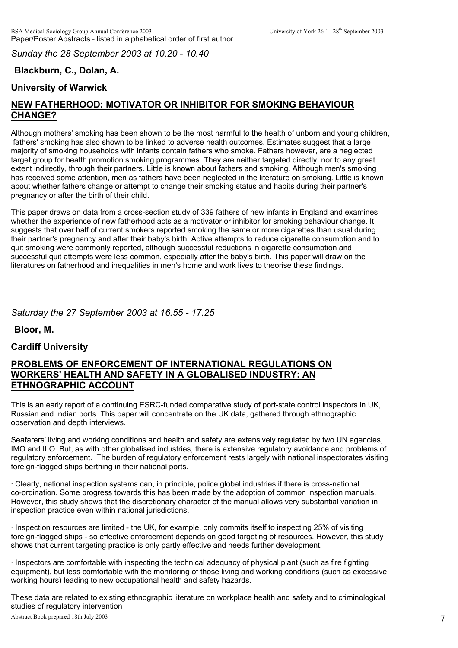*Sunday the 28 September 2003 at 10.20 - 10.40*

# **Blackburn, C., Dolan, A.**

## **University of Warwick**

# **NEW FATHERHOOD: MOTIVATOR OR INHIBITOR FOR SMOKING BEHAVIOUR CHANGE?**

Although mothers' smoking has been shown to be the most harmful to the health of unborn and young children, fathers' smoking has also shown to be linked to adverse health outcomes. Estimates suggest that a large majority of smoking households with infants contain fathers who smoke. Fathers however, are a neglected target group for health promotion smoking programmes. They are neither targeted directly, nor to any great extent indirectly, through their partners. Little is known about fathers and smoking. Although men's smoking has received some attention, men as fathers have been neglected in the literature on smoking. Little is known about whether fathers change or attempt to change their smoking status and habits during their partner's pregnancy or after the birth of their child.

This paper draws on data from a cross-section study of 339 fathers of new infants in England and examines whether the experience of new fatherhood acts as a motivator or inhibitor for smoking behaviour change. It suggests that over half of current smokers reported smoking the same or more cigarettes than usual during their partner's pregnancy and after their baby's birth. Active attempts to reduce cigarette consumption and to quit smoking were commonly reported, although successful reductions in cigarette consumption and successful quit attempts were less common, especially after the baby's birth. This paper will draw on the literatures on fatherhood and inequalities in men's home and work lives to theorise these findings.

*Saturday the 27 September 2003 at 16.55 - 17.25*

**Bloor, M.**

### **Cardiff University**

#### **PROBLEMS OF ENFORCEMENT OF INTERNATIONAL REGULATIONS ON WORKERS' HEALTH AND SAFETY IN A GLOBALISED INDUSTRY: AN ETHNOGRAPHIC ACCOUNT**

This is an early report of a continuing ESRC-funded comparative study of port-state control inspectors in UK, Russian and Indian ports. This paper will concentrate on the UK data, gathered through ethnographic observation and depth interviews.

Seafarers' living and working conditions and health and safety are extensively regulated by two UN agencies, IMO and ILO. But, as with other globalised industries, there is extensive regulatory avoidance and problems of regulatory enforcement. The burden of regulatory enforcement rests largely with national inspectorates visiting foreign-flagged ships berthing in their national ports.

· Clearly, national inspection systems can, in principle, police global industries if there is cross-national co-ordination. Some progress towards this has been made by the adoption of common inspection manuals. However, this study shows that the discretionary character of the manual allows very substantial variation in inspection practice even within national jurisdictions.

· Inspection resources are limited - the UK, for example, only commits itself to inspecting 25% of visiting foreign-flagged ships - so effective enforcement depends on good targeting of resources. However, this study shows that current targeting practice is only partly effective and needs further development.

· Inspectors are comfortable with inspecting the technical adequacy of physical plant (such as fire fighting equipment), but less comfortable with the monitoring of those living and working conditions (such as excessive working hours) leading to new occupational health and safety hazards.

These data are related to existing ethnographic literature on workplace health and safety and to criminological Abstract Book prepared 18th July 2003 7 studies of regulatory intervention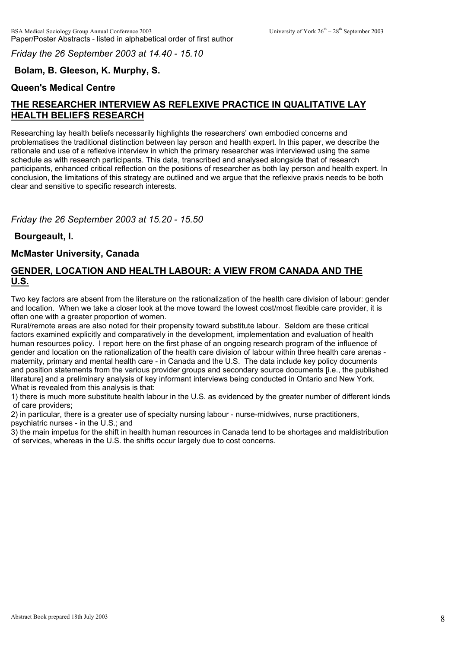*Friday the 26 September 2003 at 14.40 - 15.10*

# **Bolam, B. Gleeson, K. Murphy, S.**

## **Queen's Medical Centre**

# **THE RESEARCHER INTERVIEW AS REFLEXIVE PRACTICE IN QUALITATIVE LAY HEALTH BELIEFS RESEARCH**

Researching lay health beliefs necessarily highlights the researchers' own embodied concerns and problematises the traditional distinction between lay person and health expert. In this paper, we describe the rationale and use of a reflexive interview in which the primary researcher was interviewed using the same schedule as with research participants. This data, transcribed and analysed alongside that of research participants, enhanced critical reflection on the positions of researcher as both lay person and health expert. In conclusion, the limitations of this strategy are outlined and we argue that the reflexive praxis needs to be both clear and sensitive to specific research interests.

*Friday the 26 September 2003 at 15.20 - 15.50*

## **Bourgeault, I.**

### **McMaster University, Canada**

### **GENDER, LOCATION AND HEALTH LABOUR: A VIEW FROM CANADA AND THE U.S.**

Two key factors are absent from the literature on the rationalization of the health care division of labour: gender and location. When we take a closer look at the move toward the lowest cost/most flexible care provider, it is often one with a greater proportion of women.

Rural/remote areas are also noted for their propensity toward substitute labour. Seldom are these critical factors examined explicitly and comparatively in the development, implementation and evaluation of health human resources policy. I report here on the first phase of an ongoing research program of the influence of gender and location on the rationalization of the health care division of labour within three health care arenas maternity, primary and mental health care - in Canada and the U.S. The data include key policy documents and position statements from the various provider groups and secondary source documents [i.e., the published literature] and a preliminary analysis of key informant interviews being conducted in Ontario and New York. What is revealed from this analysis is that:

1) there is much more substitute health labour in the U.S. as evidenced by the greater number of different kinds of care providers;

2) in particular, there is a greater use of specialty nursing labour - nurse-midwives, nurse practitioners, psychiatric nurses - in the U.S.; and

3) the main impetus for the shift in health human resources in Canada tend to be shortages and maldistribution of services, whereas in the U.S. the shifts occur largely due to cost concerns.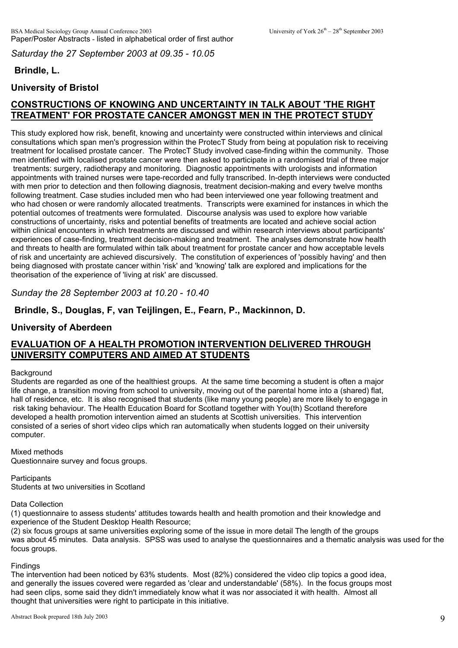*Saturday the 27 September 2003 at 09.35 - 10.05*

# **Brindle, L.**

# **University of Bristol**

# **CONSTRUCTIONS OF KNOWING AND UNCERTAINTY IN TALK ABOUT 'THE RIGHT TREATMENT' FOR PROSTATE CANCER AMONGST MEN IN THE PROTECT STUDY**

This study explored how risk, benefit, knowing and uncertainty were constructed within interviews and clinical consultations which span men's progression within the ProtecT Study from being at population risk to receiving treatment for localised prostate cancer. The ProtecT Study involved case-finding within the community. Those men identified with localised prostate cancer were then asked to participate in a randomised trial of three major treatments: surgery, radiotherapy and monitoring. Diagnostic appointments with urologists and information appointments with trained nurses were tape-recorded and fully transcribed. In-depth interviews were conducted with men prior to detection and then following diagnosis, treatment decision-making and every twelve months following treatment. Case studies included men who had been interviewed one year following treatment and who had chosen or were randomly allocated treatments. Transcripts were examined for instances in which the potential outcomes of treatments were formulated. Discourse analysis was used to explore how variable constructions of uncertainty, risks and potential benefits of treatments are located and achieve social action within clinical encounters in which treatments are discussed and within research interviews about participants' experiences of case-finding, treatment decision-making and treatment. The analyses demonstrate how health and threats to health are formulated within talk about treatment for prostate cancer and how acceptable levels of risk and uncertainty are achieved discursively. The constitution of experiences of 'possibly having' and then being diagnosed with prostate cancer within 'risk' and 'knowing' talk are explored and implications for the theorisation of the experience of 'living at risk' are discussed.

*Sunday the 28 September 2003 at 10.20 - 10.40*

**Brindle, S., Douglas, F, van Teijlingen, E., Fearn, P., Mackinnon, D.**

## **University of Aberdeen**

# **EVALUATION OF A HEALTH PROMOTION INTERVENTION DELIVERED THROUGH UNIVERSITY COMPUTERS AND AIMED AT STUDENTS**

#### **Background**

Students are regarded as one of the healthiest groups. At the same time becoming a student is often a major life change, a transition moving from school to university, moving out of the parental home into a (shared) flat, hall of residence, etc. It is also recognised that students (like many young people) are more likely to engage in risk taking behaviour. The Health Education Board for Scotland together with You(th) Scotland therefore developed a health promotion intervention aimed an students at Scottish universities. This intervention consisted of a series of short video clips which ran automatically when students logged on their university computer.

#### Mixed methods

Questionnaire survey and focus groups.

#### **Participants**

Students at two universities in Scotland

#### Data Collection

(1) questionnaire to assess students' attitudes towards health and health promotion and their knowledge and experience of the Student Desktop Health Resource;

(2) six focus groups at same universities exploring some of the issue in more detail The length of the groups was about 45 minutes. Data analysis. SPSS was used to analyse the questionnaires and a thematic analysis was used for the focus groups.

#### **Findings**

The intervention had been noticed by 63% students. Most (82%) considered the video clip topics a good idea, and generally the issues covered were regarded as 'clear and understandable' (58%). In the focus groups most had seen clips, some said they didn't immediately know what it was nor associated it with health. Almost all thought that universities were right to participate in this initiative.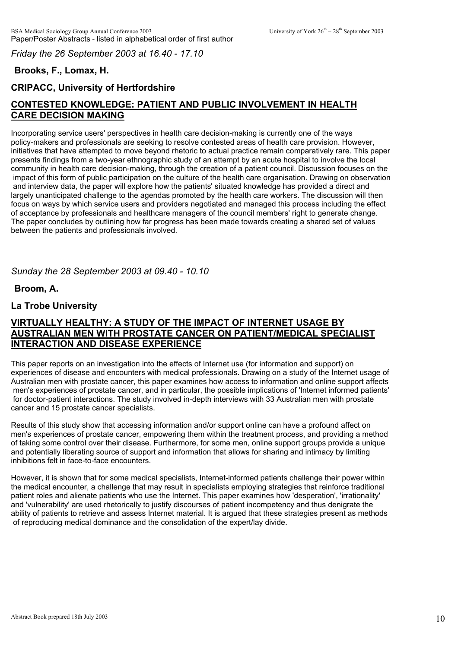*Friday the 26 September 2003 at 16.40 - 17.10*

# **Brooks, F., Lomax, H.**

# **CRIPACC, University of Hertfordshire**

# **CONTESTED KNOWLEDGE: PATIENT AND PUBLIC INVOLVEMENT IN HEALTH CARE DECISION MAKING**

Incorporating service users' perspectives in health care decision-making is currently one of the ways policy-makers and professionals are seeking to resolve contested areas of health care provision. However, initiatives that have attempted to move beyond rhetoric to actual practice remain comparatively rare. This paper presents findings from a two-year ethnographic study of an attempt by an acute hospital to involve the local community in health care decision-making, through the creation of a patient council. Discussion focuses on the impact of this form of public participation on the culture of the health care organisation. Drawing on observation and interview data, the paper will explore how the patients' situated knowledge has provided a direct and largely unanticipated challenge to the agendas promoted by the health care workers. The discussion will then focus on ways by which service users and providers negotiated and managed this process including the effect of acceptance by professionals and healthcare managers of the council members' right to generate change. The paper concludes by outlining how far progress has been made towards creating a shared set of values between the patients and professionals involved.

*Sunday the 28 September 2003 at 09.40 - 10.10*

**Broom, A.**

# **La Trobe University**

# **VIRTUALLY HEALTHY: A STUDY OF THE IMPACT OF INTERNET USAGE BY AUSTRALIAN MEN WITH PROSTATE CANCER ON PATIENT/MEDICAL SPECIALIST INTERACTION AND DISEASE EXPERIENCE**

This paper reports on an investigation into the effects of Internet use (for information and support) on experiences of disease and encounters with medical professionals. Drawing on a study of the Internet usage of Australian men with prostate cancer, this paper examines how access to information and online support affects men's experiences of prostate cancer, and in particular, the possible implications of 'Internet informed patients' for doctor-patient interactions. The study involved in-depth interviews with 33 Australian men with prostate cancer and 15 prostate cancer specialists.

Results of this study show that accessing information and/or support online can have a profound affect on men's experiences of prostate cancer, empowering them within the treatment process, and providing a method of taking some control over their disease. Furthermore, for some men, online support groups provide a unique and potentially liberating source of support and information that allows for sharing and intimacy by limiting inhibitions felt in face-to-face encounters.

However, it is shown that for some medical specialists, Internet-informed patients challenge their power within the medical encounter, a challenge that may result in specialists employing strategies that reinforce traditional patient roles and alienate patients who use the Internet. This paper examines how 'desperation', 'irrationality' and 'vulnerability' are used rhetorically to justify discourses of patient incompetency and thus denigrate the ability of patients to retrieve and assess Internet material. It is argued that these strategies present as methods of reproducing medical dominance and the consolidation of the expert/lay divide.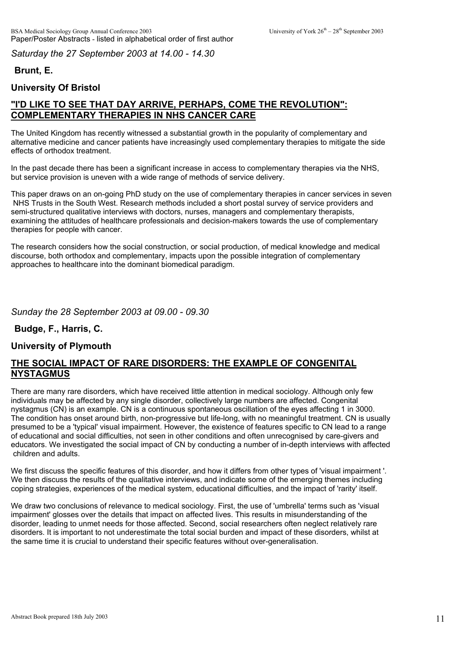*Saturday the 27 September 2003 at 14.00 - 14.30*

# **Brunt, E.**

# **University Of Bristol**

# **"I'D LIKE TO SEE THAT DAY ARRIVE, PERHAPS, COME THE REVOLUTION": COMPLEMENTARY THERAPIES IN NHS CANCER CARE**

The United Kingdom has recently witnessed a substantial growth in the popularity of complementary and alternative medicine and cancer patients have increasingly used complementary therapies to mitigate the side effects of orthodox treatment.

In the past decade there has been a significant increase in access to complementary therapies via the NHS, but service provision is uneven with a wide range of methods of service delivery.

This paper draws on an on-going PhD study on the use of complementary therapies in cancer services in seven NHS Trusts in the South West. Research methods included a short postal survey of service providers and semi-structured qualitative interviews with doctors, nurses, managers and complementary therapists, examining the attitudes of healthcare professionals and decision-makers towards the use of complementary therapies for people with cancer.

The research considers how the social construction, or social production, of medical knowledge and medical discourse, both orthodox and complementary, impacts upon the possible integration of complementary approaches to healthcare into the dominant biomedical paradigm.

*Sunday the 28 September 2003 at 09.00 - 09.30*

### **Budge, F., Harris, C.**

### **University of Plymouth**

## **THE SOCIAL IMPACT OF RARE DISORDERS: THE EXAMPLE OF CONGENITAL NYSTAGMUS**

There are many rare disorders, which have received little attention in medical sociology. Although only few individuals may be affected by any single disorder, collectively large numbers are affected. Congenital nystagmus (CN) is an example. CN is a continuous spontaneous oscillation of the eyes affecting 1 in 3000. The condition has onset around birth, non-progressive but life-long, with no meaningful treatment. CN is usually presumed to be a 'typical' visual impairment. However, the existence of features specific to CN lead to a range of educational and social difficulties, not seen in other conditions and often unrecognised by care-givers and educators. We investigated the social impact of CN by conducting a number of in-depth interviews with affected children and adults.

We first discuss the specific features of this disorder, and how it differs from other types of 'visual impairment '. We then discuss the results of the qualitative interviews, and indicate some of the emerging themes including coping strategies, experiences of the medical system, educational difficulties, and the impact of 'rarity' itself.

We draw two conclusions of relevance to medical sociology. First, the use of 'umbrella' terms such as 'visual impairment' glosses over the details that impact on affected lives. This results in misunderstanding of the disorder, leading to unmet needs for those affected. Second, social researchers often neglect relatively rare disorders. It is important to not underestimate the total social burden and impact of these disorders, whilst at the same time it is crucial to understand their specific features without over-generalisation.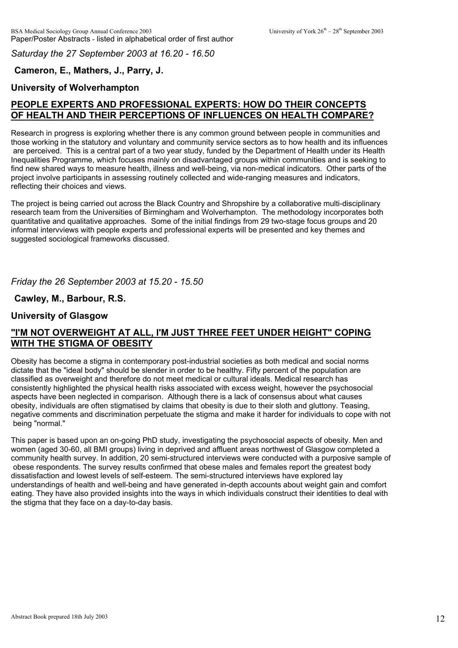*Saturday the 27 September 2003 at 16.20 - 16.50*

# **Cameron, E., Mathers, J., Parry, J.**

# **University of Wolverhampton**

# **PEOPLE EXPERTS AND PROFESSIONAL EXPERTS: HOW DO THEIR CONCEPTS OF HEALTH AND THEIR PERCEPTIONS OF INFLUENCES ON HEALTH COMPARE?**

Research in progress is exploring whether there is any common ground between people in communities and those working in the statutory and voluntary and community service sectors as to how health and its influences are perceived. This is a central part of a two year study, funded by the Department of Health under its Health Inequalities Programme, which focuses mainly on disadvantaged groups within communities and is seeking to find new shared ways to measure health, illness and well-being, via non-medical indicators. Other parts of the project involve participants in assessing routinely collected and wide-ranging measures and indicators, reflecting their choices and views.

The project is being carried out across the Black Country and Shropshire by a collaborative multi-disciplinary research team from the Universities of Birmingham and Wolverhampton. The methodology incorporates both quantitative and qualitative approaches. Some of the initial findings from 29 two-stage focus groups and 20 informal intervviews with people experts and professional experts will be presented and key themes and suggested sociological frameworks discussed.

*Friday the 26 September 2003 at 15.20 - 15.50*

**Cawley, M., Barbour, R.S.**

# **University of Glasgow**

# **"I'M NOT OVERWEIGHT AT ALL, I'M JUST THREE FEET UNDER HEIGHT" COPING WITH THE STIGMA OF OBESITY**

Obesity has become a stigma in contemporary post-industrial societies as both medical and social norms dictate that the "ideal body" should be slender in order to be healthy. Fifty percent of the population are classified as overweight and therefore do not meet medical or cultural ideals. Medical research has consistently highlighted the physical health risks associated with excess weight, however the psychosocial aspects have been neglected in comparison. Although there is a lack of consensus about what causes obesity, individuals are often stigmatised by claims that obesity is due to their sloth and gluttony. Teasing, negative comments and discrimination perpetuate the stigma and make it harder for individuals to cope with not being "normal."

This paper is based upon an on-going PhD study, investigating the psychosocial aspects of obesity. Men and women (aged 30-60, all BMI groups) living in deprived and affluent areas northwest of Glasgow completed a community health survey. In addition, 20 semi-structured interviews were conducted with a purposive sample of obese respondents. The survey results confirmed that obese males and females report the greatest body dissatisfaction and lowest levels of self-esteem. The semi-structured interviews have explored lay understandings of health and well-being and have generated in-depth accounts about weight gain and comfort eating. They have also provided insights into the ways in which individuals construct their identities to deal with the stigma that they face on a day-to-day basis.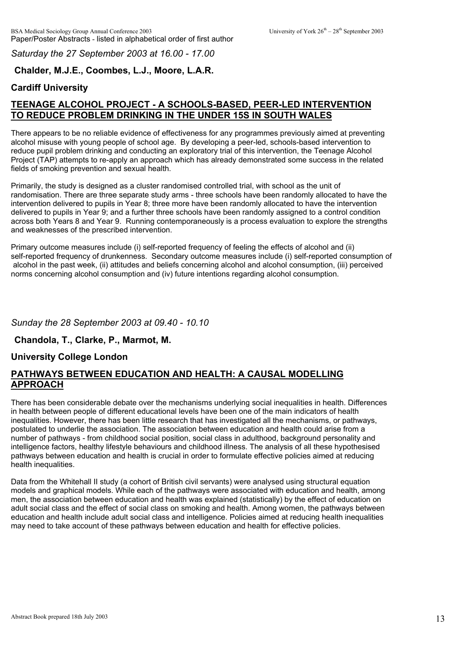*Saturday the 27 September 2003 at 16.00 - 17.00*

## **Chalder, M.J.E., Coombes, L.J., Moore, L.A.R.**

## **Cardiff University**

# **TEENAGE ALCOHOL PROJECT - A SCHOOLS-BASED, PEER-LED INTERVENTION TO REDUCE PROBLEM DRINKING IN THE UNDER 15S IN SOUTH WALES**

There appears to be no reliable evidence of effectiveness for any programmes previously aimed at preventing alcohol misuse with young people of school age. By developing a peer-led, schools-based intervention to reduce pupil problem drinking and conducting an exploratory trial of this intervention, the Teenage Alcohol Project (TAP) attempts to re-apply an approach which has already demonstrated some success in the related fields of smoking prevention and sexual health.

Primarily, the study is designed as a cluster randomised controlled trial, with school as the unit of randomisation. There are three separate study arms - three schools have been randomly allocated to have the intervention delivered to pupils in Year 8; three more have been randomly allocated to have the intervention delivered to pupils in Year 9; and a further three schools have been randomly assigned to a control condition across both Years 8 and Year 9. Running contemporaneously is a process evaluation to explore the strengths and weaknesses of the prescribed intervention.

Primary outcome measures include (i) self-reported frequency of feeling the effects of alcohol and (ii) self-reported frequency of drunkenness. Secondary outcome measures include (i) self-reported consumption of alcohol in the past week, (ii) attitudes and beliefs concerning alcohol and alcohol consumption, (iii) perceived norms concerning alcohol consumption and (iv) future intentions regarding alcohol consumption.

#### *Sunday the 28 September 2003 at 09.40 - 10.10*

### **Chandola, T., Clarke, P., Marmot, M.**

### **University College London**

### **PATHWAYS BETWEEN EDUCATION AND HEALTH: A CAUSAL MODELLING APPROACH**

There has been considerable debate over the mechanisms underlying social inequalities in health. Differences in health between people of different educational levels have been one of the main indicators of health inequalities. However, there has been little research that has investigated all the mechanisms, or pathways, postulated to underlie the association. The association between education and health could arise from a number of pathways - from childhood social position, social class in adulthood, background personality and intelligence factors, healthy lifestyle behaviours and childhood illness. The analysis of all these hypothesised pathways between education and health is crucial in order to formulate effective policies aimed at reducing health inequalities.

Data from the Whitehall II study (a cohort of British civil servants) were analysed using structural equation models and graphical models. While each of the pathways were associated with education and health, among men, the association between education and health was explained (statistically) by the effect of education on adult social class and the effect of social class on smoking and health. Among women, the pathways between education and health include adult social class and intelligence. Policies aimed at reducing health inequalities may need to take account of these pathways between education and health for effective policies.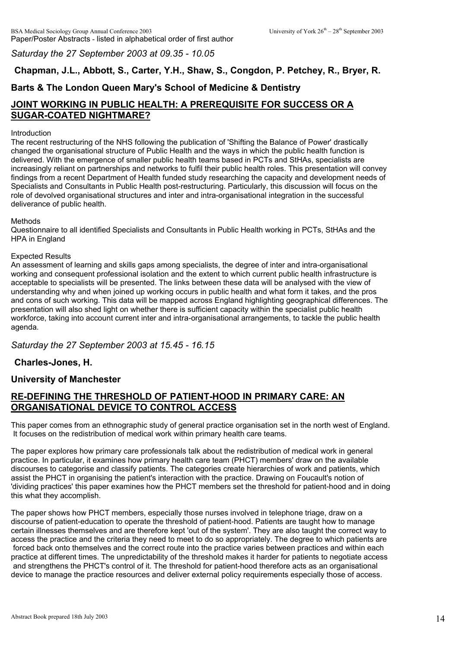*Saturday the 27 September 2003 at 09.35 - 10.05*

**Chapman, J.L., Abbott, S., Carter, Y.H., Shaw, S., Congdon, P. Petchey, R., Bryer, R.**

# **Barts & The London Queen Mary's School of Medicine & Dentistry**

# **JOINT WORKING IN PUBLIC HEALTH: A PREREQUISITE FOR SUCCESS OR A SUGAR-COATED NIGHTMARE?**

#### Introduction

The recent restructuring of the NHS following the publication of 'Shifting the Balance of Power' drastically changed the organisational structure of Public Health and the ways in which the public health function is delivered. With the emergence of smaller public health teams based in PCTs and StHAs, specialists are increasingly reliant on partnerships and networks to fulfil their public health roles. This presentation will convey findings from a recent Department of Health funded study researching the capacity and development needs of Specialists and Consultants in Public Health post-restructuring. Particularly, this discussion will focus on the role of devolved organisational structures and inter and intra-organisational integration in the successful deliverance of public health.

#### Methods

Questionnaire to all identified Specialists and Consultants in Public Health working in PCTs, StHAs and the HPA in England

#### Expected Results

An assessment of learning and skills gaps among specialists, the degree of inter and intra-organisational working and consequent professional isolation and the extent to which current public health infrastructure is acceptable to specialists will be presented. The links between these data will be analysed with the view of understanding why and when joined up working occurs in public health and what form it takes, and the pros and cons of such working. This data will be mapped across England highlighting geographical differences. The presentation will also shed light on whether there is sufficient capacity within the specialist public health workforce, taking into account current inter and intra-organisational arrangements, to tackle the public health agenda.

### *Saturday the 27 September 2003 at 15.45 - 16.15*

### **Charles-Jones, H.**

#### **University of Manchester**

## **RE-DEFINING THE THRESHOLD OF PATIENT-HOOD IN PRIMARY CARE: AN ORGANISATIONAL DEVICE TO CONTROL ACCESS**

This paper comes from an ethnographic study of general practice organisation set in the north west of England. It focuses on the redistribution of medical work within primary health care teams.

The paper explores how primary care professionals talk about the redistribution of medical work in general practice. In particular, it examines how primary health care team (PHCT) members' draw on the available discourses to categorise and classify patients. The categories create hierarchies of work and patients, which assist the PHCT in organising the patient's interaction with the practice. Drawing on Foucault's notion of 'dividing practices' this paper examines how the PHCT members set the threshold for patient-hood and in doing this what they accomplish.

The paper shows how PHCT members, especially those nurses involved in telephone triage, draw on a discourse of patient-education to operate the threshold of patient-hood. Patients are taught how to manage certain illnesses themselves and are therefore kept 'out of the system'. They are also taught the correct way to access the practice and the criteria they need to meet to do so appropriately. The degree to which patients are forced back onto themselves and the correct route into the practice varies between practices and within each practice at different times. The unpredictability of the threshold makes it harder for patients to negotiate access and strengthens the PHCT's control of it. The threshold for patient-hood therefore acts as an organisational device to manage the practice resources and deliver external policy requirements especially those of access.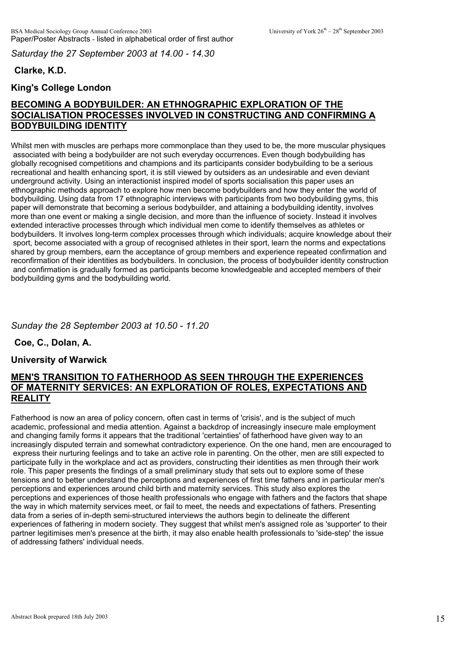*Saturday the 27 September 2003 at 14.00 - 14.30*

# **Clarke, K.D.**

## **King's College London**

# **BECOMING A BODYBUILDER: AN ETHNOGRAPHIC EXPLORATION OF THE SOCIALISATION PROCESSES INVOLVED IN CONSTRUCTING AND CONFIRMING A BODYBUILDING IDENTITY**

Whilst men with muscles are perhaps more commonplace than they used to be, the more muscular physiques associated with being a bodybuilder are not such everyday occurrences. Even though bodybuilding has globally recognised competitions and champions and its participants consider bodybuilding to be a serious recreational and health enhancing sport, it is still viewed by outsiders as an undesirable and even deviant underground activity. Using an interactionist inspired model of sports socialisation this paper uses an ethnographic methods approach to explore how men become bodybuilders and how they enter the world of bodybuilding. Using data from 17 ethnographic interviews with participants from two bodybuilding gyms, this paper will demonstrate that becoming a serious bodybuilder, and attaining a bodybuilding identity, involves more than one event or making a single decision, and more than the influence of society. Instead it involves extended interactive processes through which individual men come to identify themselves as athletes or bodybuilders. It involves long-term complex processes through which individuals; acquire knowledge about their sport, become associated with a group of recognised athletes in their sport, learn the norms and expectations shared by group members, earn the acceptance of group members and experience repeated confirmation and reconfirmation of their identities as bodybuilders. In conclusion, the process of bodybuilder identity construction and confirmation is gradually formed as participants become knowledgeable and accepted members of their bodybuilding gyms and the bodybuilding world.

# *Sunday the 28 September 2003 at 10.50 - 11.20*

**Coe, C., Dolan, A.**

### **University of Warwick**

### **MEN'S TRANSITION TO FATHERHOOD AS SEEN THROUGH THE EXPERIENCES OF MATERNITY SERVICES: AN EXPLORATION OF ROLES, EXPECTATIONS AND REALITY**

Fatherhood is now an area of policy concern, often cast in terms of 'crisis', and is the subject of much academic, professional and media attention. Against a backdrop of increasingly insecure male employment and changing family forms it appears that the traditional 'certainties' of fatherhood have given way to an increasingly disputed terrain and somewhat contradictory experience. On the one hand, men are encouraged to express their nurturing feelings and to take an active role in parenting. On the other, men are still expected to participate fully in the workplace and act as providers, constructing their identities as men through their work role. This paper presents the findings of a small preliminary study that sets out to explore some of these tensions and to better understand the perceptions and experiences of first time fathers and in particular men's perceptions and experiences around child birth and maternity services. This study also explores the perceptions and experiences of those health professionals who engage with fathers and the factors that shape the way in which maternity services meet, or fail to meet, the needs and expectations of fathers. Presenting data from a series of in-depth semi-structured interviews the authors begin to delineate the different experiences of fathering in modern society. They suggest that whilst men's assigned role as 'supporter' to their partner legitimises men's presence at the birth, it may also enable health professionals to 'side-step' the issue of addressing fathers' individual needs.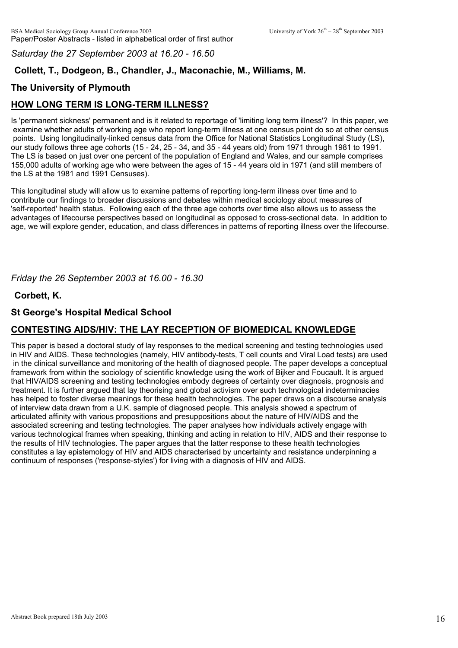*Saturday the 27 September 2003 at 16.20 - 16.50*

# **Collett, T., Dodgeon, B., Chandler, J., Maconachie, M., Williams, M.**

# **The University of Plymouth**

# **HOW LONG TERM IS LONG-TERM ILLNESS?**

Is 'permanent sickness' permanent and is it related to reportage of 'limiting long term illness'? In this paper, we examine whether adults of working age who report long-term illness at one census point do so at other census points. Using longitudinally-linked census data from the Office for National Statistics Longitudinal Study (LS), our study follows three age cohorts (15 - 24, 25 - 34, and 35 - 44 years old) from 1971 through 1981 to 1991. The LS is based on just over one percent of the population of England and Wales, and our sample comprises 155,000 adults of working age who were between the ages of 15 - 44 years old in 1971 (and still members of the LS at the 1981 and 1991 Censuses).

This longitudinal study will allow us to examine patterns of reporting long-term illness over time and to contribute our findings to broader discussions and debates within medical sociology about measures of 'self-reported' health status. Following each of the three age cohorts over time also allows us to assess the advantages of lifecourse perspectives based on longitudinal as opposed to cross-sectional data. In addition to age, we will explore gender, education, and class differences in patterns of reporting illness over the lifecourse.

*Friday the 26 September 2003 at 16.00 - 16.30*

### **Corbett, K.**

### **St George's Hospital Medical School**

# **CONTESTING AIDS/HIV: THE LAY RECEPTION OF BIOMEDICAL KNOWLEDGE**

This paper is based a doctoral study of lay responses to the medical screening and testing technologies used in HIV and AIDS. These technologies (namely, HIV antibody-tests, T cell counts and Viral Load tests) are used in the clinical surveillance and monitoring of the health of diagnosed people. The paper develops a conceptual framework from within the sociology of scientific knowledge using the work of Bijker and Foucault. It is argued that HIV/AIDS screening and testing technologies embody degrees of certainty over diagnosis, prognosis and treatment. It is further argued that lay theorising and global activism over such technological indeterminacies has helped to foster diverse meanings for these health technologies. The paper draws on a discourse analysis of interview data drawn from a U.K. sample of diagnosed people. This analysis showed a spectrum of articulated affinity with various propositions and presuppositions about the nature of HIV/AIDS and the associated screening and testing technologies. The paper analyses how individuals actively engage with various technological frames when speaking, thinking and acting in relation to HIV, AIDS and their response to the results of HIV technologies. The paper argues that the latter response to these health technologies constitutes a lay epistemology of HIV and AIDS characterised by uncertainty and resistance underpinning a continuum of responses ('response-styles') for living with a diagnosis of HIV and AIDS.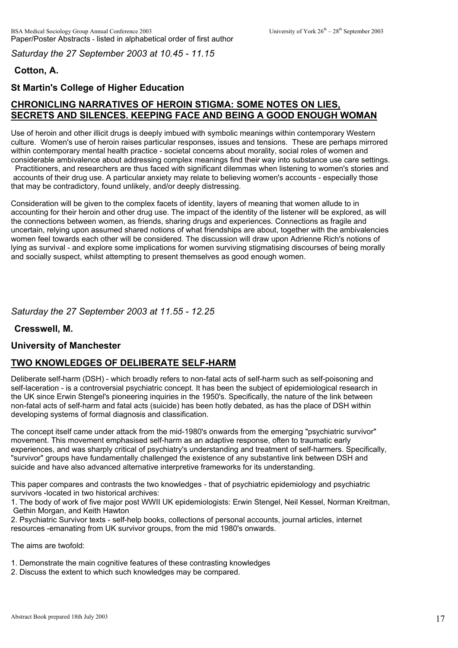*Saturday the 27 September 2003 at 10.45 - 11.15*

# **Cotton, A.**

# **St Martin's College of Higher Education**

# **CHRONICLING NARRATIVES OF HEROIN STIGMA: SOME NOTES ON LIES, SECRETS AND SILENCES. KEEPING FACE AND BEING A GOOD ENOUGH WOMAN**

Use of heroin and other illicit drugs is deeply imbued with symbolic meanings within contemporary Western culture. Women's use of heroin raises particular responses, issues and tensions. These are perhaps mirrored within contemporary mental health practice - societal concerns about morality, social roles of women and considerable ambivalence about addressing complex meanings find their way into substance use care settings.

 Practitioners, and researchers are thus faced with significant dilemmas when listening to women's stories and accounts of their drug use. A particular anxiety may relate to believing women's accounts - especially those that may be contradictory, found unlikely, and/or deeply distressing.

Consideration will be given to the complex facets of identity, layers of meaning that women allude to in accounting for their heroin and other drug use. The impact of the identity of the listener will be explored, as will the connections between women, as friends, sharing drugs and experiences. Connections as fragile and uncertain, relying upon assumed shared notions of what friendships are about, together with the ambivalencies women feel towards each other will be considered. The discussion will draw upon Adrienne Rich's notions of lying as survival - and explore some implications for women surviving stigmatising discourses of being morally and socially suspect, whilst attempting to present themselves as good enough women.

*Saturday the 27 September 2003 at 11.55 - 12.25*

**Cresswell, M.**

### **University of Manchester**

### **TWO KNOWLEDGES OF DELIBERATE SELF-HARM**

Deliberate self-harm (DSH) - which broadly refers to non-fatal acts of self-harm such as self-poisoning and self-laceration - is a controversial psychiatric concept. It has been the subject of epidemiological research in the UK since Erwin Stengel's pioneering inquiries in the 1950's. Specifically, the nature of the link between non-fatal acts of self-harm and fatal acts (suicide) has been hotly debated, as has the place of DSH within developing systems of formal diagnosis and classification.

The concept itself came under attack from the mid-1980's onwards from the emerging "psychiatric survivor" movement. This movement emphasised self-harm as an adaptive response, often to traumatic early experiences, and was sharply critical of psychiatry's understanding and treatment of self-harmers. Specifically, "survivor" groups have fundamentally challenged the existence of any substantive link between DSH and suicide and have also advanced alternative interpretive frameworks for its understanding.

This paper compares and contrasts the two knowledges - that of psychiatric epidemiology and psychiatric survivors -located in two historical archives:

1. The body of work of five major post WWII UK epidemiologists: Erwin Stengel, Neil Kessel, Norman Kreitman, Gethin Morgan, and Keith Hawton

2. Psychiatric Survivor texts - self-help books, collections of personal accounts, journal articles, internet resources -emanating from UK survivor groups, from the mid 1980's onwards.

The aims are twofold:

- 1. Demonstrate the main cognitive features of these contrasting knowledges
- 2. Discuss the extent to which such knowledges may be compared.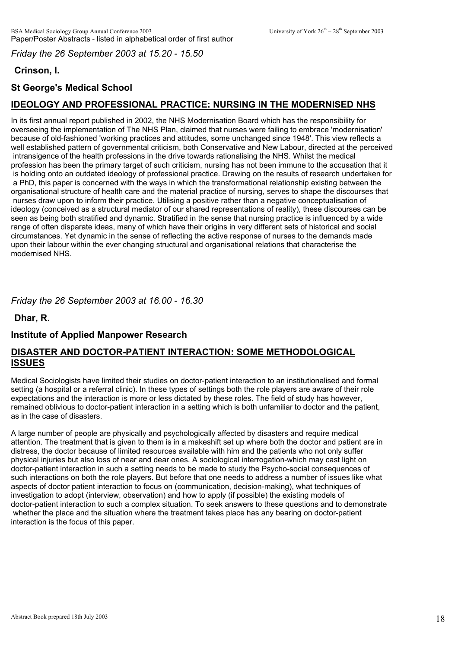*Friday the 26 September 2003 at 15.20 - 15.50*

# **Crinson, I.**

# **St George's Medical School**

# **IDEOLOGY AND PROFESSIONAL PRACTICE: NURSING IN THE MODERNISED NHS**

In its first annual report published in 2002, the NHS Modernisation Board which has the responsibility for overseeing the implementation of The NHS Plan, claimed that nurses were failing to embrace 'modernisation' because of old-fashioned 'working practices and attitudes, some unchanged since 1948'. This view reflects a well established pattern of governmental criticism, both Conservative and New Labour, directed at the perceived intransigence of the health professions in the drive towards rationalising the NHS. Whilst the medical profession has been the primary target of such criticism, nursing has not been immune to the accusation that it is holding onto an outdated ideology of professional practice. Drawing on the results of research undertaken for a PhD, this paper is concerned with the ways in which the transformational relationship existing between the organisational structure of health care and the material practice of nursing, serves to shape the discourses that nurses draw upon to inform their practice. Utilising a positive rather than a negative conceptualisation of ideology (conceived as a structural mediator of our shared representations of reality), these discourses can be seen as being both stratified and dynamic. Stratified in the sense that nursing practice is influenced by a wide range of often disparate ideas, many of which have their origins in very different sets of historical and social circumstances. Yet dynamic in the sense of reflecting the active response of nurses to the demands made upon their labour within the ever changing structural and organisational relations that characterise the modernised NHS.

## *Friday the 26 September 2003 at 16.00 - 16.30*

**Dhar, R.**

### **Institute of Applied Manpower Research**

### **DISASTER AND DOCTOR-PATIENT INTERACTION: SOME METHODOLOGICAL ISSUES**

Medical Sociologists have limited their studies on doctor-patient interaction to an institutionalised and formal setting (a hospital or a referral clinic). In these types of settings both the role players are aware of their role expectations and the interaction is more or less dictated by these roles. The field of study has however, remained oblivious to doctor-patient interaction in a setting which is both unfamiliar to doctor and the patient, as in the case of disasters.

A large number of people are physically and psychologically affected by disasters and require medical attention. The treatment that is given to them is in a makeshift set up where both the doctor and patient are in distress, the doctor because of limited resources available with him and the patients who not only suffer physical injuries but also loss of near and dear ones. A sociological interrogation-which may cast light on doctor-patient interaction in such a setting needs to be made to study the Psycho-social consequences of such interactions on both the role players. But before that one needs to address a number of issues like what aspects of doctor patient interaction to focus on (communication, decision-making), what techniques of investigation to adopt (interview, observation) and how to apply (if possible) the existing models of doctor-patient interaction to such a complex situation. To seek answers to these questions and to demonstrate whether the place and the situation where the treatment takes place has any bearing on doctor-patient interaction is the focus of this paper.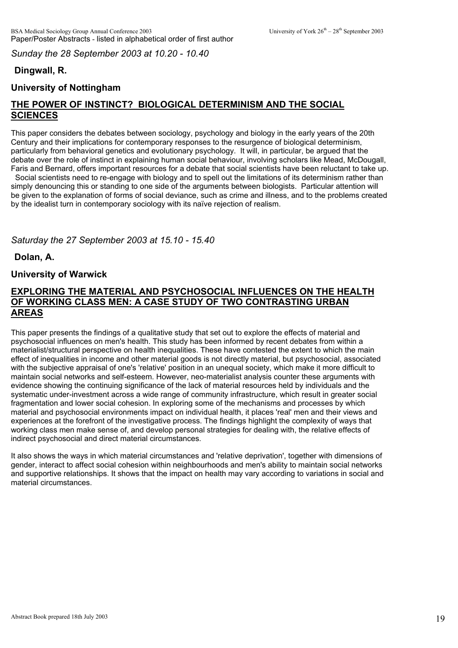*Sunday the 28 September 2003 at 10.20 - 10.40*

# **Dingwall, R.**

# **University of Nottingham**

# **THE POWER OF INSTINCT? BIOLOGICAL DETERMINISM AND THE SOCIAL SCIENCES**

This paper considers the debates between sociology, psychology and biology in the early years of the 20th Century and their implications for contemporary responses to the resurgence of biological determinism, particularly from behavioral genetics and evolutionary psychology. It will, in particular, be argued that the debate over the role of instinct in explaining human social behaviour, involving scholars like Mead, McDougall, Faris and Bernard, offers important resources for a debate that social scientists have been reluctant to take up. Social scientists need to re-engage with biology and to spell out the limitations of its determinism rather than

simply denouncing this or standing to one side of the arguments between biologists. Particular attention will be given to the explanation of forms of social deviance, such as crime and illness, and to the problems created by the idealist turn in contemporary sociology with its naïve rejection of realism.

# *Saturday the 27 September 2003 at 15.10 - 15.40*

**Dolan, A.**

### **University of Warwick**

## **EXPLORING THE MATERIAL AND PSYCHOSOCIAL INFLUENCES ON THE HEALTH OF WORKING CLASS MEN: A CASE STUDY OF TWO CONTRASTING URBAN AREAS**

This paper presents the findings of a qualitative study that set out to explore the effects of material and psychosocial influences on men's health. This study has been informed by recent debates from within a materialist/structural perspective on health inequalities. These have contested the extent to which the main effect of inequalities in income and other material goods is not directly material, but psychosocial, associated with the subjective appraisal of one's 'relative' position in an unequal society, which make it more difficult to maintain social networks and self-esteem. However, neo-materialist analysis counter these arguments with evidence showing the continuing significance of the lack of material resources held by individuals and the systematic under-investment across a wide range of community infrastructure, which result in greater social fragmentation and lower social cohesion. In exploring some of the mechanisms and processes by which material and psychosocial environments impact on individual health, it places 'real' men and their views and experiences at the forefront of the investigative process. The findings highlight the complexity of ways that working class men make sense of, and develop personal strategies for dealing with, the relative effects of indirect psychosocial and direct material circumstances.

It also shows the ways in which material circumstances and 'relative deprivation', together with dimensions of gender, interact to affect social cohesion within neighbourhoods and men's ability to maintain social networks and supportive relationships. It shows that the impact on health may vary according to variations in social and material circumstances.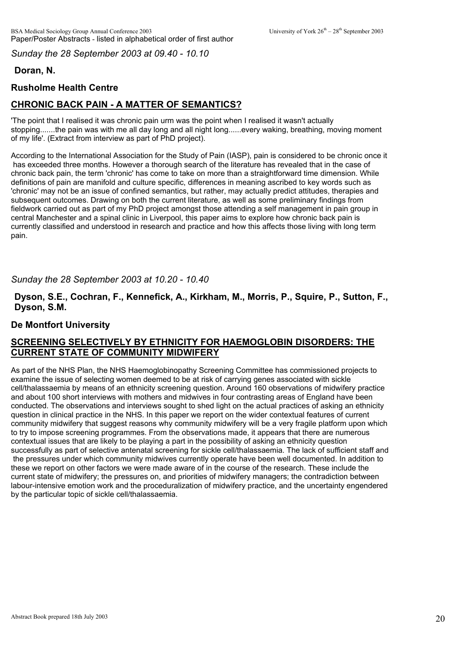*Sunday the 28 September 2003 at 09.40 - 10.10*

# **Doran, N.**

# **Rusholme Health Centre**

# **CHRONIC BACK PAIN - A MATTER OF SEMANTICS?**

'The point that I realised it was chronic pain urm was the point when I realised it wasn't actually stopping.......the pain was with me all day long and all night long......every waking, breathing, moving moment of my life'. (Extract from interview as part of PhD project).

According to the International Association for the Study of Pain (IASP), pain is considered to be chronic once it has exceeded three months. However a thorough search of the literature has revealed that in the case of chronic back pain, the term 'chronic' has come to take on more than a straightforward time dimension. While definitions of pain are manifold and culture specific, differences in meaning ascribed to key words such as 'chronic' may not be an issue of confined semantics, but rather, may actually predict attitudes, therapies and subsequent outcomes. Drawing on both the current literature, as well as some preliminary findings from fieldwork carried out as part of my PhD project amongst those attending a self management in pain group in central Manchester and a spinal clinic in Liverpool, this paper aims to explore how chronic back pain is currently classified and understood in research and practice and how this affects those living with long term pain.

### *Sunday the 28 September 2003 at 10.20 - 10.40*

**Dyson, S.E., Cochran, F., Kennefick, A., Kirkham, M., Morris, P., Squire, P., Sutton, F., Dyson, S.M.** 

### **De Montfort University**

# **SCREENING SELECTIVELY BY ETHNICITY FOR HAEMOGLOBIN DISORDERS: THE CURRENT STATE OF COMMUNITY MIDWIFERY**

As part of the NHS Plan, the NHS Haemoglobinopathy Screening Committee has commissioned projects to examine the issue of selecting women deemed to be at risk of carrying genes associated with sickle cell/thalassaemia by means of an ethnicity screening question. Around 160 observations of midwifery practice and about 100 short interviews with mothers and midwives in four contrasting areas of England have been conducted. The observations and interviews sought to shed light on the actual practices of asking an ethnicity question in clinical practice in the NHS. In this paper we report on the wider contextual features of current community midwifery that suggest reasons why community midwifery will be a very fragile platform upon which to try to impose screening programmes. From the observations made, it appears that there are numerous contextual issues that are likely to be playing a part in the possibility of asking an ethnicity question successfully as part of selective antenatal screening for sickle cell/thalassaemia. The lack of sufficient staff and the pressures under which community midwives currently operate have been well documented. In addition to these we report on other factors we were made aware of in the course of the research. These include the current state of midwifery; the pressures on, and priorities of midwifery managers; the contradiction between labour-intensive emotion work and the proceduralization of midwifery practice, and the uncertainty engendered by the particular topic of sickle cell/thalassaemia.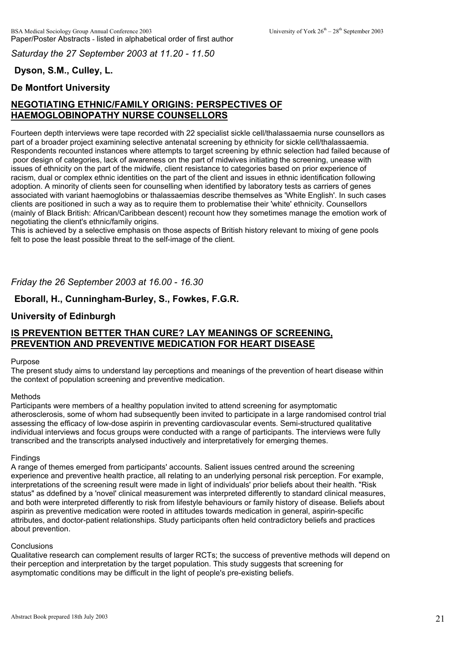*Saturday the 27 September 2003 at 11.20 - 11.50*

# **Dyson, S.M., Culley, L.**

# **De Montfort University**

# **NEGOTIATING ETHNIC/FAMILY ORIGINS: PERSPECTIVES OF HAEMOGLOBINOPATHY NURSE COUNSELLORS**

Fourteen depth interviews were tape recorded with 22 specialist sickle cell/thalassaemia nurse counsellors as part of a broader project examining selective antenatal screening by ethnicity for sickle cell/thalassaemia. Respondents recounted instances where attempts to target screening by ethnic selection had failed because of poor design of categories, lack of awareness on the part of midwives initiating the screening, unease with issues of ethnicity on the part of the midwife, client resistance to categories based on prior experience of racism, dual or complex ethnic identities on the part of the client and issues in ethnic identification following adoption. A minority of clients seen for counselling when identified by laboratory tests as carriers of genes associated with variant haemoglobins or thalassaemias describe themselves as 'White English'. In such cases clients are positioned in such a way as to require them to problematise their 'white' ethnicity. Counsellors (mainly of Black British: African/Caribbean descent) recount how they sometimes manage the emotion work of negotiating the client's ethnic/family origins.

This is achieved by a selective emphasis on those aspects of British history relevant to mixing of gene pools felt to pose the least possible threat to the self-image of the client.

*Friday the 26 September 2003 at 16.00 - 16.30*

## **Eborall, H., Cunningham-Burley, S., Fowkes, F.G.R.**

### **University of Edinburgh**

## **IS PREVENTION BETTER THAN CURE? LAY MEANINGS OF SCREENING, PREVENTION AND PREVENTIVE MEDICATION FOR HEART DISEASE**

#### Purpose

The present study aims to understand lay perceptions and meanings of the prevention of heart disease within the context of population screening and preventive medication.

#### Methods

Participants were members of a healthy population invited to attend screening for asymptomatic atherosclerosis, some of whom had subsequently been invited to participate in a large randomised control trial assessing the efficacy of low-dose aspirin in preventing cardiovascular events. Semi-structured qualitative individual interviews and focus groups were conducted with a range of participants. The interviews were fully transcribed and the transcripts analysed inductively and interpretatively for emerging themes.

#### Findings

A range of themes emerged from participants' accounts. Salient issues centred around the screening experience and preventive health practice, all relating to an underlying personal risk perception. For example, interpretations of the screening result were made in light of individuals' prior beliefs about their health. "Risk status" as ddefined by a 'novel' clinical measurement was interpreted differently to standard clinical measures, and both were interpreted differently to risk from lifestyle behaviours or family history of disease. Beliefs about aspirin as preventive medication were rooted in attitudes towards medication in general, aspirin-specific attributes, and doctor-patient relationships. Study participants often held contradictory beliefs and practices about prevention.

#### **Conclusions**

Qualitative research can complement results of larger RCTs; the success of preventive methods will depend on their perception and interpretation by the target population. This study suggests that screening for asymptomatic conditions may be difficult in the light of people's pre-existing beliefs.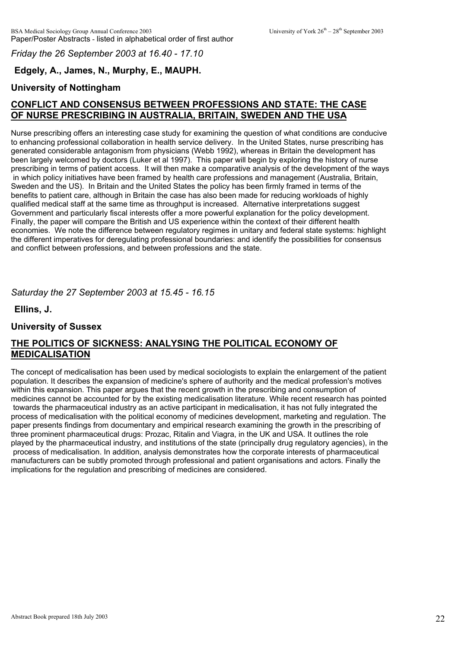*Friday the 26 September 2003 at 16.40 - 17.10*

# **Edgely, A., James, N., Murphy, E., MAUPH.**

## **University of Nottingham**

# **CONFLICT AND CONSENSUS BETWEEN PROFESSIONS AND STATE: THE CASE OF NURSE PRESCRIBING IN AUSTRALIA, BRITAIN, SWEDEN AND THE USA**

Nurse prescribing offers an interesting case study for examining the question of what conditions are conducive to enhancing professional collaboration in health service delivery. In the United States, nurse prescribing has generated considerable antagonism from physicians (Webb 1992), whereas in Britain the development has been largely welcomed by doctors (Luker et al 1997). This paper will begin by exploring the history of nurse prescribing in terms of patient access. It will then make a comparative analysis of the development of the ways in which policy initiatives have been framed by health care professions and management (Australia, Britain, Sweden and the US). In Britain and the United States the policy has been firmly framed in terms of the benefits to patient care, although in Britain the case has also been made for reducing workloads of highly qualified medical staff at the same time as throughput is increased. Alternative interpretations suggest Government and particularly fiscal interests offer a more powerful explanation for the policy development. Finally, the paper will compare the British and US experience within the context of their different health economies. We note the difference between regulatory regimes in unitary and federal state systems: highlight the different imperatives for deregulating professional boundaries: and identify the possibilities for consensus and conflict between professions, and between professions and the state.

### *Saturday the 27 September 2003 at 15.45 - 16.15*

**Ellins, J.**

### **University of Sussex**

# **THE POLITICS OF SICKNESS: ANALYSING THE POLITICAL ECONOMY OF MEDICALISATION**

The concept of medicalisation has been used by medical sociologists to explain the enlargement of the patient population. It describes the expansion of medicine's sphere of authority and the medical profession's motives within this expansion. This paper argues that the recent growth in the prescribing and consumption of medicines cannot be accounted for by the existing medicalisation literature. While recent research has pointed towards the pharmaceutical industry as an active participant in medicalisation, it has not fully integrated the process of medicalisation with the political economy of medicines development, marketing and regulation. The paper presents findings from documentary and empirical research examining the growth in the prescribing of three prominent pharmaceutical drugs: Prozac, Ritalin and Viagra, in the UK and USA. It outlines the role played by the pharmaceutical industry, and institutions of the state (principally drug regulatory agencies), in the process of medicalisation. In addition, analysis demonstrates how the corporate interests of pharmaceutical manufacturers can be subtly promoted through professional and patient organisations and actors. Finally the implications for the regulation and prescribing of medicines are considered.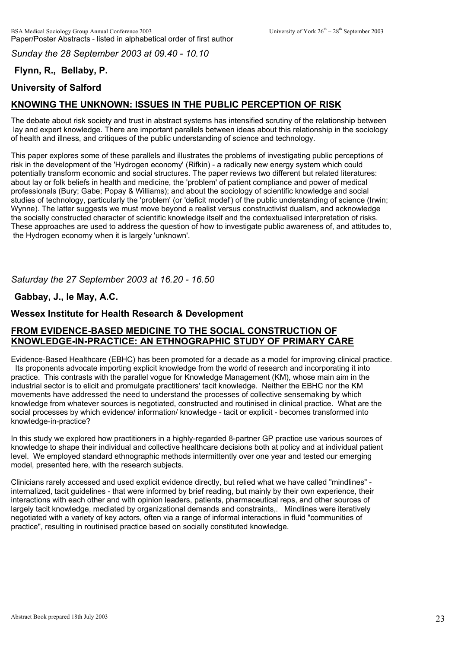*Sunday the 28 September 2003 at 09.40 - 10.10*

# **Flynn, R., Bellaby, P.**

# **University of Salford**

# **KNOWING THE UNKNOWN: ISSUES IN THE PUBLIC PERCEPTION OF RISK**

The debate about risk society and trust in abstract systems has intensified scrutiny of the relationship between lay and expert knowledge. There are important parallels between ideas about this relationship in the sociology of health and illness, and critiques of the public understanding of science and technology.

This paper explores some of these parallels and illustrates the problems of investigating public perceptions of risk in the development of the 'Hydrogen economy' (Rifkin) - a radically new energy system which could potentially transform economic and social structures. The paper reviews two different but related literatures: about lay or folk beliefs in health and medicine, the 'problem' of patient compliance and power of medical professionals (Bury; Gabe; Popay & Williams); and about the sociology of scientific knowledge and social studies of technology, particularly the 'problem' (or 'deficit model') of the public understanding of science (Irwin; Wynne). The latter suggests we must move beyond a realist versus constructivist dualism, and acknowledge the socially constructed character of scientific knowledge itself and the contextualised interpretation of risks. These approaches are used to address the question of how to investigate public awareness of, and attitudes to, the Hydrogen economy when it is largely 'unknown'.

*Saturday the 27 September 2003 at 16.20 - 16.50*

# **Gabbay, J., le May, A.C.**

# **Wessex Institute for Health Research & Development**

## **FROM EVIDENCE-BASED MEDICINE TO THE SOCIAL CONSTRUCTION OF KNOWLEDGE-IN-PRACTICE: AN ETHNOGRAPHIC STUDY OF PRIMARY CARE**

Evidence-Based Healthcare (EBHC) has been promoted for a decade as a model for improving clinical practice. Its proponents advocate importing explicit knowledge from the world of research and incorporating it into practice. This contrasts with the parallel vogue for Knowledge Management (KM), whose main aim in the industrial sector is to elicit and promulgate practitioners' tacit knowledge. Neither the EBHC nor the KM movements have addressed the need to understand the processes of collective sensemaking by which knowledge from whatever sources is negotiated, constructed and routinised in clinical practice. What are the social processes by which evidence/ information/ knowledge - tacit or explicit - becomes transformed into knowledge-in-practice?

In this study we explored how practitioners in a highly-regarded 8-partner GP practice use various sources of knowledge to shape their individual and collective healthcare decisions both at policy and at individual patient level. We employed standard ethnographic methods intermittently over one year and tested our emerging model, presented here, with the research subjects.

Clinicians rarely accessed and used explicit evidence directly, but relied what we have called "mindlines" internalized, tacit guidelines - that were informed by brief reading, but mainly by their own experience, their interactions with each other and with opinion leaders, patients, pharmaceutical reps, and other sources of largely tacit knowledge, mediated by organizational demands and constraints,. Mindlines were iteratively negotiated with a variety of key actors, often via a range of informal interactions in fluid "communities of practice", resulting in routinised practice based on socially constituted knowledge.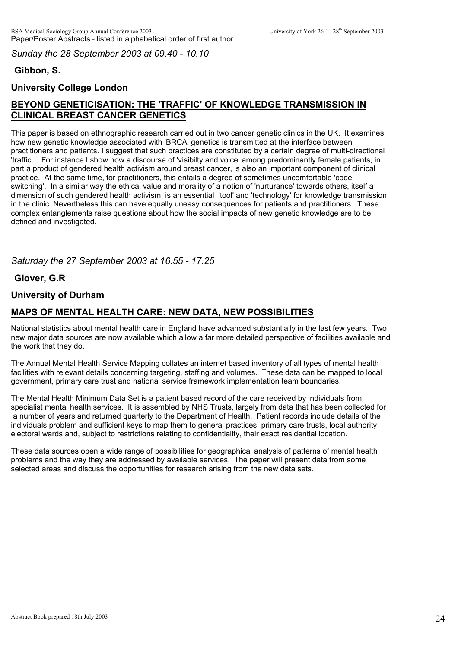*Sunday the 28 September 2003 at 09.40 - 10.10*

# **Gibbon, S.**

# **University College London**

# **BEYOND GENETICISATION: THE 'TRAFFIC' OF KNOWLEDGE TRANSMISSION IN CLINICAL BREAST CANCER GENETICS**

This paper is based on ethnographic research carried out in two cancer genetic clinics in the UK. It examines how new genetic knowledge associated with 'BRCA' genetics is transmitted at the interface between practitioners and patients. I suggest that such practices are constituted by a certain degree of multi-directional 'traffic'. For instance I show how a discourse of 'visibilty and voice' among predominantly female patients, in part a product of gendered health activism around breast cancer, is also an important component of clinical practice. At the same time, for practitioners, this entails a degree of sometimes uncomfortable 'code switching'. In a similar way the ethical value and morality of a notion of 'nurturance' towards others, itself a dimension of such gendered health activism, is an essential 'tool' and 'technology' for knowledge transmission in the clinic. Nevertheless this can have equally uneasy consequences for patients and practitioners. These complex entanglements raise questions about how the social impacts of new genetic knowledge are to be defined and investigated.

## *Saturday the 27 September 2003 at 16.55 - 17.25*

## **Glover, G.R**

## **University of Durham**

## **MAPS OF MENTAL HEALTH CARE: NEW DATA, NEW POSSIBILITIES**

National statistics about mental health care in England have advanced substantially in the last few years. Two new major data sources are now available which allow a far more detailed perspective of facilities available and the work that they do.

The Annual Mental Health Service Mapping collates an internet based inventory of all types of mental health facilities with relevant details concerning targeting, staffing and volumes. These data can be mapped to local government, primary care trust and national service framework implementation team boundaries.

The Mental Health Minimum Data Set is a patient based record of the care received by individuals from specialist mental health services. It is assembled by NHS Trusts, largely from data that has been collected for a number of years and returned quarterly to the Department of Health. Patient records include details of the individuals problem and sufficient keys to map them to general practices, primary care trusts, local authority electoral wards and, subject to restrictions relating to confidentiality, their exact residential location.

These data sources open a wide range of possibilities for geographical analysis of patterns of mental health problems and the way they are addressed by available services. The paper will present data from some selected areas and discuss the opportunities for research arising from the new data sets.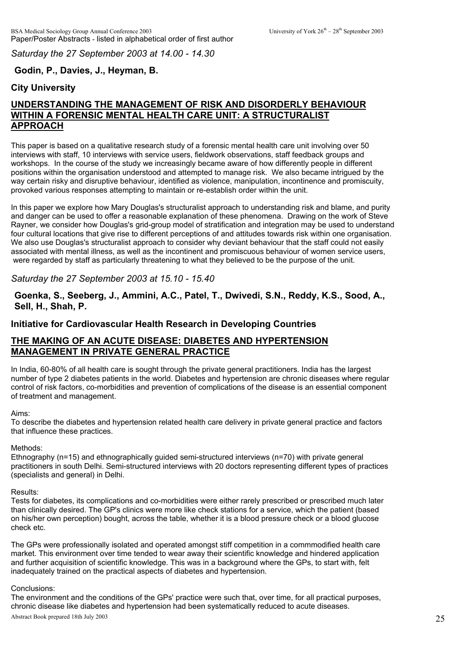*Saturday the 27 September 2003 at 14.00 - 14.30*

## **Godin, P., Davies, J., Heyman, B.**

## **City University**

# **UNDERSTANDING THE MANAGEMENT OF RISK AND DISORDERLY BEHAVIOUR WITHIN A FORENSIC MENTAL HEALTH CARE UNIT: A STRUCTURALIST APPROACH**

This paper is based on a qualitative research study of a forensic mental health care unit involving over 50 interviews with staff, 10 interviews with service users, fieldwork observations, staff feedback groups and workshops. In the course of the study we increasingly became aware of how differently people in different positions within the organisation understood and attempted to manage risk. We also became intrigued by the way certain risky and disruptive behaviour, identified as violence, manipulation, incontinence and promiscuity, provoked various responses attempting to maintain or re-establish order within the unit.

In this paper we explore how Mary Douglas's structuralist approach to understanding risk and blame, and purity and danger can be used to offer a reasonable explanation of these phenomena. Drawing on the work of Steve Rayner, we consider how Douglas's grid-group model of stratification and integration may be used to understand four cultural locations that give rise to different perceptions of and attitudes towards risk within one organisation. We also use Douglas's structuralist approach to consider why deviant behaviour that the staff could not easily associated with mental illness, as well as the incontinent and promiscuous behaviour of women service users, were regarded by staff as particularly threatening to what they believed to be the purpose of the unit.

#### *Saturday the 27 September 2003 at 15.10 - 15.40*

### **Goenka, S., Seeberg, J., Ammini, A.C., Patel, T., Dwivedi, S.N., Reddy, K.S., Sood, A., Sell, H., Shah, P.**

#### **Initiative for Cardiovascular Health Research in Developing Countries**

## **THE MAKING OF AN ACUTE DISEASE: DIABETES AND HYPERTENSION MANAGEMENT IN PRIVATE GENERAL PRACTICE**

In India, 60-80% of all health care is sought through the private general practitioners. India has the largest number of type 2 diabetes patients in the world. Diabetes and hypertension are chronic diseases where regular control of risk factors, co-morbidities and prevention of complications of the disease is an essential component of treatment and management.

#### Aims:

To describe the diabetes and hypertension related health care delivery in private general practice and factors that influence these practices.

#### Methods:

Ethnography (n=15) and ethnographically guided semi-structured interviews (n=70) with private general practitioners in south Delhi. Semi-structured interviews with 20 doctors representing different types of practices (specialists and general) in Delhi.

#### Results:

Tests for diabetes, its complications and co-morbidities were either rarely prescribed or prescribed much later than clinically desired. The GP's clinics were more like check stations for a service, which the patient (based on his/her own perception) bought, across the table, whether it is a blood pressure check or a blood glucose check etc.

The GPs were professionally isolated and operated amongst stiff competition in a commmodified health care market. This environment over time tended to wear away their scientific knowledge and hindered application and further acquisition of scientific knowledge. This was in a background where the GPs, to start with, felt inadequately trained on the practical aspects of diabetes and hypertension.

#### Conclusions:

The environment and the conditions of the GPs' practice were such that, over time, for all practical purposes, Abstract Book prepared 18th July 2003 chronic disease like diabetes and hypertension had been systematically reduced to acute diseases.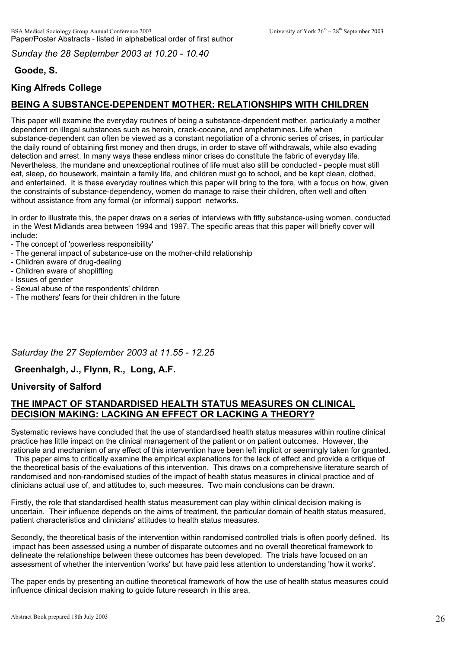*Sunday the 28 September 2003 at 10.20 - 10.40*

# **Goode, S.**

# **King Alfreds College**

# **BEING A SUBSTANCE-DEPENDENT MOTHER: RELATIONSHIPS WITH CHILDREN**

This paper will examine the everyday routines of being a substance-dependent mother, particularly a mother dependent on illegal substances such as heroin, crack-cocaine, and amphetamines. Life when substance-dependent can often be viewed as a constant negotiation of a chronic series of crises, in particular the daily round of obtaining first money and then drugs, in order to stave off withdrawals, while also evading detection and arrest. In many ways these endless minor crises do constitute the fabric of everyday life. Nevertheless, the mundane and unexceptional routines of life must also still be conducted - people must still eat, sleep, do housework, maintain a family life, and children must go to school, and be kept clean, clothed, and entertained. It is these everyday routines which this paper will bring to the fore, with a focus on how, given the constraints of substance-dependency, women do manage to raise their children, often well and often without assistance from any formal (or informal) support networks.

In order to illustrate this, the paper draws on a series of interviews with fifty substance-using women, conducted in the West Midlands area between 1994 and 1997. The specific areas that this paper will briefly cover will include:

- The concept of 'powerless responsibility'
- The general impact of substance-use on the mother-child relationship
- Children aware of drug-dealing
- Children aware of shoplifting
- Issues of gender
- Sexual abuse of the respondents' children
- The mothers' fears for their children in the future

### *Saturday the 27 September 2003 at 11.55 - 12.25*

### **Greenhalgh, J., Flynn, R., Long, A.F.**

### **University of Salford**

# **THE IMPACT OF STANDARDISED HEALTH STATUS MEASURES ON CLINICAL DECISION MAKING: LACKING AN EFFECT OR LACKING A THEORY?**

Systematic reviews have concluded that the use of standardised health status measures within routine clinical practice has little impact on the clinical management of the patient or on patient outcomes. However, the rationale and mechanism of any effect of this intervention have been left implicit or seemingly taken for granted.

 This paper aims to critically examine the empirical explanations for the lack of effect and provide a critique of the theoretical basis of the evaluations of this intervention. This draws on a comprehensive literature search of randomised and non-randomised studies of the impact of health status measures in clinical practice and of clinicians actual use of, and attitudes to, such measures. Two main conclusions can be drawn.

Firstly, the role that standardised health status measurement can play within clinical decision making is uncertain. Their influence depends on the aims of treatment, the particular domain of health status measured, patient characteristics and clinicians' attitudes to health status measures.

Secondly, the theoretical basis of the intervention within randomised controlled trials is often poorly defined. Its impact has been assessed using a number of disparate outcomes and no overall theoretical framework to delineate the relationships between these outcomes has been developed. The trials have focused on an assessment of whether the intervention 'works' but have paid less attention to understanding 'how it works'.

The paper ends by presenting an outline theoretical framework of how the use of health status measures could influence clinical decision making to guide future research in this area.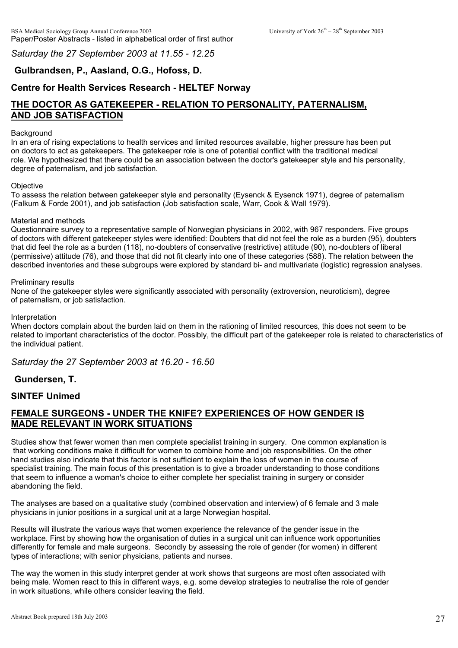*Saturday the 27 September 2003 at 11.55 - 12.25*

# **Gulbrandsen, P., Aasland, O.G., Hofoss, D.**

# **Centre for Health Services Research - HELTEF Norway**

# **THE DOCTOR AS GATEKEEPER - RELATION TO PERSONALITY, PATERNALISM, AND JOB SATISFACTION**

#### Background

In an era of rising expectations to health services and limited resources available, higher pressure has been put on doctors to act as gatekeepers. The gatekeeper role is one of potential conflict with the traditional medical role. We hypothesized that there could be an association between the doctor's gatekeeper style and his personality, degree of paternalism, and job satisfaction.

#### **Objective**

To assess the relation between gatekeeper style and personality (Eysenck & Eysenck 1971), degree of paternalism (Falkum & Forde 2001), and job satisfaction (Job satisfaction scale, Warr, Cook & Wall 1979).

#### Material and methods

Questionnaire survey to a representative sample of Norwegian physicians in 2002, with 967 responders. Five groups of doctors with different gatekeeper styles were identified: Doubters that did not feel the role as a burden (95), doubters that did feel the role as a burden (118), no-doubters of conservative (restrictive) attitude (90), no-doubters of liberal (permissive) attitude (76), and those that did not fit clearly into one of these categories (588). The relation between the described inventories and these subgroups were explored by standard bi- and multivariate (logistic) regression analyses.

#### Preliminary results

None of the gatekeeper styles were significantly associated with personality (extroversion, neuroticism), degree of paternalism, or job satisfaction.

#### Interpretation

When doctors complain about the burden laid on them in the rationing of limited resources, this does not seem to be related to important characteristics of the doctor. Possibly, the difficult part of the gatekeeper role is related to characteristics of the individual patient.

*Saturday the 27 September 2003 at 16.20 - 16.50*

### **Gundersen, T.**

### **SINTEF Unimed**

# **FEMALE SURGEONS - UNDER THE KNIFE? EXPERIENCES OF HOW GENDER IS MADE RELEVANT IN WORK SITUATIONS**

Studies show that fewer women than men complete specialist training in surgery. One common explanation is that working conditions make it difficult for women to combine home and job responsibilities. On the other hand studies also indicate that this factor is not sufficient to explain the loss of women in the course of specialist training. The main focus of this presentation is to give a broader understanding to those conditions that seem to influence a woman's choice to either complete her specialist training in surgery or consider abandoning the field.

The analyses are based on a qualitative study (combined observation and interview) of 6 female and 3 male physicians in junior positions in a surgical unit at a large Norwegian hospital.

Results will illustrate the various ways that women experience the relevance of the gender issue in the workplace. First by showing how the organisation of duties in a surgical unit can influence work opportunities differently for female and male surgeons. Secondly by assessing the role of gender (for women) in different types of interactions; with senior physicians, patients and nurses.

The way the women in this study interpret gender at work shows that surgeons are most often associated with being male. Women react to this in different ways, e.g. some develop strategies to neutralise the role of gender in work situations, while others consider leaving the field.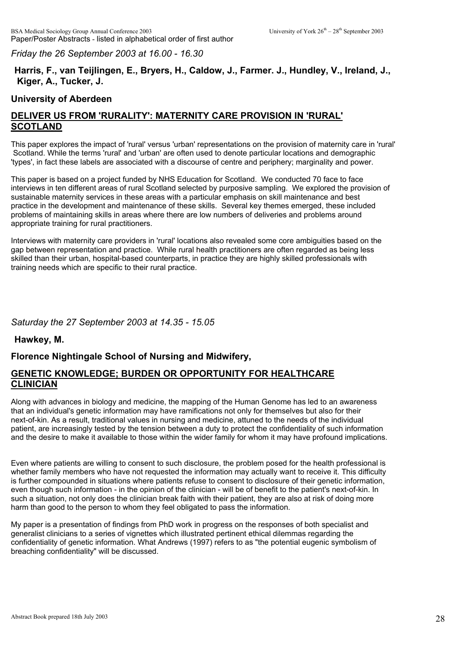*Friday the 26 September 2003 at 16.00 - 16.30*

# **Harris, F., van Teijlingen, E., Bryers, H., Caldow, J., Farmer. J., Hundley, V., Ireland, J., Kiger, A., Tucker, J.**

### **University of Aberdeen**

# **DELIVER US FROM 'RURALITY': MATERNITY CARE PROVISION IN 'RURAL' SCOTLAND**

This paper explores the impact of 'rural' versus 'urban' representations on the provision of maternity care in 'rural' Scotland. While the terms 'rural' and 'urban' are often used to denote particular locations and demographic 'types', in fact these labels are associated with a discourse of centre and periphery; marginality and power.

This paper is based on a project funded by NHS Education for Scotland. We conducted 70 face to face interviews in ten different areas of rural Scotland selected by purposive sampling. We explored the provision of sustainable maternity services in these areas with a particular emphasis on skill maintenance and best practice in the development and maintenance of these skills. Several key themes emerged, these included problems of maintaining skills in areas where there are low numbers of deliveries and problems around appropriate training for rural practitioners.

Interviews with maternity care providers in 'rural' locations also revealed some core ambiguities based on the gap between representation and practice. While rural health practitioners are often regarded as being less skilled than their urban, hospital-based counterparts, in practice they are highly skilled professionals with training needs which are specific to their rural practice.

### *Saturday the 27 September 2003 at 14.35 - 15.05*

**Hawkey, M.**

# **Florence Nightingale School of Nursing and Midwifery,**

# **GENETIC KNOWLEDGE; BURDEN OR OPPORTUNITY FOR HEALTHCARE CLINICIAN**

Along with advances in biology and medicine, the mapping of the Human Genome has led to an awareness that an individual's genetic information may have ramifications not only for themselves but also for their next-of-kin. As a result, traditional values in nursing and medicine, attuned to the needs of the individual patient, are increasingly tested by the tension between a duty to protect the confidentiality of such information and the desire to make it available to those within the wider family for whom it may have profound implications.

Even where patients are willing to consent to such disclosure, the problem posed for the health professional is whether family members who have not requested the information may actually want to receive it. This difficulty is further compounded in situations where patients refuse to consent to disclosure of their genetic information, even though such information - in the opinion of the clinician - will be of benefit to the patient's next-of-kin. In such a situation, not only does the clinician break faith with their patient, they are also at risk of doing more harm than good to the person to whom they feel obligated to pass the information.

My paper is a presentation of findings from PhD work in progress on the responses of both specialist and generalist clinicians to a series of vignettes which illustrated pertinent ethical dilemmas regarding the confidentiality of genetic information. What Andrews (1997) refers to as "the potential eugenic symbolism of breaching confidentiality" will be discussed.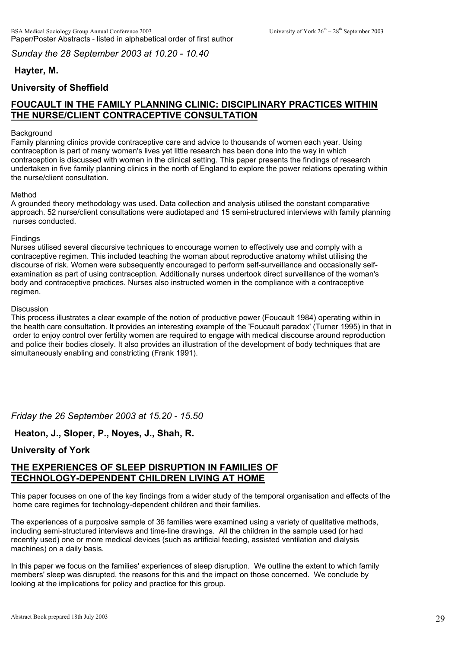*Sunday the 28 September 2003 at 10.20 - 10.40*

# **Hayter, M.**

# **University of Sheffield**

# **FOUCAULT IN THE FAMILY PLANNING CLINIC: DISCIPLINARY PRACTICES WITHIN THE NURSE/CLIENT CONTRACEPTIVE CONSULTATION**

#### **Background**

Family planning clinics provide contraceptive care and advice to thousands of women each year. Using contraception is part of many women's lives yet little research has been done into the way in which contraception is discussed with women in the clinical setting. This paper presents the findings of research undertaken in five family planning clinics in the north of England to explore the power relations operating within the nurse/client consultation.

#### Method

A grounded theory methodology was used. Data collection and analysis utilised the constant comparative approach. 52 nurse/client consultations were audiotaped and 15 semi-structured interviews with family planning nurses conducted.

#### **Findings**

Nurses utilised several discursive techniques to encourage women to effectively use and comply with a contraceptive regimen. This included teaching the woman about reproductive anatomy whilst utilising the discourse of risk. Women were subsequently encouraged to perform self-surveillance and occasionally selfexamination as part of using contraception. Additionally nurses undertook direct surveillance of the woman's body and contraceptive practices. Nurses also instructed women in the compliance with a contraceptive regimen.

#### Discussion

This process illustrates a clear example of the notion of productive power (Foucault 1984) operating within in the health care consultation. It provides an interesting example of the 'Foucault paradox' (Turner 1995) in that in order to enjoy control over fertility women are required to engage with medical discourse around reproduction and police their bodies closely. It also provides an illustration of the development of body techniques that are simultaneously enabling and constricting (Frank 1991).

*Friday the 26 September 2003 at 15.20 - 15.50*

# **Heaton, J., Sloper, P., Noyes, J., Shah, R.**

# **University of York**

# **THE EXPERIENCES OF SLEEP DISRUPTION IN FAMILIES OF TECHNOLOGY-DEPENDENT CHILDREN LIVING AT HOME**

This paper focuses on one of the key findings from a wider study of the temporal organisation and effects of the home care regimes for technology-dependent children and their families.

The experiences of a purposive sample of 36 families were examined using a variety of qualitative methods, including semi-structured interviews and time-line drawings. All the children in the sample used (or had recently used) one or more medical devices (such as artificial feeding, assisted ventilation and dialysis machines) on a daily basis.

In this paper we focus on the families' experiences of sleep disruption. We outline the extent to which family members' sleep was disrupted, the reasons for this and the impact on those concerned. We conclude by looking at the implications for policy and practice for this group.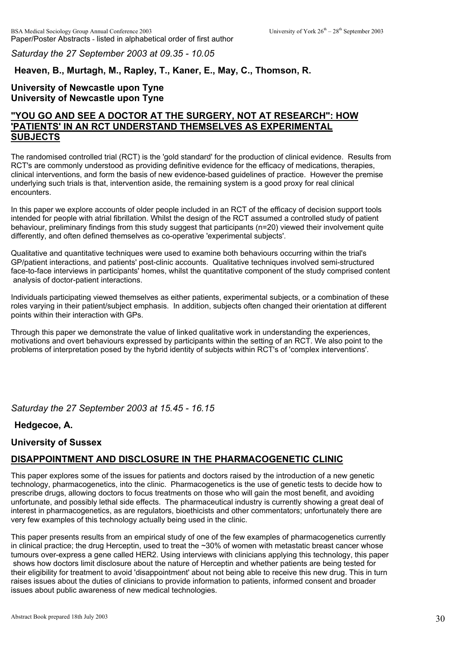*Saturday the 27 September 2003 at 09.35 - 10.05*

# **Heaven, B., Murtagh, M., Rapley, T., Kaner, E., May, C., Thomson, R.**

## **University of Newcastle upon Tyne University of Newcastle upon Tyne**

# **"YOU GO AND SEE A DOCTOR AT THE SURGERY, NOT AT RESEARCH": HOW 'PATIENTS' IN AN RCT UNDERSTAND THEMSELVES AS EXPERIMENTAL SUBJECTS**

The randomised controlled trial (RCT) is the 'gold standard' for the production of clinical evidence. Results from RCT's are commonly understood as providing definitive evidence for the efficacy of medications, therapies, clinical interventions, and form the basis of new evidence-based guidelines of practice. However the premise underlying such trials is that, intervention aside, the remaining system is a good proxy for real clinical encounters.

In this paper we explore accounts of older people included in an RCT of the efficacy of decision support tools intended for people with atrial fibrillation. Whilst the design of the RCT assumed a controlled study of patient behaviour, preliminary findings from this study suggest that participants (n=20) viewed their involvement quite differently, and often defined themselves as co-operative 'experimental subjects'.

Qualitative and quantitative techniques were used to examine both behaviours occurring within the trial's GP/patient interactions, and patients' post-clinic accounts. Qualitative techniques involved semi-structured face-to-face interviews in participants' homes, whilst the quantitative component of the study comprised content analysis of doctor-patient interactions.

Individuals participating viewed themselves as either patients, experimental subjects, or a combination of these roles varying in their patient/subject emphasis. In addition, subjects often changed their orientation at different points within their interaction with GPs.

Through this paper we demonstrate the value of linked qualitative work in understanding the experiences, motivations and overt behaviours expressed by participants within the setting of an RCT. We also point to the problems of interpretation posed by the hybrid identity of subjects within RCT's of 'complex interventions'.

*Saturday the 27 September 2003 at 15.45 - 16.15*

# **Hedgecoe, A.**

# **University of Sussex**

# **DISAPPOINTMENT AND DISCLOSURE IN THE PHARMACOGENETIC CLINIC**

This paper explores some of the issues for patients and doctors raised by the introduction of a new genetic technology, pharmacogenetics, into the clinic. Pharmacogenetics is the use of genetic tests to decide how to prescribe drugs, allowing doctors to focus treatments on those who will gain the most benefit, and avoiding unfortunate, and possibly lethal side effects. The pharmaceutical industry is currently showing a great deal of interest in pharmacogenetics, as are regulators, bioethicists and other commentators; unfortunately there are very few examples of this technology actually being used in the clinic.

This paper presents results from an empirical study of one of the few examples of pharmacogenetics currently in clinical practice; the drug Herceptin, used to treat the ~30% of women with metastatic breast cancer whose tumours over-express a gene called HER2. Using interviews with clinicians applying this technology, this paper shows how doctors limit disclosure about the nature of Herceptin and whether patients are being tested for their eligibility for treatment to avoid 'disappointment' about not being able to receive this new drug. This in turn raises issues about the duties of clinicians to provide information to patients, informed consent and broader issues about public awareness of new medical technologies.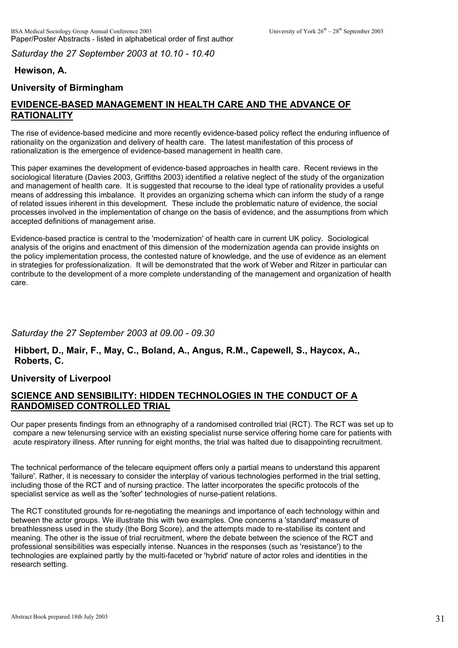*Saturday the 27 September 2003 at 10.10 - 10.40*

# **Hewison, A.**

# **University of Birmingham**

# **EVIDENCE-BASED MANAGEMENT IN HEALTH CARE AND THE ADVANCE OF RATIONALITY**

The rise of evidence-based medicine and more recently evidence-based policy reflect the enduring influence of rationality on the organization and delivery of health care. The latest manifestation of this process of rationalization is the emergence of evidence-based management in health care.

This paper examines the development of evidence-based approaches in health care. Recent reviews in the sociological literature (Davies 2003, Griffiths 2003) identified a relative neglect of the study of the organization and management of health care. It is suggested that recourse to the ideal type of rationality provides a useful means of addressing this imbalance. It provides an organizing schema which can inform the study of a range of related issues inherent in this development. These include the problematic nature of evidence, the social processes involved in the implementation of change on the basis of evidence, and the assumptions from which accepted definitions of management arise.

Evidence-based practice is central to the 'modernization' of health care in current UK policy. Sociological analysis of the origins and enactment of this dimension of the modernization agenda can provide insights on the policy implementation process, the contested nature of knowledge, and the use of evidence as an element in strategies for professionalization. It will be demonstrated that the work of Weber and Ritzer in particular can contribute to the development of a more complete understanding of the management and organization of health care.

# *Saturday the 27 September 2003 at 09.00 - 09.30*

**Hibbert, D., Mair, F., May, C., Boland, A., Angus, R.M., Capewell, S., Haycox, A., Roberts, C.** 

### **University of Liverpool**

# **SCIENCE AND SENSIBILITY: HIDDEN TECHNOLOGIES IN THE CONDUCT OF A RANDOMISED CONTROLLED TRIAL**

Our paper presents findings from an ethnography of a randomised controlled trial (RCT). The RCT was set up to compare a new telenursing service with an existing specialist nurse service offering home care for patients with acute respiratory illness. After running for eight months, the trial was halted due to disappointing recruitment.

The technical performance of the telecare equipment offers only a partial means to understand this apparent 'failure'. Rather, it is necessary to consider the interplay of various technologies performed in the trial setting, including those of the RCT and of nursing practice. The latter incorporates the specific protocols of the specialist service as well as the 'softer' technologies of nurse-patient relations.

The RCT constituted grounds for re-negotiating the meanings and importance of each technology within and between the actor groups. We illustrate this with two examples. One concerns a 'standard' measure of breathlessness used in the study (the Borg Score), and the attempts made to re-stabilise its content and meaning. The other is the issue of trial recruitment, where the debate between the science of the RCT and professional sensibilities was especially intense. Nuances in the responses (such as 'resistance') to the technologies are explained partly by the multi-faceted or 'hybrid' nature of actor roles and identities in the research setting.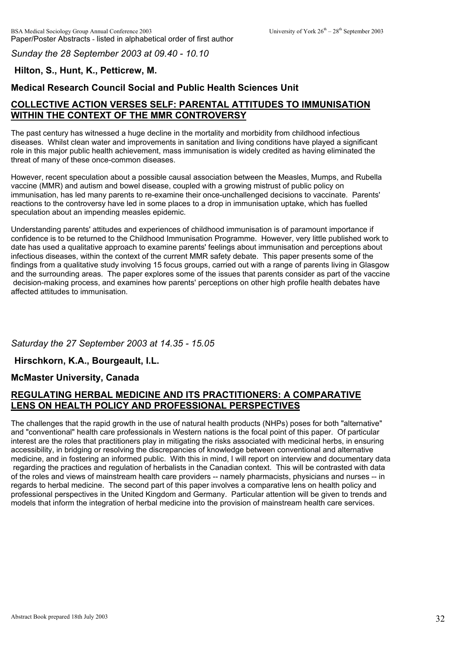*Sunday the 28 September 2003 at 09.40 - 10.10*

## **Hilton, S., Hunt, K., Petticrew, M.**

## **Medical Research Council Social and Public Health Sciences Unit**

# **COLLECTIVE ACTION VERSES SELF: PARENTAL ATTITUDES TO IMMUNISATION WITHIN THE CONTEXT OF THE MMR CONTROVERSY**

The past century has witnessed a huge decline in the mortality and morbidity from childhood infectious diseases. Whilst clean water and improvements in sanitation and living conditions have played a significant role in this major public health achievement, mass immunisation is widely credited as having eliminated the threat of many of these once-common diseases.

However, recent speculation about a possible causal association between the Measles, Mumps, and Rubella vaccine (MMR) and autism and bowel disease, coupled with a growing mistrust of public policy on immunisation, has led many parents to re-examine their once-unchallenged decisions to vaccinate. Parents' reactions to the controversy have led in some places to a drop in immunisation uptake, which has fuelled speculation about an impending measles epidemic.

Understanding parents' attitudes and experiences of childhood immunisation is of paramount importance if confidence is to be returned to the Childhood Immunisation Programme. However, very little published work to date has used a qualitative approach to examine parents' feelings about immunisation and perceptions about infectious diseases, within the context of the current MMR safety debate. This paper presents some of the findings from a qualitative study involving 15 focus groups, carried out with a range of parents living in Glasgow and the surrounding areas. The paper explores some of the issues that parents consider as part of the vaccine decision-making process, and examines how parents' perceptions on other high profile health debates have affected attitudes to immunisation.

### *Saturday the 27 September 2003 at 14.35 - 15.05*

### **Hirschkorn, K.A., Bourgeault, I.L.**

### **McMaster University, Canada**

## **REGULATING HERBAL MEDICINE AND ITS PRACTITIONERS: A COMPARATIVE LENS ON HEALTH POLICY AND PROFESSIONAL PERSPECTIVES**

The challenges that the rapid growth in the use of natural health products (NHPs) poses for both "alternative" and "conventional" health care professionals in Western nations is the focal point of this paper. Of particular interest are the roles that practitioners play in mitigating the risks associated with medicinal herbs, in ensuring accessibility, in bridging or resolving the discrepancies of knowledge between conventional and alternative medicine, and in fostering an informed public. With this in mind, I will report on interview and documentary data regarding the practices and regulation of herbalists in the Canadian context. This will be contrasted with data of the roles and views of mainstream health care providers -- namely pharmacists, physicians and nurses -- in regards to herbal medicine. The second part of this paper involves a comparative lens on health policy and professional perspectives in the United Kingdom and Germany. Particular attention will be given to trends and models that inform the integration of herbal medicine into the provision of mainstream health care services.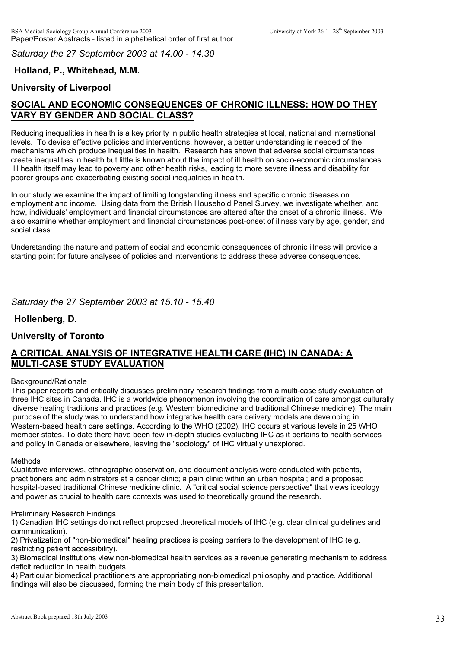*Saturday the 27 September 2003 at 14.00 - 14.30*

# **Holland, P., Whitehead, M.M.**

## **University of Liverpool**

# **SOCIAL AND ECONOMIC CONSEQUENCES OF CHRONIC ILLNESS: HOW DO THEY VARY BY GENDER AND SOCIAL CLASS?**

Reducing inequalities in health is a key priority in public health strategies at local, national and international levels. To devise effective policies and interventions, however, a better understanding is needed of the mechanisms which produce inequalities in health. Research has shown that adverse social circumstances create inequalities in health but little is known about the impact of ill health on socio-economic circumstances. Ill health itself may lead to poverty and other health risks, leading to more severe illness and disability for poorer groups and exacerbating existing social inequalities in health.

In our study we examine the impact of limiting longstanding illness and specific chronic diseases on employment and income. Using data from the British Household Panel Survey, we investigate whether, and how, individuals' employment and financial circumstances are altered after the onset of a chronic illness. We also examine whether employment and financial circumstances post-onset of illness vary by age, gender, and social class.

Understanding the nature and pattern of social and economic consequences of chronic illness will provide a starting point for future analyses of policies and interventions to address these adverse consequences.

#### *Saturday the 27 September 2003 at 15.10 - 15.40*

#### **Hollenberg, D.**

#### **University of Toronto**

# **A CRITICAL ANALYSIS OF INTEGRATIVE HEALTH CARE (IHC) IN CANADA: A MULTI-CASE STUDY EVALUATION**

#### Background/Rationale

This paper reports and critically discusses preliminary research findings from a multi-case study evaluation of three IHC sites in Canada. IHC is a worldwide phenomenon involving the coordination of care amongst culturally diverse healing traditions and practices (e.g. Western biomedicine and traditional Chinese medicine). The main purpose of the study was to understand how integrative health care delivery models are developing in Western-based health care settings. According to the WHO (2002), IHC occurs at various levels in 25 WHO member states. To date there have been few in-depth studies evaluating IHC as it pertains to health services and policy in Canada or elsewhere, leaving the "sociology" of IHC virtually unexplored.

#### Methods

Qualitative interviews, ethnographic observation, and document analysis were conducted with patients, practitioners and administrators at a cancer clinic; a pain clinic within an urban hospital; and a proposed hospital-based traditional Chinese medicine clinic. A "critical social science perspective" that views ideology and power as crucial to health care contexts was used to theoretically ground the research.

#### Preliminary Research Findings

1) Canadian IHC settings do not reflect proposed theoretical models of IHC (e.g. clear clinical guidelines and communication).

2) Privatization of "non-biomedical" healing practices is posing barriers to the development of IHC (e.g. restricting patient accessibility).

3) Biomedical institutions view non-biomedical health services as a revenue generating mechanism to address deficit reduction in health budgets.

4) Particular biomedical practitioners are appropriating non-biomedical philosophy and practice. Additional findings will also be discussed, forming the main body of this presentation.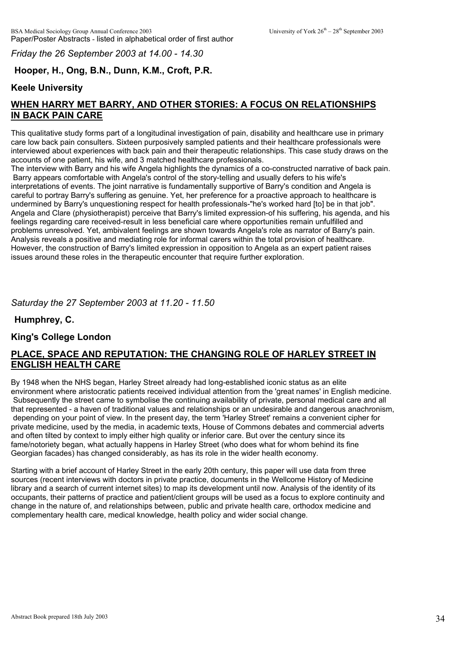*Friday the 26 September 2003 at 14.00 - 14.30*

# **Hooper, H., Ong, B.N., Dunn, K.M., Croft, P.R.**

### **Keele University**

# **WHEN HARRY MET BARRY, AND OTHER STORIES: A FOCUS ON RELATIONSHIPS IN BACK PAIN CARE**

This qualitative study forms part of a longitudinal investigation of pain, disability and healthcare use in primary care low back pain consulters. Sixteen purposively sampled patients and their healthcare professionals were interviewed about experiences with back pain and their therapeutic relationships. This case study draws on the accounts of one patient, his wife, and 3 matched healthcare professionals.

The interview with Barry and his wife Angela highlights the dynamics of a co-constructed narrative of back pain. Barry appears comfortable with Angela's control of the story-telling and usually defers to his wife's interpretations of events. The joint narrative is fundamentally supportive of Barry's condition and Angela is careful to portray Barry's suffering as genuine. Yet, her preference for a proactive approach to healthcare is undermined by Barry's unquestioning respect for health professionals-"he's worked hard [to] be in that job". Angela and Clare (physiotherapist) perceive that Barry's limited expression-of his suffering, his agenda, and his feelings regarding care received-result in less beneficial care where opportunities remain unfulfilled and problems unresolved. Yet, ambivalent feelings are shown towards Angela's role as narrator of Barry's pain. Analysis reveals a positive and mediating role for informal carers within the total provision of healthcare. However, the construction of Barry's limited expression in opposition to Angela as an expert patient raises issues around these roles in the therapeutic encounter that require further exploration.

### *Saturday the 27 September 2003 at 11.20 - 11.50*

**Humphrey, C.**

### **King's College London**

# **PLACE, SPACE AND REPUTATION: THE CHANGING ROLE OF HARLEY STREET IN ENGLISH HEALTH CARE**

By 1948 when the NHS began, Harley Street already had long-established iconic status as an elite environment where aristocratic patients received individual attention from the 'great names' in English medicine. Subsequently the street came to symbolise the continuing availability of private, personal medical care and all that represented - a haven of traditional values and relationships or an undesirable and dangerous anachronism, depending on your point of view. In the present day, the term 'Harley Street' remains a convenient cipher for private medicine, used by the media, in academic texts, House of Commons debates and commercial adverts and often tilted by context to imply either high quality or inferior care. But over the century since its fame/notoriety began, what actually happens in Harley Street (who does what for whom behind its fine Georgian facades) has changed considerably, as has its role in the wider health economy.

Starting with a brief account of Harley Street in the early 20th century, this paper will use data from three sources (recent interviews with doctors in private practice, documents in the Wellcome History of Medicine library and a search of current internet sites) to map its development until now. Analysis of the identity of its occupants, their patterns of practice and patient/client groups will be used as a focus to explore continuity and change in the nature of, and relationships between, public and private health care, orthodox medicine and complementary health care, medical knowledge, health policy and wider social change.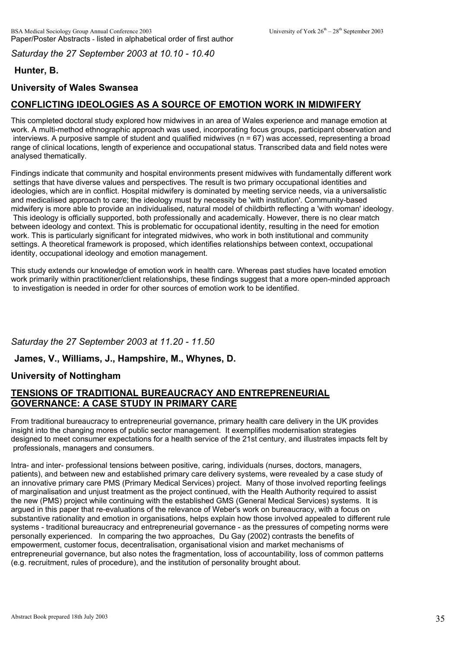*Saturday the 27 September 2003 at 10.10 - 10.40*

# **Hunter, B.**

# **University of Wales Swansea**

# **CONFLICTING IDEOLOGIES AS A SOURCE OF EMOTION WORK IN MIDWIFERY**

This completed doctoral study explored how midwives in an area of Wales experience and manage emotion at work. A multi-method ethnographic approach was used, incorporating focus groups, participant observation and interviews. A purposive sample of student and qualified midwives ( $n = 67$ ) was accessed, representing a broad range of clinical locations, length of experience and occupational status. Transcribed data and field notes were analysed thematically.

Findings indicate that community and hospital environments present midwives with fundamentally different work settings that have diverse values and perspectives. The result is two primary occupational identities and ideologies, which are in conflict. Hospital midwifery is dominated by meeting service needs, via a universalistic and medicalised approach to care; the ideology must by necessity be 'with institution'. Community-based midwifery is more able to provide an individualised, natural model of childbirth reflecting a 'with woman' ideology. This ideology is officially supported, both professionally and academically. However, there is no clear match between ideology and context. This is problematic for occupational identity, resulting in the need for emotion work. This is particularly significant for integrated midwives, who work in both institutional and community settings. A theoretical framework is proposed, which identifies relationships between context, occupational identity, occupational ideology and emotion management.

This study extends our knowledge of emotion work in health care. Whereas past studies have located emotion work primarily within practitioner/client relationships, these findings suggest that a more open-minded approach to investigation is needed in order for other sources of emotion work to be identified.

# *Saturday the 27 September 2003 at 11.20 - 11.50*

### **James, V., Williams, J., Hampshire, M., Whynes, D.**

### **University of Nottingham**

## **TENSIONS OF TRADITIONAL BUREAUCRACY AND ENTREPRENEURIAL GOVERNANCE: A CASE STUDY IN PRIMARY CARE**

From traditional bureaucracy to entrepreneurial governance, primary health care delivery in the UK provides insight into the changing mores of public sector management. It exemplifies modernisation strategies designed to meet consumer expectations for a health service of the 21st century, and illustrates impacts felt by professionals, managers and consumers.

Intra- and inter- professional tensions between positive, caring, individuals (nurses, doctors, managers, patients), and between new and established primary care delivery systems, were revealed by a case study of an innovative primary care PMS (Primary Medical Services) project. Many of those involved reporting feelings of marginalisation and unjust treatment as the project continued, with the Health Authority required to assist the new (PMS) project while continuing with the established GMS (General Medical Services) systems. It is argued in this paper that re-evaluations of the relevance of Weber's work on bureaucracy, with a focus on substantive rationality and emotion in organisations, helps explain how those involved appealed to different rule systems - traditional bureaucracy and entrepreneurial governance - as the pressures of competing norms were personally experienced. In comparing the two approaches, Du Gay (2002) contrasts the benefits of empowerment, customer focus, decentralisation, organisational vision and market mechanisms of entrepreneurial governance, but also notes the fragmentation, loss of accountability, loss of common patterns (e.g. recruitment, rules of procedure), and the institution of personality brought about.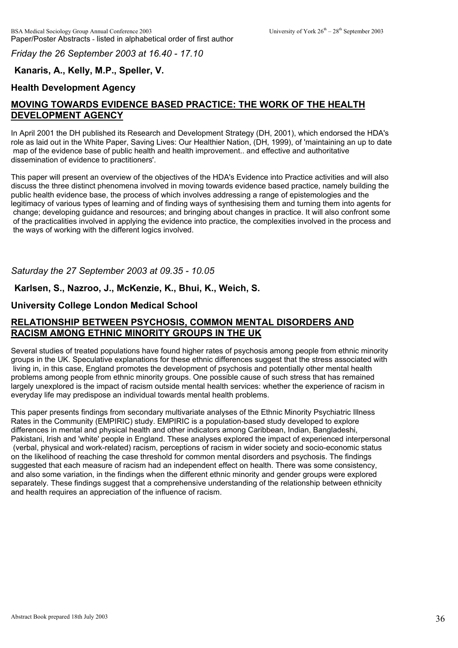*Friday the 26 September 2003 at 16.40 - 17.10*

## **Kanaris, A., Kelly, M.P., Speller, V.**

## **Health Development Agency**

# **MOVING TOWARDS EVIDENCE BASED PRACTICE: THE WORK OF THE HEALTH DEVELOPMENT AGENCY**

In April 2001 the DH published its Research and Development Strategy (DH, 2001), which endorsed the HDA's role as laid out in the White Paper, Saving Lives: Our Healthier Nation, (DH, 1999), of 'maintaining an up to date map of the evidence base of public health and health improvement.. and effective and authoritative dissemination of evidence to practitioners'.

This paper will present an overview of the objectives of the HDA's Evidence into Practice activities and will also discuss the three distinct phenomena involved in moving towards evidence based practice, namely building the public health evidence base, the process of which involves addressing a range of epistemologies and the legitimacy of various types of learning and of finding ways of synthesising them and turning them into agents for change; developing guidance and resources; and bringing about changes in practice. It will also confront some of the practicalities involved in applying the evidence into practice, the complexities involved in the process and the ways of working with the different logics involved.

*Saturday the 27 September 2003 at 09.35 - 10.05*

### **Karlsen, S., Nazroo, J., McKenzie, K., Bhui, K., Weich, S.**

#### **University College London Medical School**

# **RELATIONSHIP BETWEEN PSYCHOSIS, COMMON MENTAL DISORDERS AND RACISM AMONG ETHNIC MINORITY GROUPS IN THE UK**

Several studies of treated populations have found higher rates of psychosis among people from ethnic minority groups in the UK. Speculative explanations for these ethnic differences suggest that the stress associated with living in, in this case, England promotes the development of psychosis and potentially other mental health problems among people from ethnic minority groups. One possible cause of such stress that has remained largely unexplored is the impact of racism outside mental health services: whether the experience of racism in everyday life may predispose an individual towards mental health problems.

This paper presents findings from secondary multivariate analyses of the Ethnic Minority Psychiatric Illness Rates in the Community (EMPIRIC) study. EMPIRIC is a population-based study developed to explore differences in mental and physical health and other indicators among Caribbean, Indian, Bangladeshi, Pakistani, Irish and 'white' people in England. These analyses explored the impact of experienced interpersonal (verbal, physical and work-related) racism, perceptions of racism in wider society and socio-economic status on the likelihood of reaching the case threshold for common mental disorders and psychosis. The findings suggested that each measure of racism had an independent effect on health. There was some consistency, and also some variation, in the findings when the different ethnic minority and gender groups were explored separately. These findings suggest that a comprehensive understanding of the relationship between ethnicity and health requires an appreciation of the influence of racism.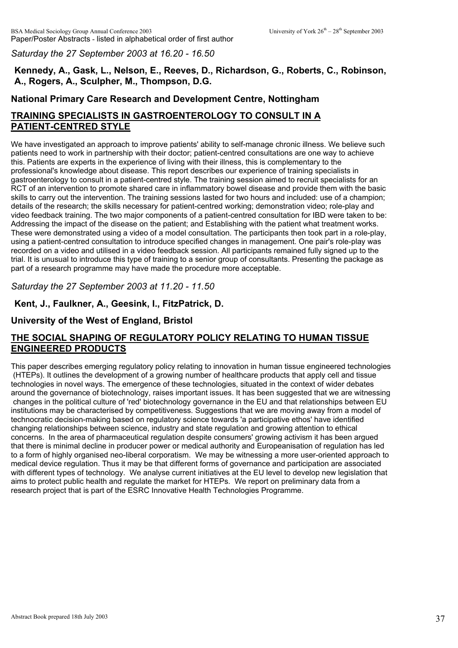*Saturday the 27 September 2003 at 16.20 - 16.50*

# **Kennedy, A., Gask, L., Nelson, E., Reeves, D., Richardson, G., Roberts, C., Robinson, A., Rogers, A., Sculpher, M., Thompson, D.G.**

### **National Primary Care Research and Development Centre, Nottingham**

# **TRAINING SPECIALISTS IN GASTROENTEROLOGY TO CONSULT IN A PATIENT-CENTRED STYLE**

We have investigated an approach to improve patients' ability to self-manage chronic illness. We believe such patients need to work in partnership with their doctor; patient-centred consultations are one way to achieve this. Patients are experts in the experience of living with their illness, this is complementary to the professional's knowledge about disease. This report describes our experience of training specialists in gastroenterology to consult in a patient-centred style. The training session aimed to recruit specialists for an RCT of an intervention to promote shared care in inflammatory bowel disease and provide them with the basic skills to carry out the intervention. The training sessions lasted for two hours and included: use of a champion; details of the research; the skills necessary for patient-centred working; demonstration video; role-play and video feedback training. The two major components of a patient-centred consultation for IBD were taken to be: Addressing the impact of the disease on the patient; and Establishing with the patient what treatment works. These were demonstrated using a video of a model consultation. The participants then took part in a role-play, using a patient-centred consultation to introduce specified changes in management. One pair's role-play was recorded on a video and utilised in a video feedback session. All participants remained fully signed up to the trial. It is unusual to introduce this type of training to a senior group of consultants. Presenting the package as part of a research programme may have made the procedure more acceptable.

*Saturday the 27 September 2003 at 11.20 - 11.50*

## **Kent, J., Faulkner, A., Geesink, I., FitzPatrick, D.**

# **University of the West of England, Bristol**

# **THE SOCIAL SHAPING OF REGULATORY POLICY RELATING TO HUMAN TISSUE ENGINEERED PRODUCTS**

This paper describes emerging regulatory policy relating to innovation in human tissue engineered technologies (HTEPs). It outlines the development of a growing number of healthcare products that apply cell and tissue technologies in novel ways. The emergence of these technologies, situated in the context of wider debates around the governance of biotechnology, raises important issues. It has been suggested that we are witnessing changes in the political culture of 'red' biotechnology governance in the EU and that relationships between EU institutions may be characterised by competitiveness. Suggestions that we are moving away from a model of technocratic decision-making based on regulatory science towards 'a participative ethos' have identified changing relationships between science, industry and state regulation and growing attention to ethical concerns. In the area of pharmaceutical regulation despite consumers' growing activism it has been argued that there is minimal decline in producer power or medical authority and Europeanisation of regulation has led to a form of highly organised neo-liberal corporatism. We may be witnessing a more user-oriented approach to medical device regulation. Thus it may be that different forms of governance and participation are associated with different types of technology. We analyse current initiatives at the EU level to develop new legislation that aims to protect public health and regulate the market for HTEPs. We report on preliminary data from a research project that is part of the ESRC Innovative Health Technologies Programme.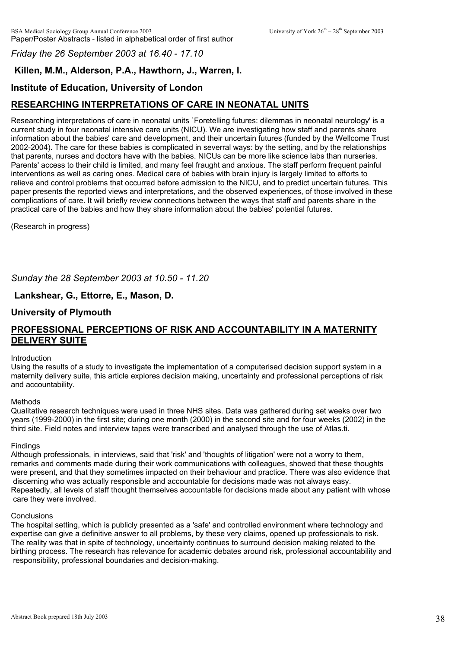#### *Friday the 26 September 2003 at 16.40 - 17.10*

# **Killen, M.M., Alderson, P.A., Hawthorn, J., Warren, I.**

### **Institute of Education, University of London**

# **RESEARCHING INTERPRETATIONS OF CARE IN NEONATAL UNITS**

Researching interpretations of care in neonatal units `Foretelling futures: dilemmas in neonatal neurology' is a current study in four neonatal intensive care units (NICU). We are investigating how staff and parents share information about the babies' care and development, and their uncertain futures (funded by the Wellcome Trust 2002-2004). The care for these babies is complicated in severral ways: by the setting, and by the relationships that parents, nurses and doctors have with the babies. NICUs can be more like science labs than nurseries. Parents' access to their child is limited, and many feel fraught and anxious. The staff perform frequent painful interventions as well as caring ones. Medical care of babies with brain injury is largely limited to efforts to relieve and control problems that occurred before admission to the NICU, and to predict uncertain futures. This paper presents the reported views and interpretations, and the observed experiences, of those involved in these complications of care. It will briefly review connections between the ways that staff and parents share in the practical care of the babies and how they share information about the babies' potential futures.

(Research in progress)

*Sunday the 28 September 2003 at 10.50 - 11.20*

### **Lankshear, G., Ettorre, E., Mason, D.**

### **University of Plymouth**

### **PROFESSIONAL PERCEPTIONS OF RISK AND ACCOUNTABILITY IN A MATERNITY DELIVERY SUITE**

#### Introduction

Using the results of a study to investigate the implementation of a computerised decision support system in a maternity delivery suite, this article explores decision making, uncertainty and professional perceptions of risk and accountability.

#### Methods

Qualitative research techniques were used in three NHS sites. Data was gathered during set weeks over two years (1999-2000) in the first site; during one month (2000) in the second site and for four weeks (2002) in the third site. Field notes and interview tapes were transcribed and analysed through the use of Atlas.ti.

#### **Findings**

Although professionals, in interviews, said that 'risk' and 'thoughts of litigation' were not a worry to them, remarks and comments made during their work communications with colleagues, showed that these thoughts were present, and that they sometimes impacted on their behaviour and practice. There was also evidence that discerning who was actually responsible and accountable for decisions made was not always easy. Repeatedly, all levels of staff thought themselves accountable for decisions made about any patient with whose care they were involved.

#### **Conclusions**

The hospital setting, which is publicly presented as a 'safe' and controlled environment where technology and expertise can give a definitive answer to all problems, by these very claims, opened up professionals to risk. The reality was that in spite of technology, uncertainty continues to surround decision making related to the birthing process. The research has relevance for academic debates around risk, professional accountability and responsibility, professional boundaries and decision-making.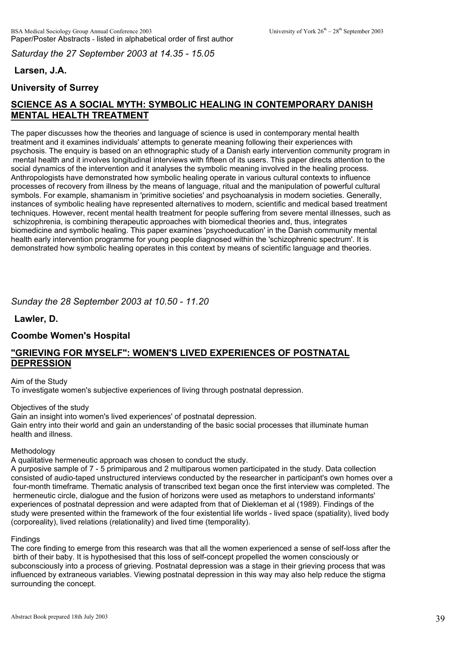*Saturday the 27 September 2003 at 14.35 - 15.05*

# **Larsen, J.A.**

# **University of Surrey**

# **SCIENCE AS A SOCIAL MYTH: SYMBOLIC HEALING IN CONTEMPORARY DANISH MENTAL HEALTH TREATMENT**

The paper discusses how the theories and language of science is used in contemporary mental health treatment and it examines individuals' attempts to generate meaning following their experiences with psychosis. The enquiry is based on an ethnographic study of a Danish early intervention community program in mental health and it involves longitudinal interviews with fifteen of its users. This paper directs attention to the social dynamics of the intervention and it analyses the symbolic meaning involved in the healing process. Anthropologists have demonstrated how symbolic healing operate in various cultural contexts to influence processes of recovery from illness by the means of language, ritual and the manipulation of powerful cultural symbols. For example, shamanism in 'primitive societies' and psychoanalysis in modern societies. Generally, instances of symbolic healing have represented alternatives to modern, scientific and medical based treatment techniques. However, recent mental health treatment for people suffering from severe mental illnesses, such as schizophrenia, is combining therapeutic approaches with biomedical theories and, thus, integrates biomedicine and symbolic healing. This paper examines 'psychoeducation' in the Danish community mental health early intervention programme for young people diagnosed within the 'schizophrenic spectrum'. It is demonstrated how symbolic healing operates in this context by means of scientific language and theories.

## *Sunday the 28 September 2003 at 10.50 - 11.20*

**Lawler, D.**

### **Coombe Women's Hospital**

## **"GRIEVING FOR MYSELF": WOMEN'S LIVED EXPERIENCES OF POSTNATAL DEPRESSION**

#### Aim of the Study To investigate women's subjective experiences of living through postnatal depression.

Objectives of the study

Gain an insight into women's lived experiences' of postnatal depression. Gain entry into their world and gain an understanding of the basic social processes that illuminate human health and illness.

**Methodology** 

A qualitative hermeneutic approach was chosen to conduct the study.

A purposive sample of 7 - 5 primiparous and 2 multiparous women participated in the study. Data collection consisted of audio-taped unstructured interviews conducted by the researcher in participant's own homes over a four-month timeframe. Thematic analysis of transcribed text began once the first interview was completed. The hermeneutic circle, dialogue and the fusion of horizons were used as metaphors to understand informants' experiences of postnatal depression and were adapted from that of Diekleman et al (1989). Findings of the study were presented within the framework of the four existential life worlds - lived space (spatiality), lived body (corporeality), lived relations (relationality) and lived time (temporality).

#### **Findings**

The core finding to emerge from this research was that all the women experienced a sense of self-loss after the birth of their baby. It is hypothesised that this loss of self-concept propelled the women consciously or subconsciously into a process of grieving. Postnatal depression was a stage in their grieving process that was influenced by extraneous variables. Viewing postnatal depression in this way may also help reduce the stigma surrounding the concept.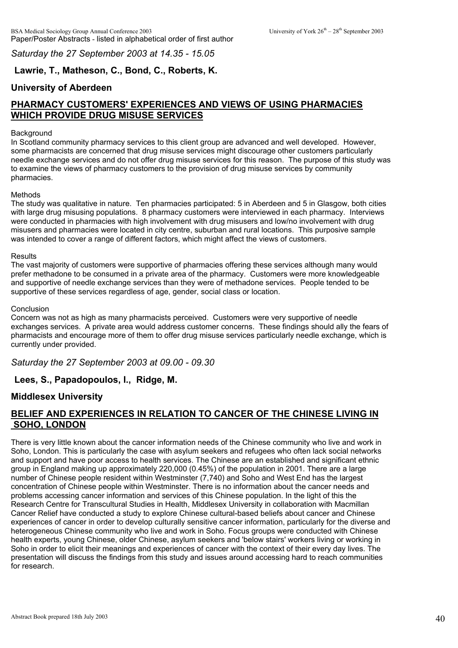*Saturday the 27 September 2003 at 14.35 - 15.05*

# **Lawrie, T., Matheson, C., Bond, C., Roberts, K.**

# **University of Aberdeen**

# **PHARMACY CUSTOMERS' EXPERIENCES AND VIEWS OF USING PHARMACIES WHICH PROVIDE DRUG MISUSE SERVICES**

### Background

In Scotland community pharmacy services to this client group are advanced and well developed. However, some pharmacists are concerned that drug misuse services might discourage other customers particularly needle exchange services and do not offer drug misuse services for this reason. The purpose of this study was to examine the views of pharmacy customers to the provision of drug misuse services by community pharmacies.

#### Methods

The study was qualitative in nature. Ten pharmacies participated: 5 in Aberdeen and 5 in Glasgow, both cities with large drug misusing populations. 8 pharmacy customers were interviewed in each pharmacy. Interviews were conducted in pharmacies with high involvement with drug misusers and low/no involvement with drug misusers and pharmacies were located in city centre, suburban and rural locations. This purposive sample was intended to cover a range of different factors, which might affect the views of customers.

#### Results

The vast majority of customers were supportive of pharmacies offering these services although many would prefer methadone to be consumed in a private area of the pharmacy. Customers were more knowledgeable and supportive of needle exchange services than they were of methadone services. People tended to be supportive of these services regardless of age, gender, social class or location.

#### Conclusion

Concern was not as high as many pharmacists perceived. Customers were very supportive of needle exchanges services. A private area would address customer concerns. These findings should ally the fears of pharmacists and encourage more of them to offer drug misuse services particularly needle exchange, which is currently under provided.

*Saturday the 27 September 2003 at 09.00 - 09.30*

**Lees, S., Papadopoulos, I., Ridge, M.**

### **Middlesex University**

### **BELIEF AND EXPERIENCES IN RELATION TO CANCER OF THE CHINESE LIVING IN SOHO, LONDON**

There is very little known about the cancer information needs of the Chinese community who live and work in Soho, London. This is particularly the case with asylum seekers and refugees who often lack social networks and support and have poor access to health services. The Chinese are an established and significant ethnic group in England making up approximately 220,000 (0.45%) of the population in 2001. There are a large number of Chinese people resident within Westminster (7,740) and Soho and West End has the largest concentration of Chinese people within Westminster. There is no information about the cancer needs and problems accessing cancer information and services of this Chinese population. In the light of this the Research Centre for Transcultural Studies in Health, Middlesex University in collaboration with Macmillan Cancer Relief have conducted a study to explore Chinese cultural-based beliefs about cancer and Chinese experiences of cancer in order to develop culturally sensitive cancer information, particularly for the diverse and heterogeneous Chinese community who live and work in Soho. Focus groups were conducted with Chinese health experts, young Chinese, older Chinese, asylum seekers and 'below stairs' workers living or working in Soho in order to elicit their meanings and experiences of cancer with the context of their every day lives. The presentation will discuss the findings from this study and issues around accessing hard to reach communities for research.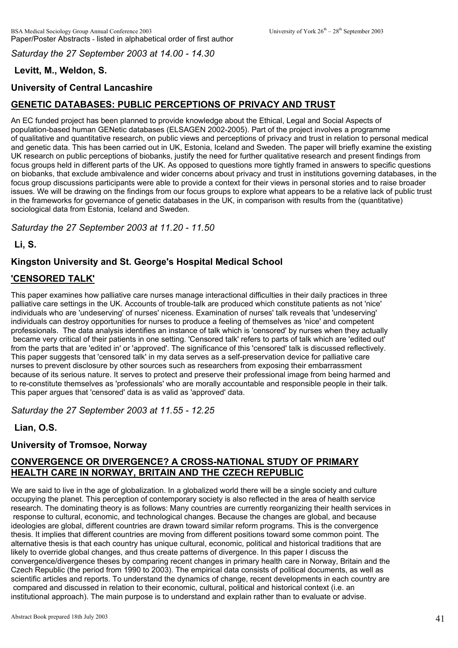*Saturday the 27 September 2003 at 14.00 - 14.30*

# **Levitt, M., Weldon, S.**

# **University of Central Lancashire**

# **GENETIC DATABASES: PUBLIC PERCEPTIONS OF PRIVACY AND TRUST**

An EC funded project has been planned to provide knowledge about the Ethical, Legal and Social Aspects of population-based human GENetic databases (ELSAGEN 2002-2005). Part of the project involves a programme of qualitative and quantitative research, on public views and perceptions of privacy and trust in relation to personal medical and genetic data. This has been carried out in UK, Estonia, Iceland and Sweden. The paper will briefly examine the existing UK research on public perceptions of biobanks, justify the need for further qualitative research and present findings from focus groups held in different parts of the UK. As opposed to questions more tightly framed in answers to specific questions on biobanks, that exclude ambivalence and wider concerns about privacy and trust in institutions governing databases, in the focus group discussions participants were able to provide a context for their views in personal stories and to raise broader issues. We will be drawing on the findings from our focus groups to explore what appears to be a relative lack of public trust in the frameworks for governance of genetic databases in the UK, in comparison with results from the (quantitative) sociological data from Estonia, Iceland and Sweden.

*Saturday the 27 September 2003 at 11.20 - 11.50*

**Li, S.**

# **Kingston University and St. George's Hospital Medical School**

# **'CENSORED TALK'**

This paper examines how palliative care nurses manage interactional difficulties in their daily practices in three palliative care settings in the UK. Accounts of trouble-talk are produced which constitute patients as not 'nice' individuals who are 'undeserving' of nurses' niceness. Examination of nurses' talk reveals that 'undeserving' individuals can destroy opportunities for nurses to produce a feeling of themselves as 'nice' and competent professionals. The data analysis identifies an instance of talk which is 'censored' by nurses when they actually became very critical of their patients in one setting. 'Censored talk' refers to parts of talk which are 'edited out' from the parts that are 'edited in' or 'approved'. The significance of this 'censored' talk is discussed reflectively. This paper suggests that 'censored talk' in my data serves as a self-preservation device for palliative care nurses to prevent disclosure by other sources such as researchers from exposing their embarrassment because of its serious nature. It serves to protect and preserve their professional image from being harmed and to re-constitute themselves as 'professionals' who are morally accountable and responsible people in their talk. This paper argues that 'censored' data is as valid as 'approved' data.

*Saturday the 27 September 2003 at 11.55 - 12.25*

**Lian, O.S.**

## **University of Tromsoe, Norway**

## **CONVERGENCE OR DIVERGENCE? A CROSS-NATIONAL STUDY OF PRIMARY HEALTH CARE IN NORWAY, BRITAIN AND THE CZECH REPUBLIC**

We are said to live in the age of globalization. In a globalized world there will be a single society and culture occupying the planet. This perception of contemporary society is also reflected in the area of health service research. The dominating theory is as follows: Many countries are currently reorganizing their health services in response to cultural, economic, and technological changes. Because the changes are global, and because ideologies are global, different countries are drawn toward similar reform programs. This is the convergence thesis. It implies that different countries are moving from different positions toward some common point. The alternative thesis is that each country has unique cultural, economic, political and historical traditions that are likely to override global changes, and thus create patterns of divergence. In this paper I discuss the convergence/divergence theses by comparing recent changes in primary health care in Norway, Britain and the Czech Republic (the period from 1990 to 2003). The empirical data consists of political documents, as well as scientific articles and reports. To understand the dynamics of change, recent developments in each country are compared and discussed in relation to their economic, cultural, political and historical context (i.e. an institutional approach). The main purpose is to understand and explain rather than to evaluate or advise.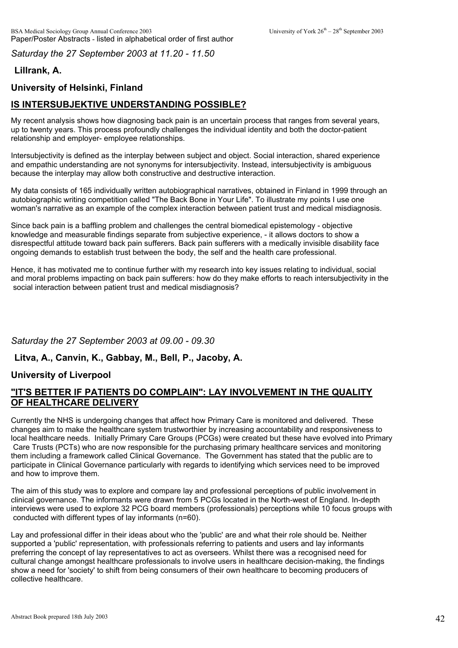*Saturday the 27 September 2003 at 11.20 - 11.50*

# **Lillrank, A.**

# **University of Helsinki, Finland**

# **IS INTERSUBJEKTIVE UNDERSTANDING POSSIBLE?**

My recent analysis shows how diagnosing back pain is an uncertain process that ranges from several years, up to twenty years. This process profoundly challenges the individual identity and both the doctor-patient relationship and employer- employee relationships.

Intersubjectivity is defined as the interplay between subject and object. Social interaction, shared experience and empathic understanding are not synonyms for intersubjectivity. Instead, intersubjectivity is ambiguous because the interplay may allow both constructive and destructive interaction.

My data consists of 165 individually written autobiographical narratives, obtained in Finland in 1999 through an autobiographic writing competition called "The Back Bone in Your Life". To illustrate my points I use one woman's narrative as an example of the complex interaction between patient trust and medical misdiagnosis.

Since back pain is a baffling problem and challenges the central biomedical epistemology - objective knowledge and measurable findings separate from subjective experience, - it allows doctors to show a disrespectful attitude toward back pain sufferers. Back pain sufferers with a medically invisible disability face ongoing demands to establish trust between the body, the self and the health care professional.

Hence, it has motivated me to continue further with my research into key issues relating to individual, social and moral problems impacting on back pain sufferers: how do they make efforts to reach intersubjectivity in the social interaction between patient trust and medical misdiagnosis?

## *Saturday the 27 September 2003 at 09.00 - 09.30*

### **Litva, A., Canvin, K., Gabbay, M., Bell, P., Jacoby, A.**

## **University of Liverpool**

### **"IT'S BETTER IF PATIENTS DO COMPLAIN": LAY INVOLVEMENT IN THE QUALITY OF HEALTHCARE DELIVERY**

Currently the NHS is undergoing changes that affect how Primary Care is monitored and delivered. These changes aim to make the healthcare system trustworthier by increasing accountability and responsiveness to local healthcare needs. Initially Primary Care Groups (PCGs) were created but these have evolved into Primary Care Trusts (PCTs) who are now responsible for the purchasing primary healthcare services and monitoring them including a framework called Clinical Governance. The Government has stated that the public are to participate in Clinical Governance particularly with regards to identifying which services need to be improved and how to improve them.

The aim of this study was to explore and compare lay and professional perceptions of public involvement in clinical governance. The informants were drawn from 5 PCGs located in the North-west of England. In-depth interviews were used to explore 32 PCG board members (professionals) perceptions while 10 focus groups with conducted with different types of lay informants (n=60).

Lay and professional differ in their ideas about who the 'public' are and what their role should be. Neither supported a 'public' representation, with professionals referring to patients and users and lay informants preferring the concept of lay representatives to act as overseers. Whilst there was a recognised need for cultural change amongst healthcare professionals to involve users in healthcare decision-making, the findings show a need for 'society' to shift from being consumers of their own healthcare to becoming producers of collective healthcare.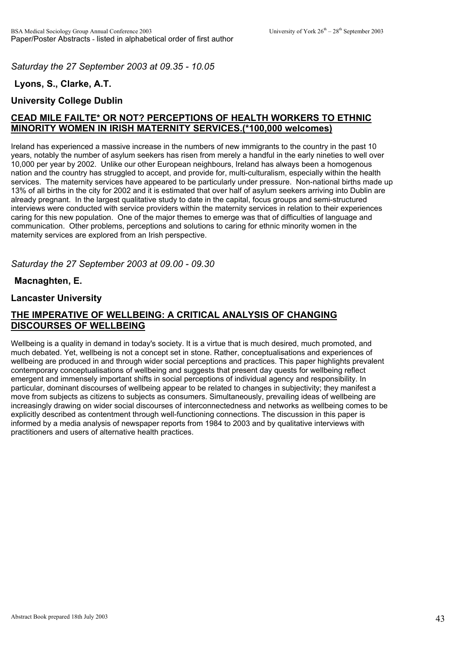*Saturday the 27 September 2003 at 09.35 - 10.05*

# **Lyons, S., Clarke, A.T.**

## **University College Dublin**

# **CEAD MILE FAILTE\* OR NOT? PERCEPTIONS OF HEALTH WORKERS TO ETHNIC MINORITY WOMEN IN IRISH MATERNITY SERVICES.(\*100,000 welcomes)**

Ireland has experienced a massive increase in the numbers of new immigrants to the country in the past 10 years, notably the number of asylum seekers has risen from merely a handful in the early nineties to well over 10,000 per year by 2002. Unlike our other European neighbours, Ireland has always been a homogenous nation and the country has struggled to accept, and provide for, multi-culturalism, especially within the health services. The maternity services have appeared to be particularly under pressure. Non-national births made up 13% of all births in the city for 2002 and it is estimated that over half of asylum seekers arriving into Dublin are already pregnant. In the largest qualitative study to date in the capital, focus groups and semi-structured interviews were conducted with service providers within the maternity services in relation to their experiences caring for this new population. One of the major themes to emerge was that of difficulties of language and communication. Other problems, perceptions and solutions to caring for ethnic minority women in the maternity services are explored from an Irish perspective.

*Saturday the 27 September 2003 at 09.00 - 09.30*

### **Macnaghten, E.**

### **Lancaster University**

# **THE IMPERATIVE OF WELLBEING: A CRITICAL ANALYSIS OF CHANGING DISCOURSES OF WELLBEING**

Wellbeing is a quality in demand in today's society. It is a virtue that is much desired, much promoted, and much debated. Yet, wellbeing is not a concept set in stone. Rather, conceptualisations and experiences of wellbeing are produced in and through wider social perceptions and practices. This paper highlights prevalent contemporary conceptualisations of wellbeing and suggests that present day quests for wellbeing reflect emergent and immensely important shifts in social perceptions of individual agency and responsibility. In particular, dominant discourses of wellbeing appear to be related to changes in subjectivity; they manifest a move from subjects as citizens to subjects as consumers. Simultaneously, prevailing ideas of wellbeing are increasingly drawing on wider social discourses of interconnectedness and networks as wellbeing comes to be explicitly described as contentment through well-functioning connections. The discussion in this paper is informed by a media analysis of newspaper reports from 1984 to 2003 and by qualitative interviews with practitioners and users of alternative health practices.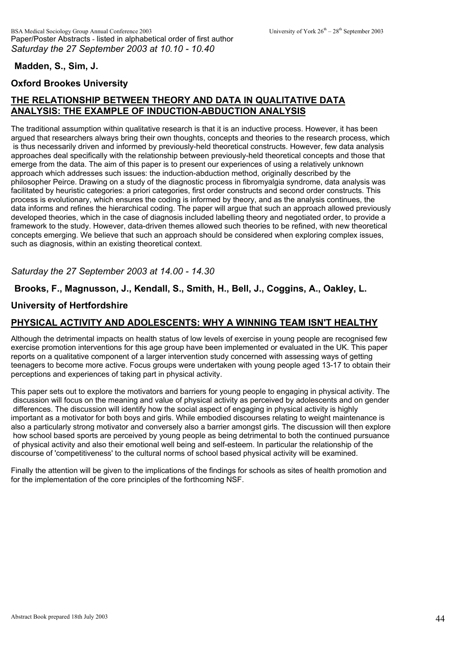### **Madden, S., Sim, J.**

# **Oxford Brookes University**

# **THE RELATIONSHIP BETWEEN THEORY AND DATA IN QUALITATIVE DATA ANALYSIS: THE EXAMPLE OF INDUCTION-ABDUCTION ANALYSIS**

The traditional assumption within qualitative research is that it is an inductive process. However, it has been argued that researchers always bring their own thoughts, concepts and theories to the research process, which is thus necessarily driven and informed by previously-held theoretical constructs. However, few data analysis approaches deal specifically with the relationship between previously-held theoretical concepts and those that emerge from the data. The aim of this paper is to present our experiences of using a relatively unknown approach which addresses such issues: the induction-abduction method, originally described by the philosopher Peirce. Drawing on a study of the diagnostic process in fibromyalgia syndrome, data analysis was facilitated by heuristic categories: a priori categories, first order constructs and second order constructs. This process is evolutionary, which ensures the coding is informed by theory, and as the analysis continues, the data informs and refines the hierarchical coding. The paper will argue that such an approach allowed previously developed theories, which in the case of diagnosis included labelling theory and negotiated order, to provide a framework to the study. However, data-driven themes allowed such theories to be refined, with new theoretical concepts emerging. We believe that such an approach should be considered when exploring complex issues, such as diagnosis, within an existing theoretical context.

### *Saturday the 27 September 2003 at 14.00 - 14.30*

### **Brooks, F., Magnusson, J., Kendall, S., Smith, H., Bell, J., Coggins, A., Oakley, L.**

### **University of Hertfordshire**

## **PHYSICAL ACTIVITY AND ADOLESCENTS: WHY A WINNING TEAM ISN'T HEALTHY**

Although the detrimental impacts on health status of low levels of exercise in young people are recognised few exercise promotion interventions for this age group have been implemented or evaluated in the UK. This paper reports on a qualitative component of a larger intervention study concerned with assessing ways of getting teenagers to become more active. Focus groups were undertaken with young people aged 13-17 to obtain their perceptions and experiences of taking part in physical activity.

This paper sets out to explore the motivators and barriers for young people to engaging in physical activity. The discussion will focus on the meaning and value of physical activity as perceived by adolescents and on gender differences. The discussion will identify how the social aspect of engaging in physical activity is highly important as a motivator for both boys and girls. While embodied discourses relating to weight maintenance is also a particularly strong motivator and conversely also a barrier amongst girls. The discussion will then explore how school based sports are perceived by young people as being detrimental to both the continued pursuance of physical activity and also their emotional well being and self-esteem. In particular the relationship of the discourse of 'competitiveness' to the cultural norms of school based physical activity will be examined.

Finally the attention will be given to the implications of the findings for schools as sites of health promotion and for the implementation of the core principles of the forthcoming NSF.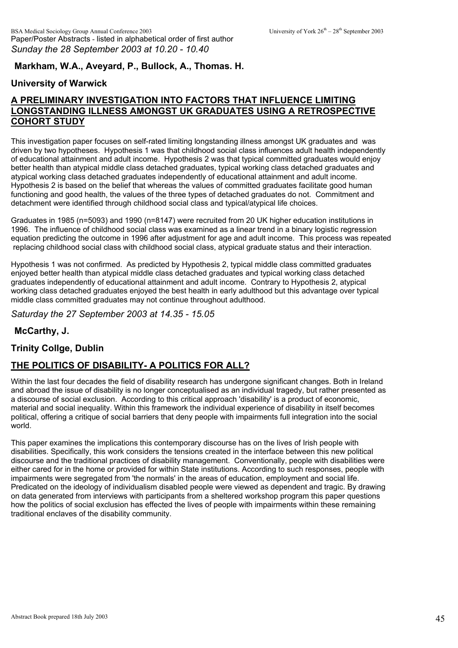# **Markham, W.A., Aveyard, P., Bullock, A., Thomas. H.**

# **University of Warwick**

# **A PRELIMINARY INVESTIGATION INTO FACTORS THAT INFLUENCE LIMITING LONGSTANDING ILLNESS AMONGST UK GRADUATES USING A RETROSPECTIVE COHORT STUDY**

This investigation paper focuses on self-rated limiting longstanding illness amongst UK graduates and was driven by two hypotheses. Hypothesis 1 was that childhood social class influences adult health independently of educational attainment and adult income. Hypothesis 2 was that typical committed graduates would enjoy better health than atypical middle class detached graduates, typical working class detached graduates and atypical working class detached graduates independently of educational attainment and adult income. Hypothesis 2 is based on the belief that whereas the values of committed graduates facilitate good human functioning and good health, the values of the three types of detached graduates do not. Commitment and detachment were identified through childhood social class and typical/atypical life choices.

Graduates in 1985 (n=5093) and 1990 (n=8147) were recruited from 20 UK higher education institutions in 1996. The influence of childhood social class was examined as a linear trend in a binary logistic regression equation predicting the outcome in 1996 after adjustment for age and adult income. This process was repeated replacing childhood social class with childhood social class, atypical graduate status and their interaction.

Hypothesis 1 was not confirmed. As predicted by Hypothesis 2, typical middle class committed graduates enjoyed better health than atypical middle class detached graduates and typical working class detached graduates independently of educational attainment and adult income. Contrary to Hypothesis 2, atypical working class detached graduates enjoyed the best health in early adulthood but this advantage over typical middle class committed graduates may not continue throughout adulthood.

*Saturday the 27 September 2003 at 14.35 - 15.05*

### **McCarthy, J.**

### **Trinity Collge, Dublin**

## **THE POLITICS OF DISABILITY- A POLITICS FOR ALL?**

Within the last four decades the field of disability research has undergone significant changes. Both in Ireland and abroad the issue of disability is no longer conceptualised as an individual tragedy, but rather presented as a discourse of social exclusion. According to this critical approach 'disability' is a product of economic, material and social inequality. Within this framework the individual experience of disability in itself becomes political, offering a critique of social barriers that deny people with impairments full integration into the social world.

This paper examines the implications this contemporary discourse has on the lives of Irish people with disabilities. Specifically, this work considers the tensions created in the interface between this new political discourse and the traditional practices of disability management. Conventionally, people with disabilities were either cared for in the home or provided for within State institutions. According to such responses, people with impairments were segregated from 'the normals' in the areas of education, employment and social life. Predicated on the ideology of individualism disabled people were viewed as dependent and tragic. By drawing on data generated from interviews with participants from a sheltered workshop program this paper questions how the politics of social exclusion has effected the lives of people with impairments within these remaining traditional enclaves of the disability community.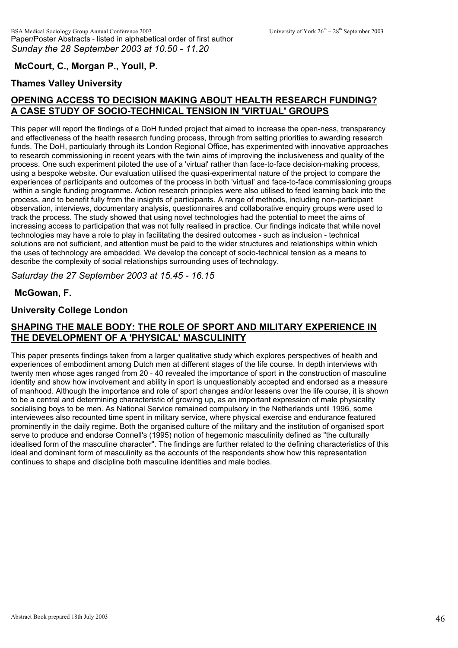### **McCourt, C., Morgan P., Youll, P.**

## **Thames Valley University**

# **OPENING ACCESS TO DECISION MAKING ABOUT HEALTH RESEARCH FUNDING? A CASE STUDY OF SOCIO-TECHNICAL TENSION IN 'VIRTUAL' GROUPS**

This paper will report the findings of a DoH funded project that aimed to increase the open-ness, transparency and effectiveness of the health research funding process, through from setting priorities to awarding research funds. The DoH, particularly through its London Regional Office, has experimented with innovative approaches to research commissioning in recent years with the twin aims of improving the inclusiveness and quality of the process. One such experiment piloted the use of a 'virtual' rather than face-to-face decision-making process, using a bespoke website. Our evaluation utilised the quasi-experimental nature of the project to compare the experiences of participants and outcomes of the process in both 'virtual' and face-to-face commissioning groups within a single funding programme. Action research principles were also utilised to feed learning back into the process, and to benefit fully from the insights of participants. A range of methods, including non-participant observation, interviews, documentary analysis, questionnaires and collaborative enquiry groups were used to track the process. The study showed that using novel technologies had the potential to meet the aims of increasing access to participation that was not fully realised in practice. Our findings indicate that while novel technologies may have a role to play in facilitating the desired outcomes - such as inclusion - technical solutions are not sufficient, and attention must be paid to the wider structures and relationships within which the uses of technology are embedded. We develop the concept of socio-technical tension as a means to describe the complexity of social relationships surrounding uses of technology.

*Saturday the 27 September 2003 at 15.45 - 16.15*

**McGowan, F.**

#### **University College London**

## **SHAPING THE MALE BODY: THE ROLE OF SPORT AND MILITARY EXPERIENCE IN THE DEVELOPMENT OF A 'PHYSICAL' MASCULINITY**

This paper presents findings taken from a larger qualitative study which explores perspectives of health and experiences of embodiment among Dutch men at different stages of the life course. In depth interviews with twenty men whose ages ranged from 20 - 40 revealed the importance of sport in the construction of masculine identity and show how involvement and ability in sport is unquestionably accepted and endorsed as a measure of manhood. Although the importance and role of sport changes and/or lessens over the life course, it is shown to be a central and determining characteristic of growing up, as an important expression of male physicality socialising boys to be men. As National Service remained compulsory in the Netherlands until 1996, some interviewees also recounted time spent in military service, where physical exercise and endurance featured prominently in the daily regime. Both the organised culture of the military and the institution of organised sport serve to produce and endorse Connell's (1995) notion of hegemonic masculinity defined as "the culturally idealised form of the masculine character". The findings are further related to the defining characteristics of this ideal and dominant form of masculinity as the accounts of the respondents show how this representation continues to shape and discipline both masculine identities and male bodies.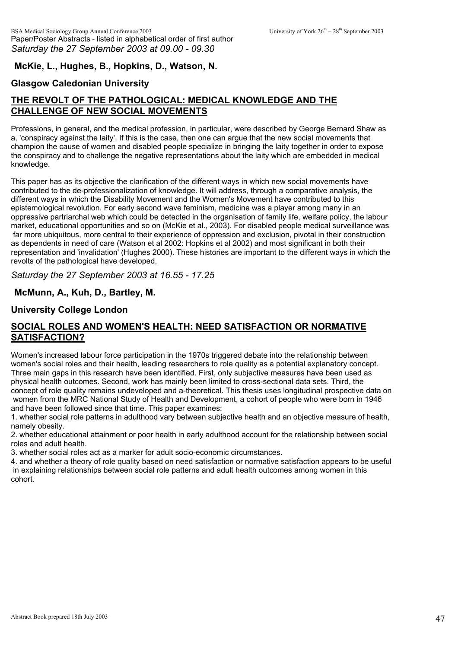## **McKie, L., Hughes, B., Hopkins, D., Watson, N.**

### **Glasgow Caledonian University**

# **THE REVOLT OF THE PATHOLOGICAL: MEDICAL KNOWLEDGE AND THE CHALLENGE OF NEW SOCIAL MOVEMENTS**

Professions, in general, and the medical profession, in particular, were described by George Bernard Shaw as a, 'conspiracy against the laity'. If this is the case, then one can argue that the new social movements that champion the cause of women and disabled people specialize in bringing the laity together in order to expose the conspiracy and to challenge the negative representations about the laity which are embedded in medical knowledge.

This paper has as its objective the clarification of the different ways in which new social movements have contributed to the de-professionalization of knowledge. It will address, through a comparative analysis, the different ways in which the Disability Movement and the Women's Movement have contributed to this epistemological revolution. For early second wave feminism, medicine was a player among many in an oppressive partriarchal web which could be detected in the organisation of family life, welfare policy, the labour market, educational opportunities and so on (McKie et al., 2003). For disabled people medical surveillance was far more ubiquitous, more central to their experience of oppression and exclusion, pivotal in their construction as dependents in need of care (Watson et al 2002: Hopkins et al 2002) and most significant in both their representation and 'invalidation' (Hughes 2000). These histories are important to the different ways in which the revolts of the pathological have developed.

*Saturday the 27 September 2003 at 16.55 - 17.25*

#### **McMunn, A., Kuh, D., Bartley, M.**

#### **University College London**

### **SOCIAL ROLES AND WOMEN'S HEALTH: NEED SATISFACTION OR NORMATIVE SATISFACTION?**

Women's increased labour force participation in the 1970s triggered debate into the relationship between women's social roles and their health, leading researchers to role quality as a potential explanatory concept. Three main gaps in this research have been identified. First, only subjective measures have been used as physical health outcomes. Second, work has mainly been limited to cross-sectional data sets. Third, the concept of role quality remains undeveloped and a-theoretical. This thesis uses longitudinal prospective data on women from the MRC National Study of Health and Development, a cohort of people who were born in 1946 and have been followed since that time. This paper examines:

1. whether social role patterns in adulthood vary between subjective health and an objective measure of health, namely obesity.

2. whether educational attainment or poor health in early adulthood account for the relationship between social roles and adult health.

3. whether social roles act as a marker for adult socio-economic circumstances.

4. and whether a theory of role quality based on need satisfaction or normative satisfaction appears to be useful in explaining relationships between social role patterns and adult health outcomes among women in this cohort.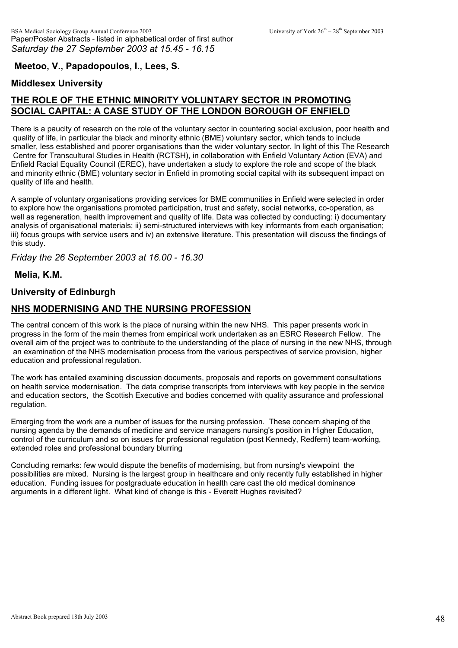### **Meetoo, V., Papadopoulos, I., Lees, S.**

### **Middlesex University**

# **THE ROLE OF THE ETHNIC MINORITY VOLUNTARY SECTOR IN PROMOTING SOCIAL CAPITAL: A CASE STUDY OF THE LONDON BOROUGH OF ENFIELD**

There is a paucity of research on the role of the voluntary sector in countering social exclusion, poor health and quality of life, in particular the black and minority ethnic (BME) voluntary sector, which tends to include smaller, less established and poorer organisations than the wider voluntary sector. In light of this The Research Centre for Transcultural Studies in Health (RCTSH), in collaboration with Enfield Voluntary Action (EVA) and Enfield Racial Equality Council (EREC), have undertaken a study to explore the role and scope of the black and minority ethnic (BME) voluntary sector in Enfield in promoting social capital with its subsequent impact on quality of life and health.

A sample of voluntary organisations providing services for BME communities in Enfield were selected in order to explore how the organisations promoted participation, trust and safety, social networks, co-operation, as well as regeneration, health improvement and quality of life. Data was collected by conducting: i) documentary analysis of organisational materials; ii) semi-structured interviews with key informants from each organisation; iii) focus groups with service users and iv) an extensive literature. This presentation will discuss the findings of this study.

*Friday the 26 September 2003 at 16.00 - 16.30*

**Melia, K.M.**

### **University of Edinburgh**

### **NHS MODERNISING AND THE NURSING PROFESSION**

The central concern of this work is the place of nursing within the new NHS. This paper presents work in progress in the form of the main themes from empirical work undertaken as an ESRC Research Fellow. The overall aim of the project was to contribute to the understanding of the place of nursing in the new NHS, through an examination of the NHS modernisation process from the various perspectives of service provision, higher education and professional regulation.

The work has entailed examining discussion documents, proposals and reports on government consultations on health service modernisation. The data comprise transcripts from interviews with key people in the service and education sectors, the Scottish Executive and bodies concerned with quality assurance and professional regulation.

Emerging from the work are a number of issues for the nursing profession. These concern shaping of the nursing agenda by the demands of medicine and service managers nursing's position in Higher Education, control of the curriculum and so on issues for professional regulation (post Kennedy, Redfern) team-working, extended roles and professional boundary blurring

Concluding remarks: few would dispute the benefits of modernising, but from nursing's viewpoint the possibilities are mixed. Nursing is the largest group in healthcare and only recently fully established in higher education. Funding issues for postgraduate education in health care cast the old medical dominance arguments in a different light. What kind of change is this - Everett Hughes revisited?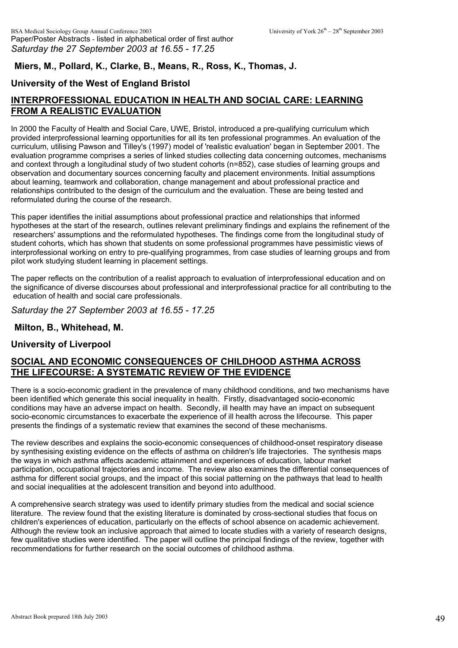# **Miers, M., Pollard, K., Clarke, B., Means, R., Ross, K., Thomas, J.**

# **University of the West of England Bristol**

# **INTERPROFESSIONAL EDUCATION IN HEALTH AND SOCIAL CARE: LEARNING FROM A REALISTIC EVALUATION**

In 2000 the Faculty of Health and Social Care, UWE, Bristol, introduced a pre-qualifying curriculum which provided interprofessional learning opportunities for all its ten professional programmes. An evaluation of the curriculum, utilising Pawson and Tilley's (1997) model of 'realistic evaluation' began in September 2001. The evaluation programme comprises a series of linked studies collecting data concerning outcomes, mechanisms and context through a longitudinal study of two student cohorts (n=852), case studies of learning groups and observation and documentary sources concerning faculty and placement environments. Initial assumptions about learning, teamwork and collaboration, change management and about professional practice and relationships contributed to the design of the curriculum and the evaluation. These are being tested and reformulated during the course of the research.

This paper identifies the initial assumptions about professional practice and relationships that informed hypotheses at the start of the research, outlines relevant preliminary findings and explains the refinement of the researchers' assumptions and the reformulated hypotheses. The findings come from the longitudinal study of student cohorts, which has shown that students on some professional programmes have pessimistic views of interprofessional working on entry to pre-qualifying programmes, from case studies of learning groups and from pilot work studying student learning in placement settings.

The paper reflects on the contribution of a realist approach to evaluation of interprofessional education and on the significance of diverse discourses about professional and interprofessional practice for all contributing to the education of health and social care professionals.

*Saturday the 27 September 2003 at 16.55 - 17.25*

### **Milton, B., Whitehead, M.**

### **University of Liverpool**

### **SOCIAL AND ECONOMIC CONSEQUENCES OF CHILDHOOD ASTHMA ACROSS THE LIFECOURSE: A SYSTEMATIC REVIEW OF THE EVIDENCE**

There is a socio-economic gradient in the prevalence of many childhood conditions, and two mechanisms have been identified which generate this social inequality in health. Firstly, disadvantaged socio-economic conditions may have an adverse impact on health. Secondly, ill health may have an impact on subsequent socio-economic circumstances to exacerbate the experience of ill health across the lifecourse. This paper presents the findings of a systematic review that examines the second of these mechanisms.

The review describes and explains the socio-economic consequences of childhood-onset respiratory disease by synthesising existing evidence on the effects of asthma on children's life trajectories. The synthesis maps the ways in which asthma affects academic attainment and experiences of education, labour market participation, occupational trajectories and income. The review also examines the differential consequences of asthma for different social groups, and the impact of this social patterning on the pathways that lead to health and social inequalities at the adolescent transition and beyond into adulthood.

A comprehensive search strategy was used to identify primary studies from the medical and social science literature. The review found that the existing literature is dominated by cross-sectional studies that focus on children's experiences of education, particularly on the effects of school absence on academic achievement. Although the review took an inclusive approach that aimed to locate studies with a variety of research designs, few qualitative studies were identified. The paper will outline the principal findings of the review, together with recommendations for further research on the social outcomes of childhood asthma.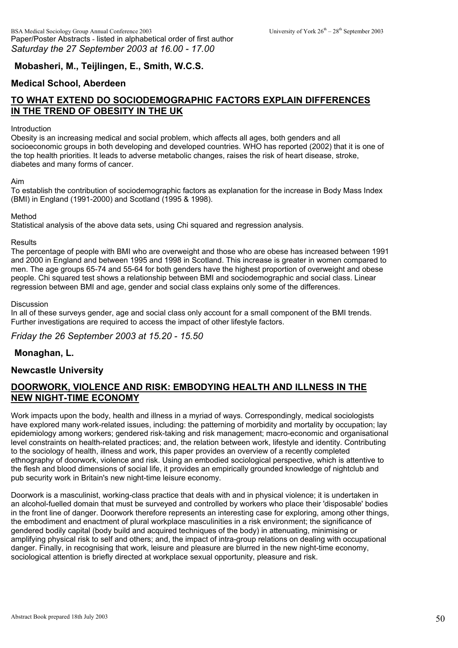### **Mobasheri, M., Teijlingen, E., Smith, W.C.S.**

### **Medical School, Aberdeen**

# **TO WHAT EXTEND DO SOCIODEMOGRAPHIC FACTORS EXPLAIN DIFFERENCES IN THE TREND OF OBESITY IN THE UK**

#### Introduction

Obesity is an increasing medical and social problem, which affects all ages, both genders and all socioeconomic groups in both developing and developed countries. WHO has reported (2002) that it is one of the top health priorities. It leads to adverse metabolic changes, raises the risk of heart disease, stroke, diabetes and many forms of cancer.

#### Aim

To establish the contribution of sociodemographic factors as explanation for the increase in Body Mass Index (BMI) in England (1991-2000) and Scotland (1995 & 1998).

#### Method

Statistical analysis of the above data sets, using Chi squared and regression analysis.

#### **Results**

The percentage of people with BMI who are overweight and those who are obese has increased between 1991 and 2000 in England and between 1995 and 1998 in Scotland. This increase is greater in women compared to men. The age groups 65-74 and 55-64 for both genders have the highest proportion of overweight and obese people. Chi squared test shows a relationship between BMI and sociodemographic and social class. Linear regression between BMI and age, gender and social class explains only some of the differences.

#### **Discussion**

In all of these surveys gender, age and social class only account for a small component of the BMI trends. Further investigations are required to access the impact of other lifestyle factors.

*Friday the 26 September 2003 at 15.20 - 15.50*

#### **Monaghan, L.**

#### **Newcastle University**

### **DOORWORK, VIOLENCE AND RISK: EMBODYING HEALTH AND ILLNESS IN THE NEW NIGHT-TIME ECONOMY**

Work impacts upon the body, health and illness in a myriad of ways. Correspondingly, medical sociologists have explored many work-related issues, including: the patterning of morbidity and mortality by occupation; lay epidemiology among workers; gendered risk-taking and risk management; macro-economic and organisational level constraints on health-related practices; and, the relation between work, lifestyle and identity. Contributing to the sociology of health, illness and work, this paper provides an overview of a recently completed ethnography of doorwork, violence and risk. Using an embodied sociological perspective, which is attentive to the flesh and blood dimensions of social life, it provides an empirically grounded knowledge of nightclub and pub security work in Britain's new night-time leisure economy.

Doorwork is a masculinist, working-class practice that deals with and in physical violence; it is undertaken in an alcohol-fuelled domain that must be surveyed and controlled by workers who place their 'disposable' bodies in the front line of danger. Doorwork therefore represents an interesting case for exploring, among other things, the embodiment and enactment of plural workplace masculinities in a risk environment; the significance of gendered bodily capital (body build and acquired techniques of the body) in attenuating, minimising or amplifying physical risk to self and others; and, the impact of intra-group relations on dealing with occupational danger. Finally, in recognising that work, leisure and pleasure are blurred in the new night-time economy, sociological attention is briefly directed at workplace sexual opportunity, pleasure and risk.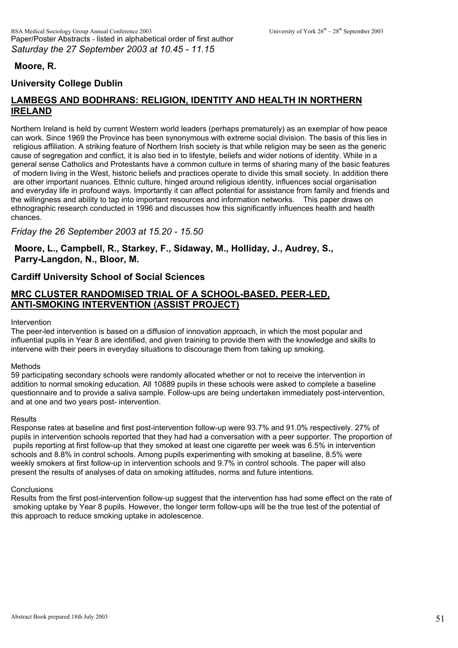### **Moore, R.**

## **University College Dublin**

## **LAMBEGS AND BODHRANS: RELIGION, IDENTITY AND HEALTH IN NORTHERN IRELAND**

Northern Ireland is held by current Western world leaders (perhaps prematurely) as an exemplar of how peace can work. Since 1969 the Province has been synonymous with extreme social division. The basis of this lies in religious affiliation. A striking feature of Northern Irish society is that while religion may be seen as the generic cause of segregation and conflict, it is also tied in to lifestyle, beliefs and wider notions of identity. While in a general sense Catholics and Protestants have a common culture in terms of sharing many of the basic features of modern living in the West, historic beliefs and practices operate to divide this small society. In addition there are other important nuances. Ethnic culture, hinged around religious identity, influences social organisation and everyday life in profound ways. Importantly it can affect potential for assistance from family and friends and the willingness and ability to tap into important resources and information networks. This paper draws on ethnographic research conducted in 1996 and discusses how this significantly influences health and health chances.

*Friday the 26 September 2003 at 15.20 - 15.50*

**Moore, L., Campbell, R., Starkey, F., Sidaway, M., Holliday, J., Audrey, S., Parry-Langdon, N., Bloor, M.** 

### **Cardiff University School of Social Sciences**

### **MRC CLUSTER RANDOMISED TRIAL OF A SCHOOL-BASED, PEER-LED, ANTI-SMOKING INTERVENTION (ASSIST PROJECT)**

#### Intervention

The peer-led intervention is based on a diffusion of innovation approach, in which the most popular and influential pupils in Year 8 are identified, and given training to provide them with the knowledge and skills to intervene with their peers in everyday situations to discourage them from taking up smoking.

#### Methods

59 participating secondary schools were randomly allocated whether or not to receive the intervention in addition to normal smoking education. All 10889 pupils in these schools were asked to complete a baseline questionnaire and to provide a saliva sample. Follow-ups are being undertaken immediately post-intervention, and at one and two years post- intervention.

#### **Results**

Response rates at baseline and first post-intervention follow-up were 93.7% and 91.0% respectively. 27% of pupils in intervention schools reported that they had had a conversation with a peer supporter. The proportion of pupils reporting at first follow-up that they smoked at least one cigarette per week was 6.5% in intervention schools and 8.8% in control schools. Among pupils experimenting with smoking at baseline, 8.5% were weekly smokers at first follow-up in intervention schools and 9.7% in control schools. The paper will also present the results of analyses of data on smoking attitudes, norms and future intentions.

#### **Conclusions**

Results from the first post-intervention follow-up suggest that the intervention has had some effect on the rate of smoking uptake by Year 8 pupils. However, the longer term follow-ups will be the true test of the potential of this approach to reduce smoking uptake in adolescence.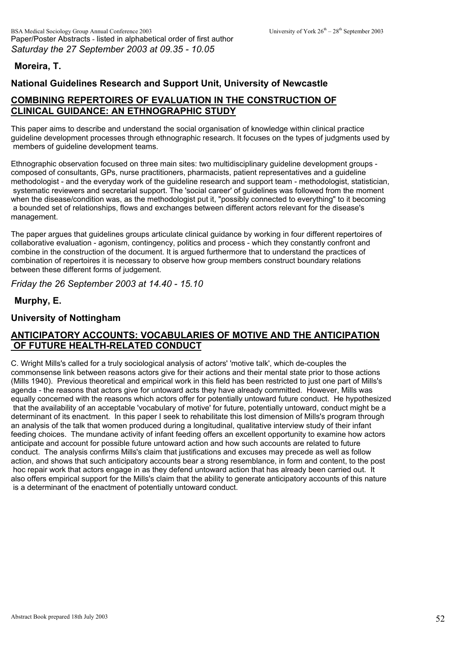### **Moreira, T.**

## **National Guidelines Research and Support Unit, University of Newcastle**

# **COMBINING REPERTOIRES OF EVALUATION IN THE CONSTRUCTION OF CLINICAL GUIDANCE: AN ETHNOGRAPHIC STUDY**

This paper aims to describe and understand the social organisation of knowledge within clinical practice guideline development processes through ethnographic research. It focuses on the types of judgments used by members of guideline development teams.

Ethnographic observation focused on three main sites: two multidisciplinary guideline development groups composed of consultants, GPs, nurse practitioners, pharmacists, patient representatives and a guideline methodologist - and the everyday work of the guideline research and support team - methodologist, statistician, systematic reviewers and secretarial support. The 'social career' of guidelines was followed from the moment when the disease/condition was, as the methodologist put it, "possibly connected to everything" to it becoming a bounded set of relationships, flows and exchanges between different actors relevant for the disease's management.

The paper argues that guidelines groups articulate clinical guidance by working in four different repertoires of collaborative evaluation - agonism, contingency, politics and process - which they constantly confront and combine in the construction of the document. It is argued furthermore that to understand the practices of combination of repertoires it is necessary to observe how group members construct boundary relations between these different forms of judgement.

*Friday the 26 September 2003 at 14.40 - 15.10*

### **Murphy, E.**

### **University of Nottingham**

## **ANTICIPATORY ACCOUNTS: VOCABULARIES OF MOTIVE AND THE ANTICIPATION OF FUTURE HEALTH-RELATED CONDUCT**

C. Wright Mills's called for a truly sociological analysis of actors' 'motive talk', which de-couples the commonsense link between reasons actors give for their actions and their mental state prior to those actions (Mills 1940). Previous theoretical and empirical work in this field has been restricted to just one part of Mills's agenda - the reasons that actors give for untoward acts they have already committed. However, Mills was equally concerned with the reasons which actors offer for potentially untoward future conduct. He hypothesized that the availability of an acceptable 'vocabulary of motive' for future, potentially untoward, conduct might be a determinant of its enactment. In this paper I seek to rehabilitate this lost dimension of Mills's program through an analysis of the talk that women produced during a longitudinal, qualitative interview study of their infant feeding choices. The mundane activity of infant feeding offers an excellent opportunity to examine how actors anticipate and account for possible future untoward action and how such accounts are related to future conduct. The analysis confirms Mills's claim that justifications and excuses may precede as well as follow action, and shows that such anticipatory accounts bear a strong resemblance, in form and content, to the post hoc repair work that actors engage in as they defend untoward action that has already been carried out. It also offers empirical support for the Mills's claim that the ability to generate anticipatory accounts of this nature is a determinant of the enactment of potentially untoward conduct.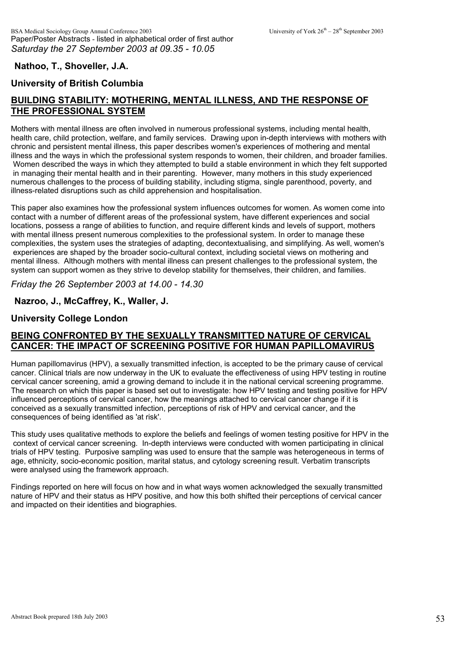### **Nathoo, T., Shoveller, J.A.**

### **University of British Columbia**

# **BUILDING STABILITY: MOTHERING, MENTAL ILLNESS, AND THE RESPONSE OF THE PROFESSIONAL SYSTEM**

Mothers with mental illness are often involved in numerous professional systems, including mental health, health care, child protection, welfare, and family services. Drawing upon in-depth interviews with mothers with chronic and persistent mental illness, this paper describes women's experiences of mothering and mental illness and the ways in which the professional system responds to women, their children, and broader families. Women described the ways in which they attempted to build a stable environment in which they felt supported in managing their mental health and in their parenting. However, many mothers in this study experienced numerous challenges to the process of building stability, including stigma, single parenthood, poverty, and illness-related disruptions such as child apprehension and hospitalisation.

This paper also examines how the professional system influences outcomes for women. As women come into contact with a number of different areas of the professional system, have different experiences and social locations, possess a range of abilities to function, and require different kinds and levels of support, mothers with mental illness present numerous complexities to the professional system. In order to manage these complexities, the system uses the strategies of adapting, decontextualising, and simplifying. As well, women's experiences are shaped by the broader socio-cultural context, including societal views on mothering and mental illness. Although mothers with mental illness can present challenges to the professional system, the system can support women as they strive to develop stability for themselves, their children, and families.

*Friday the 26 September 2003 at 14.00 - 14.30*

**Nazroo, J., McCaffrey, K., Waller, J.**

#### **University College London**

### **BEING CONFRONTED BY THE SEXUALLY TRANSMITTED NATURE OF CERVICAL CANCER: THE IMPACT OF SCREENING POSITIVE FOR HUMAN PAPILLOMAVIRUS**

Human papillomavirus (HPV), a sexually transmitted infection, is accepted to be the primary cause of cervical cancer. Clinical trials are now underway in the UK to evaluate the effectiveness of using HPV testing in routine cervical cancer screening, amid a growing demand to include it in the national cervical screening programme. The research on which this paper is based set out to investigate: how HPV testing and testing positive for HPV influenced perceptions of cervical cancer, how the meanings attached to cervical cancer change if it is conceived as a sexually transmitted infection, perceptions of risk of HPV and cervical cancer, and the consequences of being identified as 'at risk'.

This study uses qualitative methods to explore the beliefs and feelings of women testing positive for HPV in the context of cervical cancer screening. In-depth interviews were conducted with women participating in clinical trials of HPV testing. Purposive sampling was used to ensure that the sample was heterogeneous in terms of age, ethnicity, socio-economic position, marital status, and cytology screening result. Verbatim transcripts were analysed using the framework approach.

Findings reported on here will focus on how and in what ways women acknowledged the sexually transmitted nature of HPV and their status as HPV positive, and how this both shifted their perceptions of cervical cancer and impacted on their identities and biographies.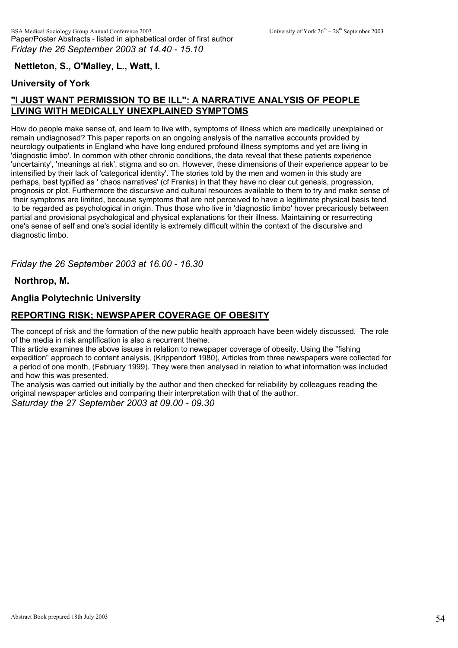## **Nettleton, S., O'Malley, L., Watt, I.**

### **University of York**

# **"I JUST WANT PERMISSION TO BE ILL": A NARRATIVE ANALYSIS OF PEOPLE LIVING WITH MEDICALLY UNEXPLAINED SYMPTOMS**

How do people make sense of, and learn to live with, symptoms of illness which are medically unexplained or remain undiagnosed? This paper reports on an ongoing analysis of the narrative accounts provided by neurology outpatients in England who have long endured profound illness symptoms and yet are living in 'diagnostic limbo'. In common with other chronic conditions, the data reveal that these patients experience 'uncertainty', 'meanings at risk', stigma and so on. However, these dimensions of their experience appear to be intensified by their lack of 'categorical identity'. The stories told by the men and women in this study are perhaps, best typified as ' chaos narratives' (cf Franks) in that they have no clear cut genesis, progression, prognosis or plot. Furthermore the discursive and cultural resources available to them to try and make sense of their symptoms are limited, because symptoms that are not perceived to have a legitimate physical basis tend to be regarded as psychological in origin. Thus those who live in 'diagnostic limbo' hover precariously between partial and provisional psychological and physical explanations for their illness. Maintaining or resurrecting one's sense of self and one's social identity is extremely difficult within the context of the discursive and diagnostic limbo.

*Friday the 26 September 2003 at 16.00 - 16.30*

**Northrop, M.**

### **Anglia Polytechnic University**

### **REPORTING RISK; NEWSPAPER COVERAGE OF OBESITY**

The concept of risk and the formation of the new public health approach have been widely discussed. The role of the media in risk amplification is also a recurrent theme.

This article examines the above issues in relation to newspaper coverage of obesity. Using the "fishing expedition" approach to content analysis, (Krippendorf 1980), Articles from three newspapers were collected for a period of one month, (February 1999). They were then analysed in relation to what information was included and how this was presented.

The analysis was carried out initially by the author and then checked for reliability by colleagues reading the original newspaper articles and comparing their interpretation with that of the author.

*Saturday the 27 September 2003 at 09.00 - 09.30*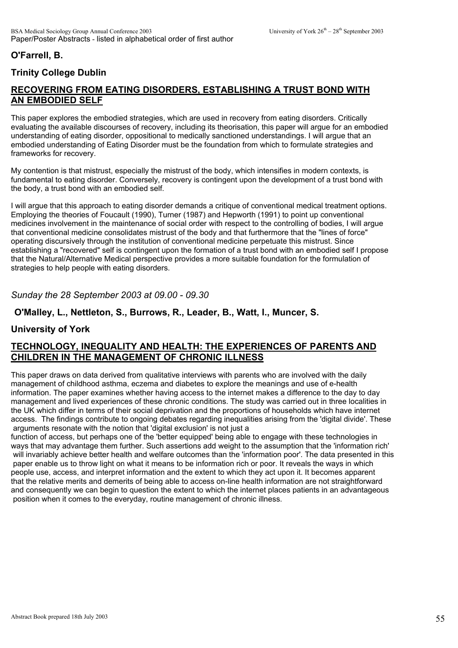# **O'Farrell, B.**

# **Trinity College Dublin**

# **RECOVERING FROM EATING DISORDERS, ESTABLISHING A TRUST BOND WITH AN EMBODIED SELF**

This paper explores the embodied strategies, which are used in recovery from eating disorders. Critically evaluating the available discourses of recovery, including its theorisation, this paper will argue for an embodied understanding of eating disorder, oppositional to medically sanctioned understandings. I will argue that an embodied understanding of Eating Disorder must be the foundation from which to formulate strategies and frameworks for recovery.

My contention is that mistrust, especially the mistrust of the body, which intensifies in modern contexts, is fundamental to eating disorder. Conversely, recovery is contingent upon the development of a trust bond with the body, a trust bond with an embodied self.

I will argue that this approach to eating disorder demands a critique of conventional medical treatment options. Employing the theories of Foucault (1990), Turner (1987) and Hepworth (1991) to point up conventional medicines involvement in the maintenance of social order with respect to the controlling of bodies, I will argue that conventional medicine consolidates mistrust of the body and that furthermore that the "lines of force" operating discursively through the institution of conventional medicine perpetuate this mistrust. Since establishing a "recovered" self is contingent upon the formation of a trust bond with an embodied self I propose that the Natural/Alternative Medical perspective provides a more suitable foundation for the formulation of strategies to help people with eating disorders.

#### *Sunday the 28 September 2003 at 09.00 - 09.30*

#### **O'Malley, L., Nettleton, S., Burrows, R., Leader, B., Watt, I., Muncer, S.**

### **University of York**

### **TECHNOLOGY, INEQUALITY AND HEALTH: THE EXPERIENCES OF PARENTS AND CHILDREN IN THE MANAGEMENT OF CHRONIC ILLNESS**

This paper draws on data derived from qualitative interviews with parents who are involved with the daily management of childhood asthma, eczema and diabetes to explore the meanings and use of e-health information. The paper examines whether having access to the internet makes a difference to the day to day management and lived experiences of these chronic conditions. The study was carried out in three localities in the UK which differ in terms of their social deprivation and the proportions of households which have internet access. The findings contribute to ongoing debates regarding inequalities arising from the 'digital divide'. These arguments resonate with the notion that 'digital exclusion' is not just a

function of access, but perhaps one of the 'better equipped' being able to engage with these technologies in ways that may advantage them further. Such assertions add weight to the assumption that the 'information rich' will invariably achieve better health and welfare outcomes than the 'information poor'. The data presented in this paper enable us to throw light on what it means to be information rich or poor. It reveals the ways in which people use, access, and interpret information and the extent to which they act upon it. It becomes apparent that the relative merits and demerits of being able to access on-line health information are not straightforward and consequently we can begin to question the extent to which the internet places patients in an advantageous position when it comes to the everyday, routine management of chronic illness.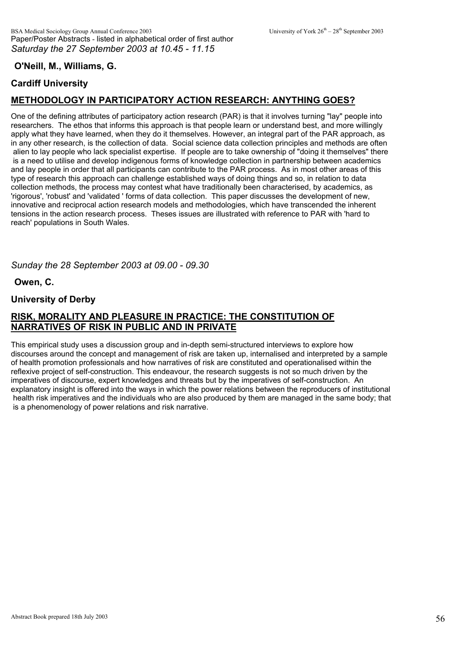# **O'Neill, M., Williams, G.**

## **Cardiff University**

# **METHODOLOGY IN PARTICIPATORY ACTION RESEARCH: ANYTHING GOES?**

One of the defining attributes of participatory action research (PAR) is that it involves turning "lay" people into researchers. The ethos that informs this approach is that people learn or understand best, and more willingly apply what they have learned, when they do it themselves. However, an integral part of the PAR approach, as in any other research, is the collection of data. Social science data collection principles and methods are often alien to lay people who lack specialist expertise. If people are to take ownership of "doing it themselves" there is a need to utilise and develop indigenous forms of knowledge collection in partnership between academics and lay people in order that all participants can contribute to the PAR process. As in most other areas of this type of research this approach can challenge established ways of doing things and so, in relation to data collection methods, the process may contest what have traditionally been characterised, by academics, as 'rigorous', 'robust' and 'validated ' forms of data collection. This paper discusses the development of new, innovative and reciprocal action research models and methodologies, which have transcended the inherent tensions in the action research process. Theses issues are illustrated with reference to PAR with 'hard to reach' populations in South Wales.

*Sunday the 28 September 2003 at 09.00 - 09.30*

**Owen, C.**

### **University of Derby**

## **RISK, MORALITY AND PLEASURE IN PRACTICE: THE CONSTITUTION OF NARRATIVES OF RISK IN PUBLIC AND IN PRIVATE**

This empirical study uses a discussion group and in-depth semi-structured interviews to explore how discourses around the concept and management of risk are taken up, internalised and interpreted by a sample of health promotion professionals and how narratives of risk are constituted and operationalised within the reflexive project of self-construction. This endeavour, the research suggests is not so much driven by the imperatives of discourse, expert knowledges and threats but by the imperatives of self-construction. An explanatory insight is offered into the ways in which the power relations between the reproducers of institutional health risk imperatives and the individuals who are also produced by them are managed in the same body; that is a phenomenology of power relations and risk narrative.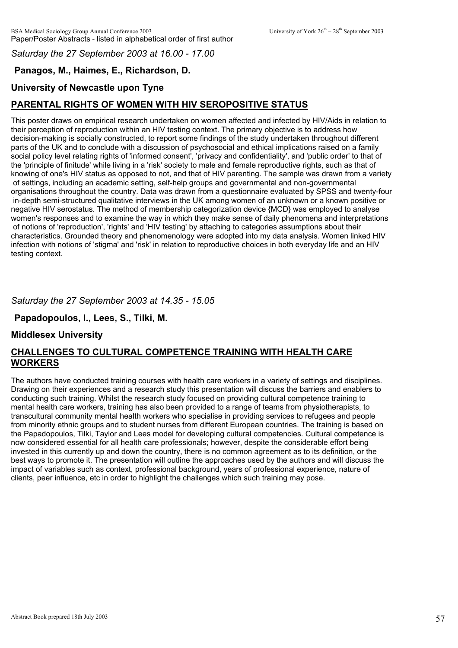### *Saturday the 27 September 2003 at 16.00 - 17.00*

# **Panagos, M., Haimes, E., Richardson, D.**

## **University of Newcastle upon Tyne**

# **PARENTAL RIGHTS OF WOMEN WITH HIV SEROPOSITIVE STATUS**

This poster draws on empirical research undertaken on women affected and infected by HIV/Aids in relation to their perception of reproduction within an HIV testing context. The primary objective is to address how decision-making is socially constructed, to report some findings of the study undertaken throughout different parts of the UK and to conclude with a discussion of psychosocial and ethical implications raised on a family social policy level relating rights of 'informed consent', 'privacy and confidentiality', and 'public order' to that of the 'principle of finitude' while living in a 'risk' society to male and female reproductive rights, such as that of knowing of one's HIV status as opposed to not, and that of HIV parenting. The sample was drawn from a variety of settings, including an academic setting, self-help groups and governmental and non-governmental organisations throughout the country. Data was drawn from a questionnaire evaluated by SPSS and twenty-four in-depth semi-structured qualitative interviews in the UK among women of an unknown or a known positive or negative HIV serostatus. The method of membership categorization device {MCD} was employed to analyse women's responses and to examine the way in which they make sense of daily phenomena and interpretations of notions of 'reproduction', 'rights' and 'HIV testing' by attaching to categories assumptions about their characteristics. Grounded theory and phenomenology were adopted into my data analysis. Women linked HIV infection with notions of 'stigma' and 'risk' in relation to reproductive choices in both everyday life and an HIV testing context.

### *Saturday the 27 September 2003 at 14.35 - 15.05*

#### **Papadopoulos, I., Lees, S., Tilki, M.**

#### **Middlesex University**

### **CHALLENGES TO CULTURAL COMPETENCE TRAINING WITH HEALTH CARE WORKERS**

The authors have conducted training courses with health care workers in a variety of settings and disciplines. Drawing on their experiences and a research study this presentation will discuss the barriers and enablers to conducting such training. Whilst the research study focused on providing cultural competence training to mental health care workers, training has also been provided to a range of teams from physiotherapists, to transcultural community mental health workers who specialise in providing services to refugees and people from minority ethnic groups and to student nurses from different European countries. The training is based on the Papadopoulos, Tilki, Taylor and Lees model for developing cultural competencies. Cultural competence is now considered essential for all health care professionals; however, despite the considerable effort being invested in this currently up and down the country, there is no common agreement as to its definition, or the best ways to promote it. The presentation will outline the approaches used by the authors and will discuss the impact of variables such as context, professional background, years of professional experience, nature of clients, peer influence, etc in order to highlight the challenges which such training may pose.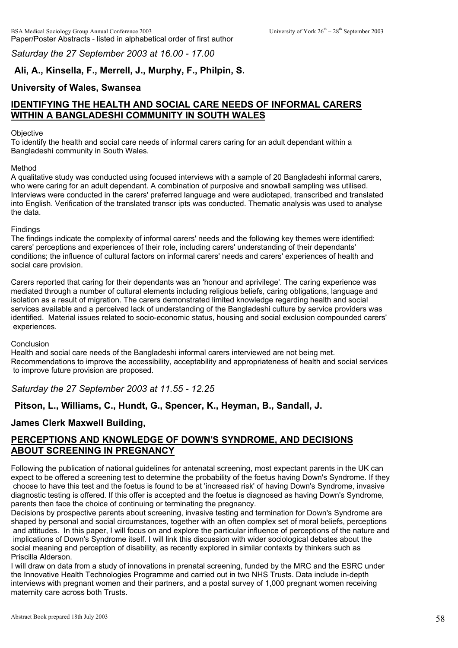*Saturday the 27 September 2003 at 16.00 - 17.00*

# **Ali, A., Kinsella, F., Merrell, J., Murphy, F., Philpin, S.**

# **University of Wales, Swansea**

# **IDENTIFYING THE HEALTH AND SOCIAL CARE NEEDS OF INFORMAL CARERS WITHIN A BANGLADESHI COMMUNITY IN SOUTH WALES**

#### **Objective**

To identify the health and social care needs of informal carers caring for an adult dependant within a Bangladeshi community in South Wales.

#### Method

A qualitative study was conducted using focused interviews with a sample of 20 Bangladeshi informal carers, who were caring for an adult dependant. A combination of purposive and snowball sampling was utilised. Interviews were conducted in the carers' preferred language and were audiotaped, transcribed and translated into English. Verification of the translated transcr ipts was conducted. Thematic analysis was used to analyse the data.

#### Findings

The findings indicate the complexity of informal carers' needs and the following key themes were identified: carers' perceptions and experiences of their role, including carers' understanding of their dependants' conditions; the influence of cultural factors on informal carers' needs and carers' experiences of health and social care provision.

Carers reported that caring for their dependants was an 'honour and aprivilege'. The caring experience was mediated through a number of cultural elements including religious beliefs, caring obligations, language and isolation as a result of migration. The carers demonstrated limited knowledge regarding health and social services available and a perceived lack of understanding of the Bangladeshi culture by service providers was identified. Material issues related to socio-economic status, housing and social exclusion compounded carers' experiences.

#### **Conclusion**

Health and social care needs of the Bangladeshi informal carers interviewed are not being met. Recommendations to improve the accessibility, acceptability and appropriateness of health and social services to improve future provision are proposed.

*Saturday the 27 September 2003 at 11.55 - 12.25*

# **Pitson, L., Williams, C., Hundt, G., Spencer, K., Heyman, B., Sandall, J.**

# **James Clerk Maxwell Building,**

# **PERCEPTIONS AND KNOWLEDGE OF DOWN'S SYNDROME, AND DECISIONS ABOUT SCREENING IN PREGNANCY**

Following the publication of national guidelines for antenatal screening, most expectant parents in the UK can expect to be offered a screening test to determine the probability of the foetus having Down's Syndrome. If they choose to have this test and the foetus is found to be at 'increased risk' of having Down's Syndrome, invasive diagnostic testing is offered. If this offer is accepted and the foetus is diagnosed as having Down's Syndrome, parents then face the choice of continuing or terminating the pregnancy.

Decisions by prospective parents about screening, invasive testing and termination for Down's Syndrome are shaped by personal and social circumstances, together with an often complex set of moral beliefs, perceptions and attitudes. In this paper, I will focus on and explore the particular influence of perceptions of the nature and implications of Down's Syndrome itself. I will link this discussion with wider sociological debates about the social meaning and perception of disability, as recently explored in similar contexts by thinkers such as Priscilla Alderson.

I will draw on data from a study of innovations in prenatal screening, funded by the MRC and the ESRC under the Innovative Health Technologies Programme and carried out in two NHS Trusts. Data include in-depth interviews with pregnant women and their partners, and a postal survey of 1,000 pregnant women receiving maternity care across both Trusts.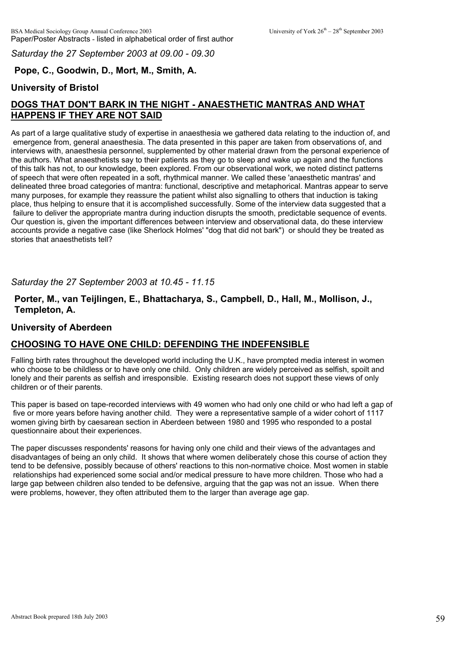*Saturday the 27 September 2003 at 09.00 - 09.30*

# **Pope, C., Goodwin, D., Mort, M., Smith, A.**

## **University of Bristol**

# **DOGS THAT DON'T BARK IN THE NIGHT - ANAESTHETIC MANTRAS AND WHAT HAPPENS IF THEY ARE NOT SAID**

As part of a large qualitative study of expertise in anaesthesia we gathered data relating to the induction of, and emergence from, general anaesthesia. The data presented in this paper are taken from observations of, and interviews with, anaesthesia personnel, supplemented by other material drawn from the personal experience of the authors. What anaesthetists say to their patients as they go to sleep and wake up again and the functions of this talk has not, to our knowledge, been explored. From our observational work, we noted distinct patterns of speech that were often repeated in a soft, rhythmical manner. We called these 'anaesthetic mantras' and delineated three broad categories of mantra: functional, descriptive and metaphorical. Mantras appear to serve many purposes, for example they reassure the patient whilst also signalling to others that induction is taking place, thus helping to ensure that it is accomplished successfully. Some of the interview data suggested that a failure to deliver the appropriate mantra during induction disrupts the smooth, predictable sequence of events. Our question is, given the important differences between interview and observational data, do these interview accounts provide a negative case (like Sherlock Holmes' "dog that did not bark") or should they be treated as stories that anaesthetists tell?

### *Saturday the 27 September 2003 at 10.45 - 11.15*

### **Porter, M., van Teijlingen, E., Bhattacharya, S., Campbell, D., Hall, M., Mollison, J., Templeton, A.**

### **University of Aberdeen**

## **CHOOSING TO HAVE ONE CHILD: DEFENDING THE INDEFENSIBLE**

Falling birth rates throughout the developed world including the U.K., have prompted media interest in women who choose to be childless or to have only one child. Only children are widely perceived as selfish, spoilt and lonely and their parents as selfish and irresponsible. Existing research does not support these views of only children or of their parents.

This paper is based on tape-recorded interviews with 49 women who had only one child or who had left a gap of five or more years before having another child. They were a representative sample of a wider cohort of 1117 women giving birth by caesarean section in Aberdeen between 1980 and 1995 who responded to a postal questionnaire about their experiences.

The paper discusses respondents' reasons for having only one child and their views of the advantages and disadvantages of being an only child. It shows that where women deliberately chose this course of action they tend to be defensive, possibly because of others' reactions to this non-normative choice. Most women in stable relationships had experienced some social and/or medical pressure to have more children. Those who had a large gap between children also tended to be defensive, arguing that the gap was not an issue. When there were problems, however, they often attributed them to the larger than average age gap.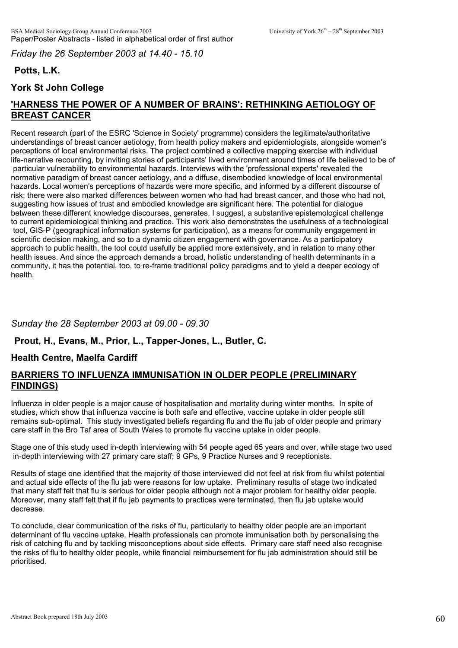*Friday the 26 September 2003 at 14.40 - 15.10*

# **Potts, L.K.**

## **York St John College**

# **'HARNESS THE POWER OF A NUMBER OF BRAINS': RETHINKING AETIOLOGY OF BREAST CANCER**

Recent research (part of the ESRC 'Science in Society' programme) considers the legitimate/authoritative understandings of breast cancer aetiology, from health policy makers and epidemiologists, alongside women's perceptions of local environmental risks. The project combined a collective mapping exercise with individual life-narrative recounting, by inviting stories of participants' lived environment around times of life believed to be of particular vulnerability to environmental hazards. Interviews with the 'professional experts' revealed the normative paradigm of breast cancer aetiology, and a diffuse, disembodied knowledge of local environmental hazards. Local women's perceptions of hazards were more specific, and informed by a different discourse of risk; there were also marked differences between women who had had breast cancer, and those who had not, suggesting how issues of trust and embodied knowledge are significant here. The potential for dialogue between these different knowledge discourses, generates, I suggest, a substantive epistemological challenge to current epidemiological thinking and practice. This work also demonstrates the usefulness of a technological tool, GIS-P (geographical information systems for participation), as a means for community engagement in scientific decision making, and so to a dynamic citizen engagement with governance. As a participatory approach to public health, the tool could usefully be applied more extensively, and in relation to many other health issues. And since the approach demands a broad, holistic understanding of health determinants in a community, it has the potential, too, to re-frame traditional policy paradigms and to yield a deeper ecology of health.

### *Sunday the 28 September 2003 at 09.00 - 09.30*

## **Prout, H., Evans, M., Prior, L., Tapper-Jones, L., Butler, C.**

## **Health Centre, Maelfa Cardiff**

### **BARRIERS TO INFLUENZA IMMUNISATION IN OLDER PEOPLE (PRELIMINARY FINDINGS)**

Influenza in older people is a major cause of hospitalisation and mortality during winter months. In spite of studies, which show that influenza vaccine is both safe and effective, vaccine uptake in older people still remains sub-optimal. This study investigated beliefs regarding flu and the flu jab of older people and primary care staff in the Bro Taf area of South Wales to promote flu vaccine uptake in older people.

Stage one of this study used in-depth interviewing with 54 people aged 65 years and over, while stage two used in-depth interviewing with 27 primary care staff; 9 GPs, 9 Practice Nurses and 9 receptionists.

Results of stage one identified that the majority of those interviewed did not feel at risk from flu whilst potential and actual side effects of the flu jab were reasons for low uptake. Preliminary results of stage two indicated that many staff felt that flu is serious for older people although not a major problem for healthy older people. Moreover, many staff felt that if flu jab payments to practices were terminated, then flu jab uptake would decrease.

To conclude, clear communication of the risks of flu, particularly to healthy older people are an important determinant of flu vaccine uptake. Health professionals can promote immunisation both by personalising the risk of catching flu and by tackling misconceptions about side effects. Primary care staff need also recognise the risks of flu to healthy older people, while financial reimbursement for flu jab administration should still be prioritised.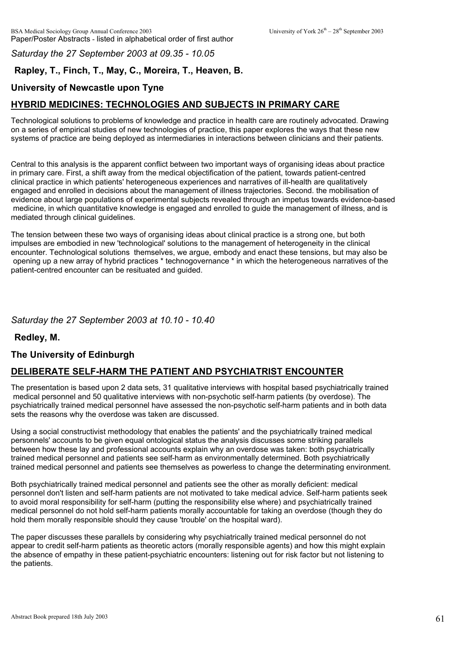*Saturday the 27 September 2003 at 09.35 - 10.05*

# **Rapley, T., Finch, T., May, C., Moreira, T., Heaven, B.**

# **University of Newcastle upon Tyne**

# **HYBRID MEDICINES: TECHNOLOGIES AND SUBJECTS IN PRIMARY CARE**

Technological solutions to problems of knowledge and practice in health care are routinely advocated. Drawing on a series of empirical studies of new technologies of practice, this paper explores the ways that these new systems of practice are being deployed as intermediaries in interactions between clinicians and their patients.

Central to this analysis is the apparent conflict between two important ways of organising ideas about practice in primary care. First, a shift away from the medical objectification of the patient, towards patient-centred clinical practice in which patients' heterogeneous experiences and narratives of ill-health are qualitatively engaged and enrolled in decisions about the management of illness trajectories. Second. the mobilisation of evidence about large populations of experimental subjects revealed through an impetus towards evidence-based medicine, in which quantitative knowledge is engaged and enrolled to guide the management of illness, and is mediated through clinical guidelines.

The tension between these two ways of organising ideas about clinical practice is a strong one, but both impulses are embodied in new 'technological' solutions to the management of heterogeneity in the clinical encounter. Technological solutions themselves, we argue, embody and enact these tensions, but may also be opening up a new array of hybrid practices \* technogovernance \* in which the heterogeneous narratives of the patient-centred encounter can be resituated and guided.

### *Saturday the 27 September 2003 at 10.10 - 10.40*

**Redley, M.**

## **The University of Edinburgh**

## **DELIBERATE SELF-HARM THE PATIENT AND PSYCHIATRIST ENCOUNTER**

The presentation is based upon 2 data sets, 31 qualitative interviews with hospital based psychiatrically trained medical personnel and 50 qualitative interviews with non-psychotic self-harm patients (by overdose). The psychiatrically trained medical personnel have assessed the non-psychotic self-harm patients and in both data sets the reasons why the overdose was taken are discussed.

Using a social constructivist methodology that enables the patients' and the psychiatrically trained medical personnels' accounts to be given equal ontological status the analysis discusses some striking parallels between how these lay and professional accounts explain why an overdose was taken: both psychiatrically trained medical personnel and patients see self-harm as environmentally determined. Both psychiatrically trained medical personnel and patients see themselves as powerless to change the determinating environment.

Both psychiatrically trained medical personnel and patients see the other as morally deficient: medical personnel don't listen and self-harm patients are not motivated to take medical advice. Self-harm patients seek to avoid moral responsibility for self-harm (putting the responsibility else where) and psychiatrically trained medical personnel do not hold self-harm patients morally accountable for taking an overdose (though they do hold them morally responsible should they cause 'trouble' on the hospital ward).

The paper discusses these parallels by considering why psychiatrically trained medical personnel do not appear to credit self-harm patients as theoretic actors (morally responsible agents) and how this might explain the absence of empathy in these patient-psychiatric encounters: listening out for risk factor but not listening to the patients.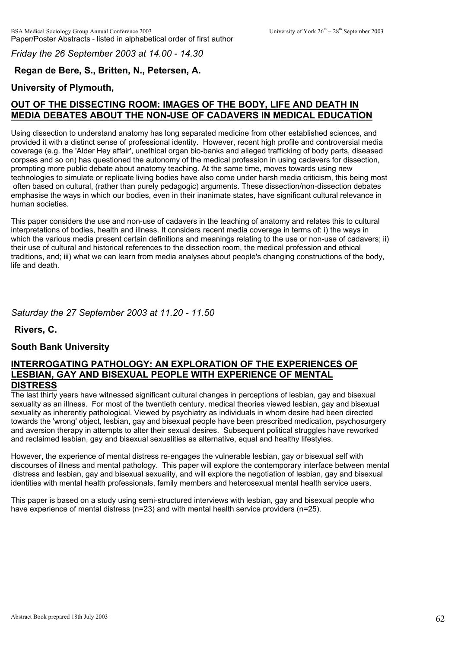*Friday the 26 September 2003 at 14.00 - 14.30*

## **Regan de Bere, S., Britten, N., Petersen, A.**

### **University of Plymouth,**

## **OUT OF THE DISSECTING ROOM: IMAGES OF THE BODY, LIFE AND DEATH IN MEDIA DEBATES ABOUT THE NON-USE OF CADAVERS IN MEDICAL EDUCATION**

Using dissection to understand anatomy has long separated medicine from other established sciences, and provided it with a distinct sense of professional identity. However, recent high profile and controversial media coverage (e.g. the 'Alder Hey affair', unethical organ bio-banks and alleged trafficking of body parts, diseased corpses and so on) has questioned the autonomy of the medical profession in using cadavers for dissection, prompting more public debate about anatomy teaching. At the same time, moves towards using new technologies to simulate or replicate living bodies have also come under harsh media criticism, this being most often based on cultural, (rather than purely pedagogic) arguments. These dissection/non-dissection debates emphasise the ways in which our bodies, even in their inanimate states, have significant cultural relevance in human societies.

This paper considers the use and non-use of cadavers in the teaching of anatomy and relates this to cultural interpretations of bodies, health and illness. It considers recent media coverage in terms of: i) the ways in which the various media present certain definitions and meanings relating to the use or non-use of cadavers; ii) their use of cultural and historical references to the dissection room, the medical profession and ethical traditions, and; iii) what we can learn from media analyses about people's changing constructions of the body, life and death.

*Saturday the 27 September 2003 at 11.20 - 11.50*

**Rivers, C.**

### **South Bank University**

#### **INTERROGATING PATHOLOGY: AN EXPLORATION OF THE EXPERIENCES OF LESBIAN, GAY AND BISEXUAL PEOPLE WITH EXPERIENCE OF MENTAL DISTRESS**

The last thirty years have witnessed significant cultural changes in perceptions of lesbian, gay and bisexual sexuality as an illness. For most of the twentieth century, medical theories viewed lesbian, gay and bisexual sexuality as inherently pathological. Viewed by psychiatry as individuals in whom desire had been directed towards the 'wrong' object, lesbian, gay and bisexual people have been prescribed medication, psychosurgery and aversion therapy in attempts to alter their sexual desires. Subsequent political struggles have reworked and reclaimed lesbian, gay and bisexual sexualities as alternative, equal and healthy lifestyles.

However, the experience of mental distress re-engages the vulnerable lesbian, gay or bisexual self with discourses of illness and mental pathology. This paper will explore the contemporary interface between mental distress and lesbian, gay and bisexual sexuality, and will explore the negotiation of lesbian, gay and bisexual identities with mental health professionals, family members and heterosexual mental health service users.

This paper is based on a study using semi-structured interviews with lesbian, gay and bisexual people who have experience of mental distress (n=23) and with mental health service providers (n=25).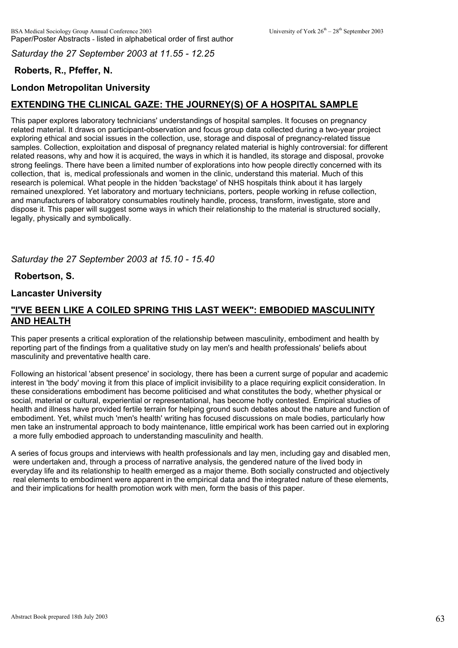*Saturday the 27 September 2003 at 11.55 - 12.25*

# **Roberts, R., Pfeffer, N.**

# **London Metropolitan University**

# **EXTENDING THE CLINICAL GAZE: THE JOURNEY(S) OF A HOSPITAL SAMPLE**

This paper explores laboratory technicians' understandings of hospital samples. It focuses on pregnancy related material. It draws on participant-observation and focus group data collected during a two-year project exploring ethical and social issues in the collection, use, storage and disposal of pregnancy-related tissue samples. Collection, exploitation and disposal of pregnancy related material is highly controversial: for different related reasons, why and how it is acquired, the ways in which it is handled, its storage and disposal, provoke strong feelings. There have been a limited number of explorations into how people directly concerned with its collection, that is, medical professionals and women in the clinic, understand this material. Much of this research is polemical. What people in the hidden 'backstage' of NHS hospitals think about it has largely remained unexplored. Yet laboratory and mortuary technicians, porters, people working in refuse collection, and manufacturers of laboratory consumables routinely handle, process, transform, investigate, store and dispose it. This paper will suggest some ways in which their relationship to the material is structured socially, legally, physically and symbolically.

### *Saturday the 27 September 2003 at 15.10 - 15.40*

### **Robertson, S.**

### **Lancaster University**

### **"I'VE BEEN LIKE A COILED SPRING THIS LAST WEEK": EMBODIED MASCULINITY AND HEALTH**

This paper presents a critical exploration of the relationship between masculinity, embodiment and health by reporting part of the findings from a qualitative study on lay men's and health professionals' beliefs about masculinity and preventative health care.

Following an historical 'absent presence' in sociology, there has been a current surge of popular and academic interest in 'the body' moving it from this place of implicit invisibility to a place requiring explicit consideration. In these considerations embodiment has become politicised and what constitutes the body, whether physical or social, material or cultural, experiential or representational, has become hotly contested. Empirical studies of health and illness have provided fertile terrain for helping ground such debates about the nature and function of embodiment. Yet, whilst much 'men's health' writing has focused discussions on male bodies, particularly how men take an instrumental approach to body maintenance, little empirical work has been carried out in exploring a more fully embodied approach to understanding masculinity and health.

A series of focus groups and interviews with health professionals and lay men, including gay and disabled men, were undertaken and, through a process of narrative analysis, the gendered nature of the lived body in everyday life and its relationship to health emerged as a major theme. Both socially constructed and objectively real elements to embodiment were apparent in the empirical data and the integrated nature of these elements, and their implications for health promotion work with men, form the basis of this paper.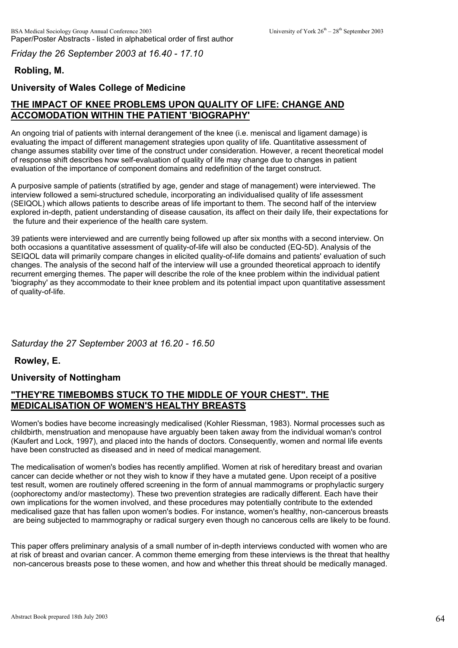*Friday the 26 September 2003 at 16.40 - 17.10*

# **Robling, M.**

### **University of Wales College of Medicine**

# **THE IMPACT OF KNEE PROBLEMS UPON QUALITY OF LIFE: CHANGE AND ACCOMODATION WITHIN THE PATIENT 'BIOGRAPHY'**

An ongoing trial of patients with internal derangement of the knee (i.e. meniscal and ligament damage) is evaluating the impact of different management strategies upon quality of life. Quantitative assessment of change assumes stability over time of the construct under consideration. However, a recent theoretical model of response shift describes how self-evaluation of quality of life may change due to changes in patient evaluation of the importance of component domains and redefinition of the target construct.

A purposive sample of patients (stratified by age, gender and stage of management) were interviewed. The interview followed a semi-structured schedule, incorporating an individualised quality of life assessment (SEIQOL) which allows patients to describe areas of life important to them. The second half of the interview explored in-depth, patient understanding of disease causation, its affect on their daily life, their expectations for the future and their experience of the health care system.

39 patients were interviewed and are currently being followed up after six months with a second interview. On both occasions a quantitative assessment of quality-of-life will also be conducted (EQ-5D). Analysis of the SEIQOL data will primarily compare changes in elicited quality-of-life domains and patients' evaluation of such changes. The analysis of the second half of the interview will use a grounded theoretical approach to identify recurrent emerging themes. The paper will describe the role of the knee problem within the individual patient 'biography' as they accommodate to their knee problem and its potential impact upon quantitative assessment of quality-of-life.

### *Saturday the 27 September 2003 at 16.20 - 16.50*

**Rowley, E.**

### **University of Nottingham**

### **"THEY'RE TIMEBOMBS STUCK TO THE MIDDLE OF YOUR CHEST". THE MEDICALISATION OF WOMEN'S HEALTHY BREASTS**

Women's bodies have become increasingly medicalised (Kohler Riessman, 1983). Normal processes such as childbirth, menstruation and menopause have arguably been taken away from the individual woman's control (Kaufert and Lock, 1997), and placed into the hands of doctors. Consequently, women and normal life events have been constructed as diseased and in need of medical management.

The medicalisation of women's bodies has recently amplified. Women at risk of hereditary breast and ovarian cancer can decide whether or not they wish to know if they have a mutated gene. Upon receipt of a positive test result, women are routinely offered screening in the form of annual mammograms or prophylactic surgery (oophorectomy and/or mastectomy). These two prevention strategies are radically different. Each have their own implications for the women involved, and these procedures may potentially contribute to the extended medicalised gaze that has fallen upon women's bodies. For instance, women's healthy, non-cancerous breasts are being subjected to mammography or radical surgery even though no cancerous cells are likely to be found.

This paper offers preliminary analysis of a small number of in-depth interviews conducted with women who are at risk of breast and ovarian cancer. A common theme emerging from these interviews is the threat that healthy non-cancerous breasts pose to these women, and how and whether this threat should be medically managed.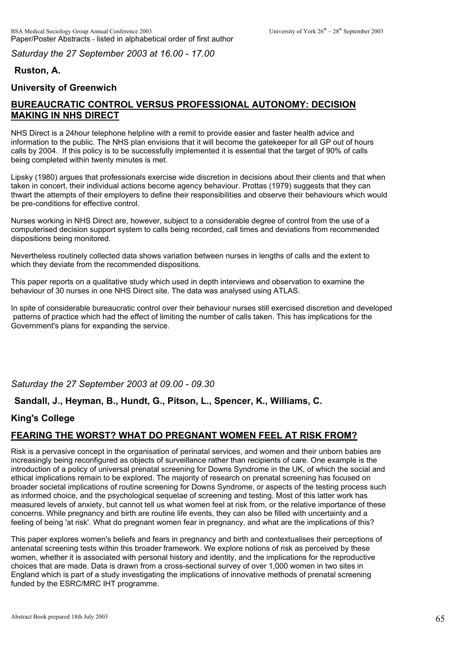*Saturday the 27 September 2003 at 16.00 - 17.00*

# **Ruston, A.**

## **University of Greenwich**

# **BUREAUCRATIC CONTROL VERSUS PROFESSIONAL AUTONOMY: DECISION MAKING IN NHS DIRECT**

NHS Direct is a 24hour telephone helpline with a remit to provide easier and faster health advice and information to the public. The NHS plan envisions that it will become the gatekeeper for all GP out of hours calls by 2004. If this policy is to be successfully implemented it is essential that the target of 90% of calls being completed within twenty minutes is met.

Lipsky (1980) argues that professionals exercise wide discretion in decisions about their clients and that when taken in concert, their individual actions become agency behaviour. Prottas (1979) suggests that they can thwart the attempts of their employers to define their responsibilities and observe their behaviours which would be pre-conditions for effective control.

Nurses working in NHS Direct are, however, subject to a considerable degree of control from the use of a computerised decision support system to calls being recorded, call times and deviations from recommended dispositions being monitored.

Nevertheless routinely collected data shows variation between nurses in lengths of calls and the extent to which they deviate from the recommended dispositions.

This paper reports on a qualitative study which used in depth interviews and observation to examine the behaviour of 30 nurses in one NHS Direct site. The data was analysed using ATLAS.

In spite of considerable bureaucratic control over their behaviour nurses still exercised discretion and developed patterns of practice which had the effect of limiting the number of calls taken. This has implications for the Government's plans for expanding the service.

*Saturday the 27 September 2003 at 09.00 - 09.30*

## **Sandall, J., Heyman, B., Hundt, G., Pitson, L., Spencer, K., Williams, C.**

## **King's College**

# **FEARING THE WORST? WHAT DO PREGNANT WOMEN FEEL AT RISK FROM?**

Risk is a pervasive concept in the organisation of perinatal services, and women and their unborn babies are increasingly being reconfigured as objects of surveillance rather than recipients of care. One example is the introduction of a policy of universal prenatal screening for Downs Syndrome in the UK, of which the social and ethical implications remain to be explored. The majority of research on prenatal screening has focused on broader societal implications of routine screening for Downs Syndrome, or aspects of the testing process such as informed choice, and the psychological sequelae of screening and testing. Most of this latter work has measured levels of anxiety, but cannot tell us what women feel at risk from, or the relative importance of these concerns. While pregnancy and birth are routine life events, they can also be filled with uncertainty and a feeling of being 'at risk'. What do pregnant women fear in pregnancy, and what are the implications of this?

This paper explores women's beliefs and fears in pregnancy and birth and contextualises their perceptions of antenatal screening tests within this broader framework. We explore notions of risk as perceived by these women, whether it is associated with personal history and identity, and the implications for the reproductive choices that are made. Data is drawn from a cross-sectional survey of over 1,000 women in two sites in England which is part of a study investigating the implications of innovative methods of prenatal screening funded by the ESRC/MRC IHT programme.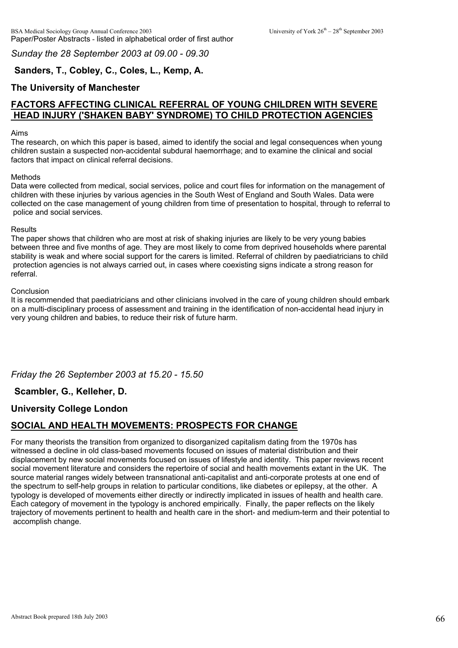*Sunday the 28 September 2003 at 09.00 - 09.30*

### **Sanders, T., Cobley, C., Coles, L., Kemp, A.**

#### **The University of Manchester**

## **FACTORS AFFECTING CLINICAL REFERRAL OF YOUNG CHILDREN WITH SEVERE HEAD INJURY ('SHAKEN BABY' SYNDROME) TO CHILD PROTECTION AGENCIES**

#### Aims

The research, on which this paper is based, aimed to identify the social and legal consequences when young children sustain a suspected non-accidental subdural haemorrhage; and to examine the clinical and social factors that impact on clinical referral decisions.

#### Methods

Data were collected from medical, social services, police and court files for information on the management of children with these injuries by various agencies in the South West of England and South Wales. Data were collected on the case management of young children from time of presentation to hospital, through to referral to police and social services.

#### **Results**

The paper shows that children who are most at risk of shaking injuries are likely to be very young babies between three and five months of age. They are most likely to come from deprived households where parental stability is weak and where social support for the carers is limited. Referral of children by paediatricians to child protection agencies is not always carried out, in cases where coexisting signs indicate a strong reason for referral.

#### Conclusion

It is recommended that paediatricians and other clinicians involved in the care of young children should embark on a multi-disciplinary process of assessment and training in the identification of non-accidental head injury in very young children and babies, to reduce their risk of future harm.

*Friday the 26 September 2003 at 15.20 - 15.50*

### **Scambler, G., Kelleher, D.**

### **University College London**

### **SOCIAL AND HEALTH MOVEMENTS: PROSPECTS FOR CHANGE**

For many theorists the transition from organized to disorganized capitalism dating from the 1970s has witnessed a decline in old class-based movements focused on issues of material distribution and their displacement by new social movements focused on issues of lifestyle and identity. This paper reviews recent social movement literature and considers the repertoire of social and health movements extant in the UK. The source material ranges widely between transnational anti-capitalist and anti-corporate protests at one end of the spectrum to self-help groups in relation to particular conditions, like diabetes or epilepsy, at the other. A typology is developed of movements either directly or indirectly implicated in issues of health and health care. Each category of movement in the typology is anchored empirically. Finally, the paper reflects on the likely trajectory of movements pertinent to health and health care in the short- and medium-term and their potential to accomplish change.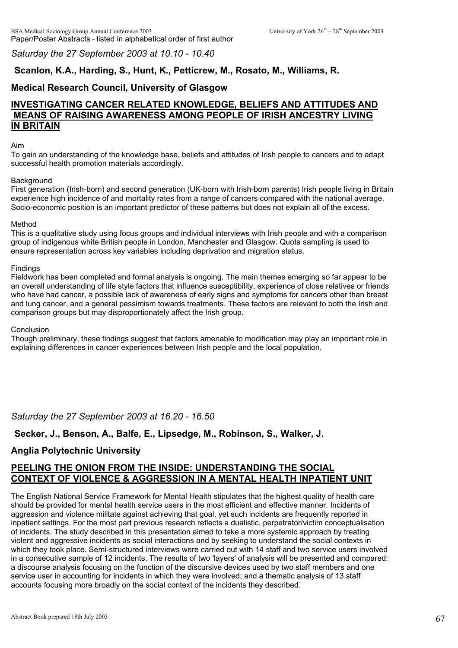#### *Saturday the 27 September 2003 at 10.10 - 10.40*

## **Scanlon, K.A., Harding, S., Hunt, K., Petticrew, M., Rosato, M., Williams, R.**

### **Medical Research Council, University of Glasgow**

### **INVESTIGATING CANCER RELATED KNOWLEDGE, BELIEFS AND ATTITUDES AND MEANS OF RAISING AWARENESS AMONG PEOPLE OF IRISH ANCESTRY LIVING IN BRITAIN**

#### Aim

To gain an understanding of the knowledge base, beliefs and attitudes of Irish people to cancers and to adapt successful health promotion materials accordingly.

#### **Background**

First generation (Irish-born) and second generation (UK-born with Irish-born parents) Irish people living in Britain experience high incidence of and mortality rates from a range of cancers compared with the national average. Socio-economic position is an important predictor of these patterns but does not explain all of the excess.

#### Method

This is a qualitative study using focus groups and individual interviews with Irish people and with a comparison group of indigenous white British people in London, Manchester and Glasgow. Quota sampling is used to ensure representation across key variables including deprivation and migration status.

#### **Findings**

Fieldwork has been completed and formal analysis is ongoing. The main themes emerging so far appear to be an overall understanding of life style factors that influence susceptibility, experience of close relatives or friends who have had cancer, a possible lack of awareness of early signs and symptoms for cancers other than breast and lung cancer, and a general pessimism towards treatments. These factors are relevant to both the Irish and comparison groups but may disproportionately affect the Irish group.

#### **Conclusion**

Though preliminary, these findings suggest that factors amenable to modification may play an important role in explaining differences in cancer experiences between Irish people and the local population.

*Saturday the 27 September 2003 at 16.20 - 16.50*

#### **Secker, J., Benson, A., Balfe, E., Lipsedge, M., Robinson, S., Walker, J.**

#### **Anglia Polytechnic University**

### **PEELING THE ONION FROM THE INSIDE: UNDERSTANDING THE SOCIAL CONTEXT OF VIOLENCE & AGGRESSION IN A MENTAL HEALTH INPATIENT UNIT**

The English National Service Framework for Mental Health stipulates that the highest quality of health care should be provided for mental health service users in the most efficient and effective manner. Incidents of aggression and violence militate against achieving that goal, yet such incidents are frequently reported in inpatient settings. For the most part previous research reflects a dualistic, perpetrator/victim conceptualisation of incidents. The study described in this presentation aimed to take a more systemic approach by treating violent and aggressive incidents as social interactions and by seeking to understand the social contexts in which they took place. Semi-structured interviews were carried out with 14 staff and two service users involved in a consecutive sample of 12 incidents. The results of two 'layers' of analysis will be presented and compared: a discourse analysis focusing on the function of the discursive devices used by two staff members and one service user in accounting for incidents in which they were involved; and a thematic analysis of 13 staff accounts focusing more broadly on the social context of the incidents they described.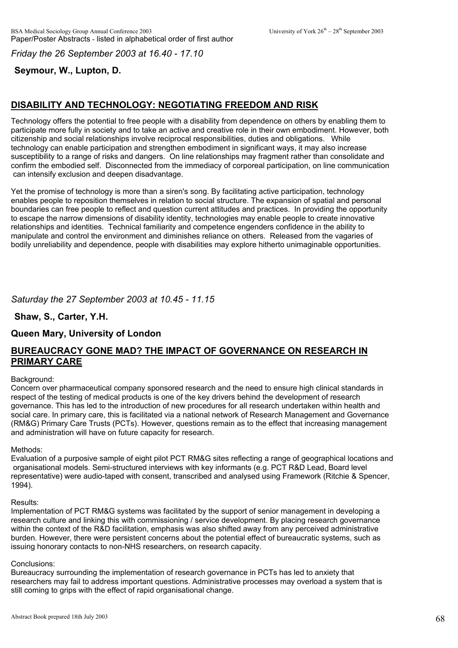*Friday the 26 September 2003 at 16.40 - 17.10*

# **Seymour, W., Lupton, D.**

# **DISABILITY AND TECHNOLOGY: NEGOTIATING FREEDOM AND RISK**

Technology offers the potential to free people with a disability from dependence on others by enabling them to participate more fully in society and to take an active and creative role in their own embodiment. However, both citizenship and social relationships involve reciprocal responsibilities, duties and obligations. While technology can enable participation and strengthen embodiment in significant ways, it may also increase susceptibility to a range of risks and dangers. On line relationships may fragment rather than consolidate and confirm the embodied self. Disconnected from the immediacy of corporeal participation, on line communication can intensify exclusion and deepen disadvantage.

Yet the promise of technology is more than a siren's song. By facilitating active participation, technology enables people to reposition themselves in relation to social structure. The expansion of spatial and personal boundaries can free people to reflect and question current attitudes and practices. In providing the opportunity to escape the narrow dimensions of disability identity, technologies may enable people to create innovative relationships and identities. Technical familiarity and competence engenders confidence in the ability to manipulate and control the environment and diminishes reliance on others. Released from the vagaries of bodily unreliability and dependence, people with disabilities may explore hitherto unimaginable opportunities.

### *Saturday the 27 September 2003 at 10.45 - 11.15*

**Shaw, S., Carter, Y.H.**

## **Queen Mary, University of London**

### **BUREAUCRACY GONE MAD? THE IMPACT OF GOVERNANCE ON RESEARCH IN PRIMARY CARE**

#### Background:

Concern over pharmaceutical company sponsored research and the need to ensure high clinical standards in respect of the testing of medical products is one of the key drivers behind the development of research governance. This has led to the introduction of new procedures for all research undertaken within health and social care. In primary care, this is facilitated via a national network of Research Management and Governance (RM&G) Primary Care Trusts (PCTs). However, questions remain as to the effect that increasing management and administration will have on future capacity for research.

#### Methods:

Evaluation of a purposive sample of eight pilot PCT RM&G sites reflecting a range of geographical locations and organisational models. Semi-structured interviews with key informants (e.g. PCT R&D Lead, Board level representative) were audio-taped with consent, transcribed and analysed using Framework (Ritchie & Spencer,  $1994$ ).

#### Results:

Implementation of PCT RM&G systems was facilitated by the support of senior management in developing a research culture and linking this with commissioning / service development. By placing research governance within the context of the R&D facilitation, emphasis was also shifted away from any perceived administrative burden. However, there were persistent concerns about the potential effect of bureaucratic systems, such as issuing honorary contacts to non-NHS researchers, on research capacity.

#### Conclusions:

Bureaucracy surrounding the implementation of research governance in PCTs has led to anxiety that researchers may fail to address important questions. Administrative processes may overload a system that is still coming to grips with the effect of rapid organisational change.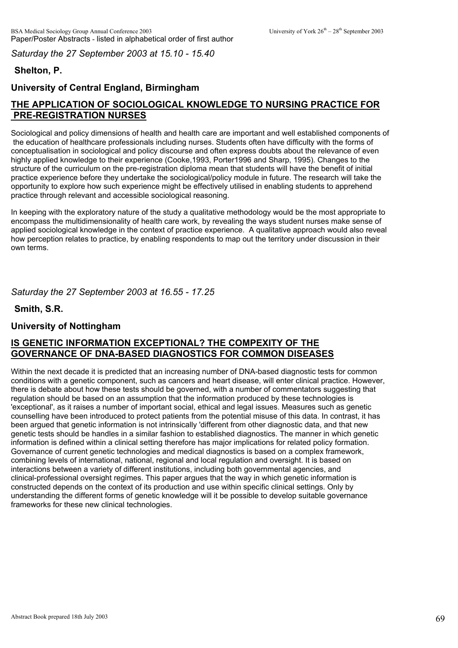*Saturday the 27 September 2003 at 15.10 - 15.40*

# **Shelton, P.**

# **University of Central England, Birmingham**

# **THE APPLICATION OF SOCIOLOGICAL KNOWLEDGE TO NURSING PRACTICE FOR PRE-REGISTRATION NURSES**

Sociological and policy dimensions of health and health care are important and well established components of the education of healthcare professionals including nurses. Students often have difficulty with the forms of conceptualisation in sociological and policy discourse and often express doubts about the relevance of even highly applied knowledge to their experience (Cooke,1993, Porter1996 and Sharp, 1995). Changes to the structure of the curriculum on the pre-registration diploma mean that students will have the benefit of initial practice experience before they undertake the sociological/policy module in future. The research will take the opportunity to explore how such experience might be effectively utilised in enabling students to apprehend practice through relevant and accessible sociological reasoning.

In keeping with the exploratory nature of the study a qualitative methodology would be the most appropriate to encompass the multidimensionality of health care work, by revealing the ways student nurses make sense of applied sociological knowledge in the context of practice experience. A qualitative approach would also reveal how perception relates to practice, by enabling respondents to map out the territory under discussion in their own terms.

*Saturday the 27 September 2003 at 16.55 - 17.25*

**Smith, S.R.**

## **University of Nottingham**

## **IS GENETIC INFORMATION EXCEPTIONAL? THE COMPEXITY OF THE GOVERNANCE OF DNA-BASED DIAGNOSTICS FOR COMMON DISEASES**

Within the next decade it is predicted that an increasing number of DNA-based diagnostic tests for common conditions with a genetic component, such as cancers and heart disease, will enter clinical practice. However, there is debate about how these tests should be governed, with a number of commentators suggesting that regulation should be based on an assumption that the information produced by these technologies is 'exceptional', as it raises a number of important social, ethical and legal issues. Measures such as genetic counselling have been introduced to protect patients from the potential misuse of this data. In contrast, it has been argued that genetic information is not intrinsically 'different from other diagnostic data, and that new genetic tests should be handles in a similar fashion to established diagnostics. The manner in which genetic information is defined within a clinical setting therefore has major implications for related policy formation. Governance of current genetic technologies and medical diagnostics is based on a complex framework, combining levels of international, national, regional and local regulation and oversight. It is based on interactions between a variety of different institutions, including both governmental agencies, and clinical-professional oversight regimes. This paper argues that the way in which genetic information is constructed depends on the context of its production and use within specific clinical settings. Only by understanding the different forms of genetic knowledge will it be possible to develop suitable governance frameworks for these new clinical technologies.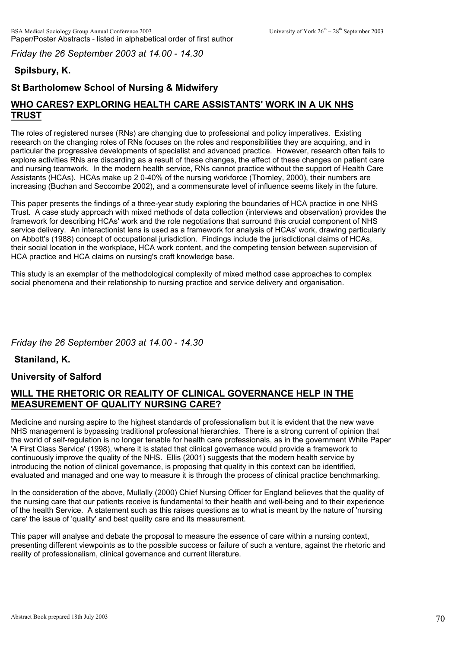*Friday the 26 September 2003 at 14.00 - 14.30*

# **Spilsbury, K.**

# **St Bartholomew School of Nursing & Midwifery**

# **WHO CARES? EXPLORING HEALTH CARE ASSISTANTS' WORK IN A UK NHS TRUST**

The roles of registered nurses (RNs) are changing due to professional and policy imperatives. Existing research on the changing roles of RNs focuses on the roles and responsibilities they are acquiring, and in particular the progressive developments of specialist and advanced practice. However, research often fails to explore activities RNs are discarding as a result of these changes, the effect of these changes on patient care and nursing teamwork. In the modern health service, RNs cannot practice without the support of Health Care Assistants (HCAs). HCAs make up 2 0-40% of the nursing workforce (Thornley, 2000), their numbers are increasing (Buchan and Seccombe 2002), and a commensurate level of influence seems likely in the future.

This paper presents the findings of a three-year study exploring the boundaries of HCA practice in one NHS Trust. A case study approach with mixed methods of data collection (interviews and observation) provides the framework for describing HCAs' work and the role negotiations that surround this crucial component of NHS service delivery. An interactionist lens is used as a framework for analysis of HCAs' work, drawing particularly on Abbott's (1988) concept of occupational jurisdiction. Findings include the jurisdictional claims of HCAs, their social location in the workplace, HCA work content, and the competing tension between supervision of HCA practice and HCA claims on nursing's craft knowledge base.

This study is an exemplar of the methodological complexity of mixed method case approaches to complex social phenomena and their relationship to nursing practice and service delivery and organisation.

## *Friday the 26 September 2003 at 14.00 - 14.30*

**Staniland, K.**

## **University of Salford**

### **WILL THE RHETORIC OR REALITY OF CLINICAL GOVERNANCE HELP IN THE MEASUREMENT OF QUALITY NURSING CARE?**

Medicine and nursing aspire to the highest standards of professionalism but it is evident that the new wave NHS management is bypassing traditional professional hierarchies. There is a strong current of opinion that the world of self-regulation is no longer tenable for health care professionals, as in the government White Paper 'A First Class Service' (1998), where it is stated that clinical governance would provide a framework to continuously improve the quality of the NHS. Ellis (2001) suggests that the modern health service by introducing the notion of clinical governance, is proposing that quality in this context can be identified, evaluated and managed and one way to measure it is through the process of clinical practice benchmarking.

In the consideration of the above, Mullally (2000) Chief Nursing Officer for England believes that the quality of the nursing care that our patients receive is fundamental to their health and well-being and to their experience of the health Service. A statement such as this raises questions as to what is meant by the nature of 'nursing care' the issue of 'quality' and best quality care and its measurement.

This paper will analyse and debate the proposal to measure the essence of care within a nursing context, presenting different viewpoints as to the possible success or failure of such a venture, against the rhetoric and reality of professionalism, clinical governance and current literature.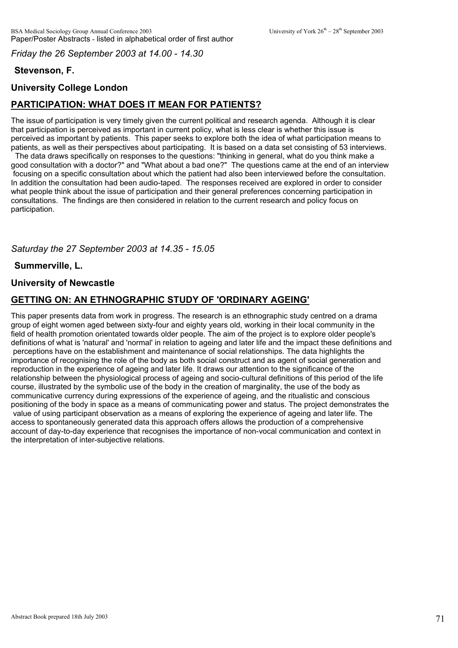*Friday the 26 September 2003 at 14.00 - 14.30*

# **Stevenson, F.**

# **University College London**

# **PARTICIPATION: WHAT DOES IT MEAN FOR PATIENTS?**

The issue of participation is very timely given the current political and research agenda. Although it is clear that participation is perceived as important in current policy, what is less clear is whether this issue is perceived as important by patients. This paper seeks to explore both the idea of what participation means to patients, as well as their perspectives about participating. It is based on a data set consisting of 53 interviews.

 The data draws specifically on responses to the questions: "thinking in general, what do you think make a good consultation with a doctor?" and "What about a bad one?" The questions came at the end of an interview focusing on a specific consultation about which the patient had also been interviewed before the consultation. In addition the consultation had been audio-taped. The responses received are explored in order to consider what people think about the issue of participation and their general preferences concerning participation in consultations. The findings are then considered in relation to the current research and policy focus on participation.

## *Saturday the 27 September 2003 at 14.35 - 15.05*

### **Summerville, L.**

### **University of Newcastle**

# **GETTING ON: AN ETHNOGRAPHIC STUDY OF 'ORDINARY AGEING'**

This paper presents data from work in progress. The research is an ethnographic study centred on a drama group of eight women aged between sixty-four and eighty years old, working in their local community in the field of health promotion orientated towards older people. The aim of the project is to explore older people's definitions of what is 'natural' and 'normal' in relation to ageing and later life and the impact these definitions and perceptions have on the establishment and maintenance of social relationships. The data highlights the importance of recognising the role of the body as both social construct and as agent of social generation and reproduction in the experience of ageing and later life. It draws our attention to the significance of the relationship between the physiological process of ageing and socio-cultural definitions of this period of the life course, illustrated by the symbolic use of the body in the creation of marginality, the use of the body as communicative currency during expressions of the experience of ageing, and the ritualistic and conscious positioning of the body in space as a means of communicating power and status. The project demonstrates the value of using participant observation as a means of exploring the experience of ageing and later life. The access to spontaneously generated data this approach offers allows the production of a comprehensive account of day-to-day experience that recognises the importance of non-vocal communication and context in the interpretation of inter-subjective relations.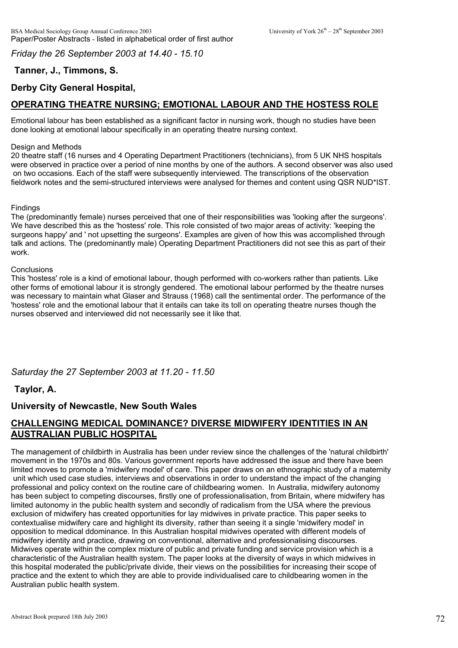*Friday the 26 September 2003 at 14.40 - 15.10*

# **Tanner, J., Timmons, S.**

# **Derby City General Hospital,**

# **OPERATING THEATRE NURSING; EMOTIONAL LABOUR AND THE HOSTESS ROLE**

Emotional labour has been established as a significant factor in nursing work, though no studies have been done looking at emotional labour specifically in an operating theatre nursing context.

#### Design and Methods

20 theatre staff (16 nurses and 4 Operating Department Practitioners (technicians), from 5 UK NHS hospitals were observed in practice over a period of nine months by one of the authors. A second observer was also used on two occasions. Each of the staff were subsequently interviewed. The transcriptions of the observation fieldwork notes and the semi-structured interviews were analysed for themes and content using QSR NUD\*IST.

#### **Findings**

The (predominantly female) nurses perceived that one of their responsibilities was 'looking after the surgeons'. We have described this as the 'hostess' role. This role consisted of two major areas of activity: 'keeping the surgeons happy' and ' not upsetting the surgeons'. Examples are given of how this was accomplished through talk and actions. The (predominantly male) Operating Department Practitioners did not see this as part of their work.

#### **Conclusions**

This 'hostess' role is a kind of emotional labour, though performed with co-workers rather than patients. Like other forms of emotional labour it is strongly gendered. The emotional labour performed by the theatre nurses was necessary to maintain what Glaser and Strauss (1968) call the sentimental order. The performance of the 'hostess' role and the emotional labour that it entails can take its toll on operating theatre nurses though the nurses observed and interviewed did not necessarily see it like that.

*Saturday the 27 September 2003 at 11.20 - 11.50*

### **Taylor, A.**

### **University of Newcastle, New South Wales**

### **CHALLENGING MEDICAL DOMINANCE? DIVERSE MIDWIFERY IDENTITIES IN AN AUSTRALIAN PUBLIC HOSPITAL**

The management of childbirth in Australia has been under review since the challenges of the 'natural childbirth' movement in the 1970s and 80s. Various government reports have addressed the issue and there have been limited moves to promote a 'midwifery model' of care. This paper draws on an ethnographic study of a maternity unit which used case studies, interviews and observations in order to understand the impact of the changing professional and policy context on the routine care of childbearing women. In Australia, midwifery autonomy has been subject to competing discourses, firstly one of professionalisation, from Britain, where midwifery has limited autonomy in the public health system and secondly of radicalism from the USA where the previous exclusion of midwifery has created opportunities for lay midwives in private practice. This paper seeks to contextualise midwifery care and highlight its diversity, rather than seeing it a single 'midwifery model' in opposition to medical ddominance. In this Australian hospital midwives operated with different models of midwifery identity and practice, drawing on conventional, alternative and professionalising discourses. Midwives operate within the complex mixture of public and private funding and service provision which is a characteristic of the Australian health system. The paper looks at the diversity of ways in which midwives in this hospital moderated the public/private divide, their views on the possibilities for increasing their scope of practice and the extent to which they are able to provide individualised care to childbearing women in the Australian public health system.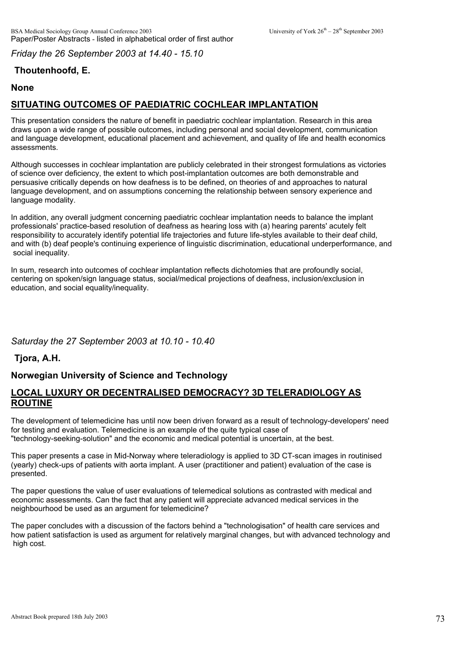*Friday the 26 September 2003 at 14.40 - 15.10*

# **Thoutenhoofd, E.**

#### **None**

# **SITUATING OUTCOMES OF PAEDIATRIC COCHLEAR IMPLANTATION**

This presentation considers the nature of benefit in paediatric cochlear implantation. Research in this area draws upon a wide range of possible outcomes, including personal and social development, communication and language development, educational placement and achievement, and quality of life and health economics assessments.

Although successes in cochlear implantation are publicly celebrated in their strongest formulations as victories of science over deficiency, the extent to which post-implantation outcomes are both demonstrable and persuasive critically depends on how deafness is to be defined, on theories of and approaches to natural language development, and on assumptions concerning the relationship between sensory experience and language modality.

In addition, any overall judgment concerning paediatric cochlear implantation needs to balance the implant professionals' practice-based resolution of deafness as hearing loss with (a) hearing parents' acutely felt responsibility to accurately identify potential life trajectories and future life-styles available to their deaf child, and with (b) deaf people's continuing experience of linguistic discrimination, educational underperformance, and social inequality.

In sum, research into outcomes of cochlear implantation reflects dichotomies that are profoundly social, centering on spoken/sign language status, social/medical projections of deafness, inclusion/exclusion in education, and social equality/inequality.

*Saturday the 27 September 2003 at 10.10 - 10.40*

**Tjora, A.H.**

## **Norwegian University of Science and Technology**

#### **LOCAL LUXURY OR DECENTRALISED DEMOCRACY? 3D TELERADIOLOGY AS ROUTINE**

The development of telemedicine has until now been driven forward as a result of technology-developers' need for testing and evaluation. Telemedicine is an example of the quite typical case of "technology-seeking-solution" and the economic and medical potential is uncertain, at the best.

This paper presents a case in Mid-Norway where teleradiology is applied to 3D CT-scan images in routinised (yearly) check-ups of patients with aorta implant. A user (practitioner and patient) evaluation of the case is presented.

The paper questions the value of user evaluations of telemedical solutions as contrasted with medical and economic assessments. Can the fact that any patient will appreciate advanced medical services in the neighbourhood be used as an argument for telemedicine?

The paper concludes with a discussion of the factors behind a "technologisation" of health care services and how patient satisfaction is used as argument for relatively marginal changes, but with advanced technology and high cost.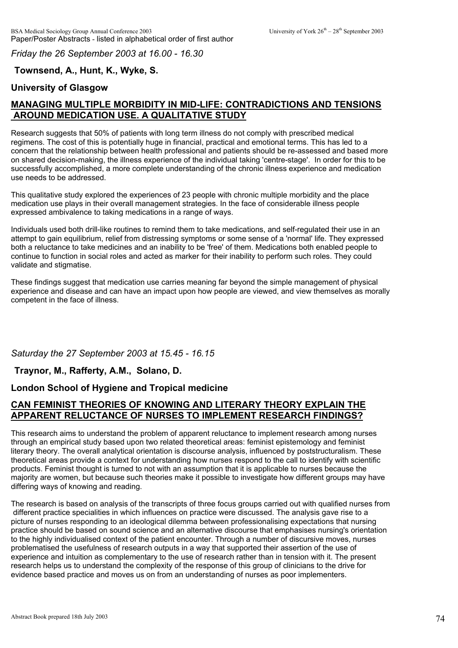*Friday the 26 September 2003 at 16.00 - 16.30*

#### **Townsend, A., Hunt, K., Wyke, S.**

#### **University of Glasgow**

# **MANAGING MULTIPLE MORBIDITY IN MID-LIFE: CONTRADICTIONS AND TENSIONS AROUND MEDICATION USE. A QUALITATIVE STUDY**

Research suggests that 50% of patients with long term illness do not comply with prescribed medical regimens. The cost of this is potentially huge in financial, practical and emotional terms. This has led to a concern that the relationship between health professional and patients should be re-assessed and based more on shared decision-making, the illness experience of the individual taking 'centre-stage'. In order for this to be successfully accomplished, a more complete understanding of the chronic illness experience and medication use needs to be addressed.

This qualitative study explored the experiences of 23 people with chronic multiple morbidity and the place medication use plays in their overall management strategies. In the face of considerable illness people expressed ambivalence to taking medications in a range of ways.

Individuals used both drill-like routines to remind them to take medications, and self-regulated their use in an attempt to gain equilibrium, relief from distressing symptoms or some sense of a 'normal' life. They expressed both a reluctance to take medicines and an inability to be 'free' of them. Medications both enabled people to continue to function in social roles and acted as marker for their inability to perform such roles. They could validate and stigmatise.

These findings suggest that medication use carries meaning far beyond the simple management of physical experience and disease and can have an impact upon how people are viewed, and view themselves as morally competent in the face of illness.

#### *Saturday the 27 September 2003 at 15.45 - 16.15*

#### **Traynor, M., Rafferty, A.M., Solano, D.**

#### **London School of Hygiene and Tropical medicine**

## **CAN FEMINIST THEORIES OF KNOWING AND LITERARY THEORY EXPLAIN THE APPARENT RELUCTANCE OF NURSES TO IMPLEMENT RESEARCH FINDINGS?**

This research aims to understand the problem of apparent reluctance to implement research among nurses through an empirical study based upon two related theoretical areas: feminist epistemology and feminist literary theory. The overall analytical orientation is discourse analysis, influenced by poststructuralism. These theoretical areas provide a context for understanding how nurses respond to the call to identify with scientific products. Feminist thought is turned to not with an assumption that it is applicable to nurses because the majority are women, but because such theories make it possible to investigate how different groups may have differing ways of knowing and reading.

The research is based on analysis of the transcripts of three focus groups carried out with qualified nurses from different practice specialities in which influences on practice were discussed. The analysis gave rise to a picture of nurses responding to an ideological dilemma between professionalising expectations that nursing practice should be based on sound science and an alternative discourse that emphasises nursing's orientation to the highly individualised context of the patient encounter. Through a number of discursive moves, nurses problematised the usefulness of research outputs in a way that supported their assertion of the use of experience and intuition as complementary to the use of research rather than in tension with it. The present research helps us to understand the complexity of the response of this group of clinicians to the drive for evidence based practice and moves us on from an understanding of nurses as poor implementers.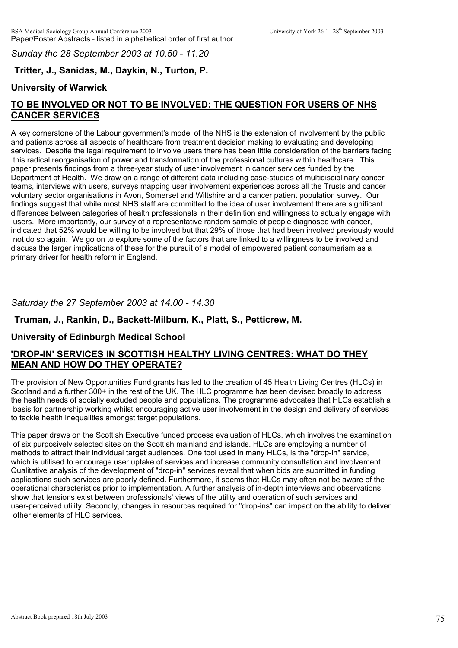*Sunday the 28 September 2003 at 10.50 - 11.20*

# **Tritter, J., Sanidas, M., Daykin, N., Turton, P.**

#### **University of Warwick**

# **TO BE INVOLVED OR NOT TO BE INVOLVED: THE QUESTION FOR USERS OF NHS CANCER SERVICES**

A key cornerstone of the Labour government's model of the NHS is the extension of involvement by the public and patients across all aspects of healthcare from treatment decision making to evaluating and developing services. Despite the legal requirement to involve users there has been little consideration of the barriers facing this radical reorganisation of power and transformation of the professional cultures within healthcare. This paper presents findings from a three-year study of user involvement in cancer services funded by the Department of Health. We draw on a range of different data including case-studies of multidisciplinary cancer teams, interviews with users, surveys mapping user involvement experiences across all the Trusts and cancer voluntary sector organisations in Avon, Somerset and Wiltshire and a cancer patient population survey. Our findings suggest that while most NHS staff are committed to the idea of user involvement there are significant differences between categories of health professionals in their definition and willingness to actually engage with users. More importantly, our survey of a representative random sample of people diagnosed with cancer, indicated that 52% would be willing to be involved but that 29% of those that had been involved previously would not do so again. We go on to explore some of the factors that are linked to a willingness to be involved and discuss the larger implications of these for the pursuit of a model of empowered patient consumerism as a primary driver for health reform in England.

#### *Saturday the 27 September 2003 at 14.00 - 14.30*

#### **Truman, J., Rankin, D., Backett-Milburn, K., Platt, S., Petticrew, M.**

#### **University of Edinburgh Medical School**

#### **'DROP-IN' SERVICES IN SCOTTISH HEALTHY LIVING CENTRES: WHAT DO THEY MEAN AND HOW DO THEY OPERATE?**

The provision of New Opportunities Fund grants has led to the creation of 45 Health Living Centres (HLCs) in Scotland and a further 300+ in the rest of the UK. The HLC programme has been devised broadly to address the health needs of socially excluded people and populations. The programme advocates that HLCs establish a basis for partnership working whilst encouraging active user involvement in the design and delivery of services to tackle health inequalities amongst target populations.

This paper draws on the Scottish Executive funded process evaluation of HLCs, which involves the examination of six purposively selected sites on the Scottish mainland and islands. HLCs are employing a number of methods to attract their individual target audiences. One tool used in many HLCs, is the "drop-in" service, which is utilised to encourage user uptake of services and increase community consultation and involvement. Qualitative analysis of the development of "drop-in" services reveal that when bids are submitted in funding applications such services are poorly defined. Furthermore, it seems that HLCs may often not be aware of the operational characteristics prior to implementation. A further analysis of in-depth interviews and observations show that tensions exist between professionals' views of the utility and operation of such services and user-perceived utility. Secondly, changes in resources required for "drop-ins" can impact on the ability to deliver other elements of HLC services.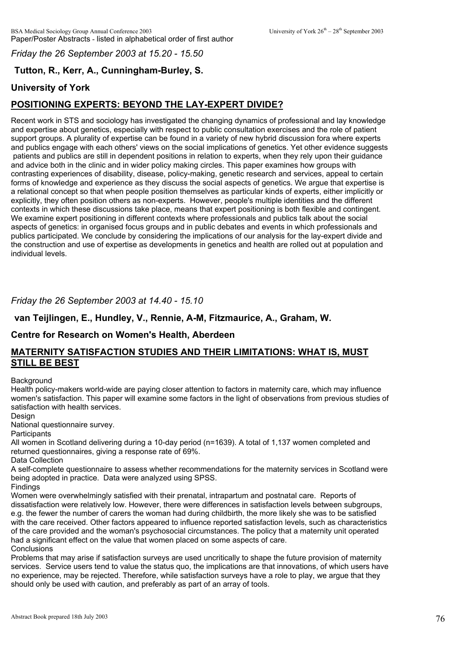*Friday the 26 September 2003 at 15.20 - 15.50*

# **Tutton, R., Kerr, A., Cunningham-Burley, S.**

# **University of York**

# **POSITIONING EXPERTS: BEYOND THE LAY-EXPERT DIVIDE?**

Recent work in STS and sociology has investigated the changing dynamics of professional and lay knowledge and expertise about genetics, especially with respect to public consultation exercises and the role of patient support groups. A plurality of expertise can be found in a variety of new hybrid discussion fora where experts and publics engage with each others' views on the social implications of genetics. Yet other evidence suggests patients and publics are still in dependent positions in relation to experts, when they rely upon their guidance and advice both in the clinic and in wider policy making circles. This paper examines how groups with contrasting experiences of disability, disease, policy-making, genetic research and services, appeal to certain forms of knowledge and experience as they discuss the social aspects of genetics. We argue that expertise is a relational concept so that when people position themselves as particular kinds of experts, either implicitly or explicitly, they often position others as non-experts. However, people's multiple identities and the different contexts in which these discussions take place, means that expert positioning is both flexible and contingent. We examine expert positioning in different contexts where professionals and publics talk about the social aspects of genetics: in organised focus groups and in public debates and events in which professionals and publics participated. We conclude by considering the implications of our analysis for the lay-expert divide and the construction and use of expertise as developments in genetics and health are rolled out at population and individual levels.

#### *Friday the 26 September 2003 at 14.40 - 15.10*

#### **van Teijlingen, E., Hundley, V., Rennie, A-M, Fitzmaurice, A., Graham, W.**

#### **Centre for Research on Women's Health, Aberdeen**

#### **MATERNITY SATISFACTION STUDIES AND THEIR LIMITATIONS: WHAT IS, MUST STILL BE BEST**

#### **Background**

Health policy-makers world-wide are paying closer attention to factors in maternity care, which may influence women's satisfaction. This paper will examine some factors in the light of observations from previous studies of satisfaction with health services.

#### Design

National questionnaire survey.

#### **Participants**

All women in Scotland delivering during a 10-day period (n=1639). A total of 1,137 women completed and returned questionnaires, giving a response rate of 69%.

Data Collection

A self-complete questionnaire to assess whether recommendations for the maternity services in Scotland were being adopted in practice. Data were analyzed using SPSS.

**Findings** 

Women were overwhelmingly satisfied with their prenatal, intrapartum and postnatal care. Reports of dissatisfaction were relatively low. However, there were differences in satisfaction levels between subgroups, e.g. the fewer the number of carers the woman had during childbirth, the more likely she was to be satisfied with the care received. Other factors appeared to influence reported satisfaction levels, such as characteristics of the care provided and the woman's psychosocial circumstances. The policy that a maternity unit operated had a significant effect on the value that women placed on some aspects of care. **Conclusions** 

Problems that may arise if satisfaction surveys are used uncritically to shape the future provision of maternity services. Service users tend to value the status quo, the implications are that innovations, of which users have no experience, may be rejected. Therefore, while satisfaction surveys have a role to play, we argue that they should only be used with caution, and preferably as part of an array of tools.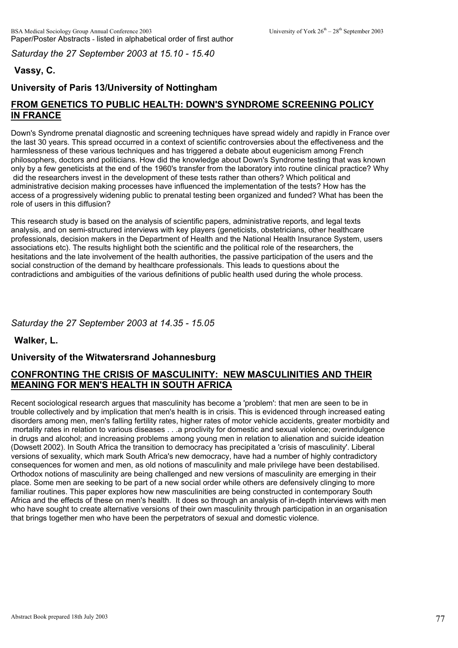*Saturday the 27 September 2003 at 15.10 - 15.40*

# **Vassy, C.**

# **University of Paris 13/University of Nottingham**

# **FROM GENETICS TO PUBLIC HEALTH: DOWN'S SYNDROME SCREENING POLICY IN FRANCE**

Down's Syndrome prenatal diagnostic and screening techniques have spread widely and rapidly in France over the last 30 years. This spread occurred in a context of scientific controversies about the effectiveness and the harmlessness of these various techniques and has triggered a debate about eugenicism among French philosophers, doctors and politicians. How did the knowledge about Down's Syndrome testing that was known only by a few geneticists at the end of the 1960's transfer from the laboratory into routine clinical practice? Why did the researchers invest in the development of these tests rather than others? Which political and administrative decision making processes have influenced the implementation of the tests? How has the access of a progressively widening public to prenatal testing been organized and funded? What has been the role of users in this diffusion?

This research study is based on the analysis of scientific papers, administrative reports, and legal texts analysis, and on semi-structured interviews with key players (geneticists, obstetricians, other healthcare professionals, decision makers in the Department of Health and the National Health Insurance System, users associations etc). The results highlight both the scientific and the political role of the researchers, the hesitations and the late involvement of the health authorities, the passive participation of the users and the social construction of the demand by healthcare professionals. This leads to questions about the contradictions and ambiguities of the various definitions of public health used during the whole process.

#### *Saturday the 27 September 2003 at 14.35 - 15.05*

**Walker, L.**

## **University of the Witwatersrand Johannesburg**

## **CONFRONTING THE CRISIS OF MASCULINITY: NEW MASCULINITIES AND THEIR MEANING FOR MEN'S HEALTH IN SOUTH AFRICA**

Recent sociological research argues that masculinity has become a 'problem': that men are seen to be in trouble collectively and by implication that men's health is in crisis. This is evidenced through increased eating disorders among men, men's falling fertility rates, higher rates of motor vehicle accidents, greater morbidity and mortality rates in relation to various diseases . . .a proclivity for domestic and sexual violence; overindulgence in drugs and alcohol; and increasing problems among young men in relation to alienation and suicide ideation (Dowsett 2002). In South Africa the transition to democracy has precipitated a 'crisis of masculinity'. Liberal versions of sexuality, which mark South Africa's new democracy, have had a number of highly contradictory consequences for women and men, as old notions of masculinity and male privilege have been destabilised. Orthodox notions of masculinity are being challenged and new versions of masculinity are emerging in their place. Some men are seeking to be part of a new social order while others are defensively clinging to more familiar routines. This paper explores how new masculinities are being constructed in contemporary South Africa and the effects of these on men's health. It does so through an analysis of in-depth interviews with men who have sought to create alternative versions of their own masculinity through participation in an organisation that brings together men who have been the perpetrators of sexual and domestic violence.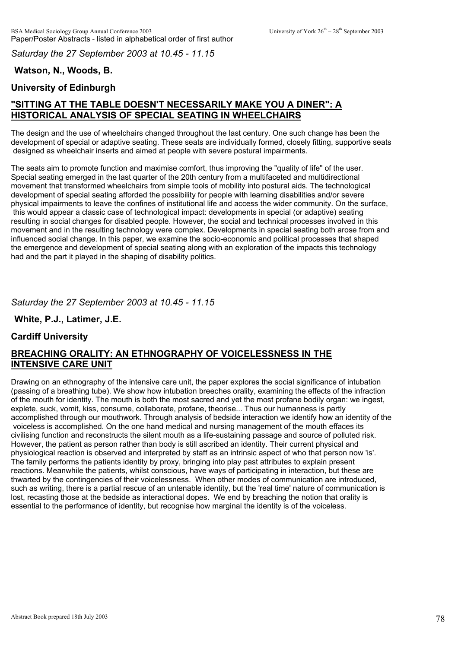*Saturday the 27 September 2003 at 10.45 - 11.15*

# **Watson, N., Woods, B.**

# **University of Edinburgh**

# **"SITTING AT THE TABLE DOESN'T NECESSARILY MAKE YOU A DINER": A HISTORICAL ANALYSIS OF SPECIAL SEATING IN WHEELCHAIRS**

The design and the use of wheelchairs changed throughout the last century. One such change has been the development of special or adaptive seating. These seats are individually formed, closely fitting, supportive seats designed as wheelchair inserts and aimed at people with severe postural impairments.

The seats aim to promote function and maximise comfort, thus improving the "quality of life" of the user. Special seating emerged in the last quarter of the 20th century from a multifaceted and multidirectional movement that transformed wheelchairs from simple tools of mobility into postural aids. The technological development of special seating afforded the possibility for people with learning disabilities and/or severe physical impairments to leave the confines of institutional life and access the wider community. On the surface, this would appear a classic case of technological impact: developments in special (or adaptive) seating resulting in social changes for disabled people. However, the social and technical processes involved in this movement and in the resulting technology were complex. Developments in special seating both arose from and influenced social change. In this paper, we examine the socio-economic and political processes that shaped the emergence and development of special seating along with an exploration of the impacts this technology had and the part it played in the shaping of disability politics.

#### *Saturday the 27 September 2003 at 10.45 - 11.15*

**White, P.J., Latimer, J.E.**

#### **Cardiff University**

## **BREACHING ORALITY: AN ETHNOGRAPHY OF VOICELESSNESS IN THE INTENSIVE CARE UNIT**

Drawing on an ethnography of the intensive care unit, the paper explores the social significance of intubation (passing of a breathing tube). We show how intubation breeches orality, examining the effects of the infraction of the mouth for identity. The mouth is both the most sacred and yet the most profane bodily organ: we ingest, explete, suck, vomit, kiss, consume, collaborate, profane, theorise... Thus our humanness is partly accomplished through our mouthwork. Through analysis of bedside interaction we identify how an identity of the voiceless is accomplished. On the one hand medical and nursing management of the mouth effaces its civilising function and reconstructs the silent mouth as a life-sustaining passage and source of polluted risk. However, the patient as person rather than body is still ascribed an identity. Their current physical and physiological reaction is observed and interpreted by staff as an intrinsic aspect of who that person now 'is'. The family performs the patients identity by proxy, bringing into play past attributes to explain present reactions. Meanwhile the patients, whilst conscious, have ways of participating in interaction, but these are thwarted by the contingencies of their voicelessness. When other modes of communication are introduced, such as writing, there is a partial rescue of an untenable identity, but the 'real time' nature of communication is lost, recasting those at the bedside as interactional dopes. We end by breaching the notion that orality is essential to the performance of identity, but recognise how marginal the identity is of the voiceless.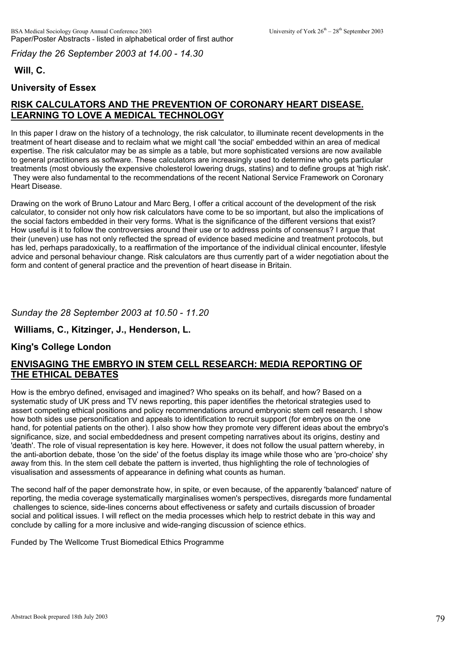*Friday the 26 September 2003 at 14.00 - 14.30*

## **Will, C.**

# **University of Essex**

# **RISK CALCULATORS AND THE PREVENTION OF CORONARY HEART DISEASE. LEARNING TO LOVE A MEDICAL TECHNOLOGY**

In this paper I draw on the history of a technology, the risk calculator, to illuminate recent developments in the treatment of heart disease and to reclaim what we might call 'the social' embedded within an area of medical expertise. The risk calculator may be as simple as a table, but more sophisticated versions are now available to general practitioners as software. These calculators are increasingly used to determine who gets particular treatments (most obviously the expensive cholesterol lowering drugs, statins) and to define groups at 'high risk'. They were also fundamental to the recommendations of the recent National Service Framework on Coronary Heart Disease.

Drawing on the work of Bruno Latour and Marc Berg, I offer a critical account of the development of the risk calculator, to consider not only how risk calculators have come to be so important, but also the implications of the social factors embedded in their very forms. What is the significance of the different versions that exist? How useful is it to follow the controversies around their use or to address points of consensus? I argue that their (uneven) use has not only reflected the spread of evidence based medicine and treatment protocols, but has led, perhaps paradoxically, to a reaffirmation of the importance of the individual clinical encounter, lifestyle advice and personal behaviour change. Risk calculators are thus currently part of a wider negotiation about the form and content of general practice and the prevention of heart disease in Britain.

## *Sunday the 28 September 2003 at 10.50 - 11.20*

## **Williams, C., Kitzinger, J., Henderson, L.**

#### **King's College London**

## **ENVISAGING THE EMBRYO IN STEM CELL RESEARCH: MEDIA REPORTING OF THE ETHICAL DEBATES**

How is the embryo defined, envisaged and imagined? Who speaks on its behalf, and how? Based on a systematic study of UK press and TV news reporting, this paper identifies the rhetorical strategies used to assert competing ethical positions and policy recommendations around embryonic stem cell research. I show how both sides use personification and appeals to identification to recruit support (for embryos on the one hand, for potential patients on the other). I also show how they promote very different ideas about the embryo's significance, size, and social embeddedness and present competing narratives about its origins, destiny and 'death'. The role of visual representation is key here. However, it does not follow the usual pattern whereby, in the anti-abortion debate, those 'on the side' of the foetus display its image while those who are 'pro-choice' shy away from this. In the stem cell debate the pattern is inverted, thus highlighting the role of technologies of visualisation and assessments of appearance in defining what counts as human.

The second half of the paper demonstrate how, in spite, or even because, of the apparently 'balanced' nature of reporting, the media coverage systematically marginalises women's perspectives, disregards more fundamental challenges to science, side-lines concerns about effectiveness or safety and curtails discussion of broader social and political issues. I will reflect on the media processes which help to restrict debate in this way and conclude by calling for a more inclusive and wide-ranging discussion of science ethics.

Funded by The Wellcome Trust Biomedical Ethics Programme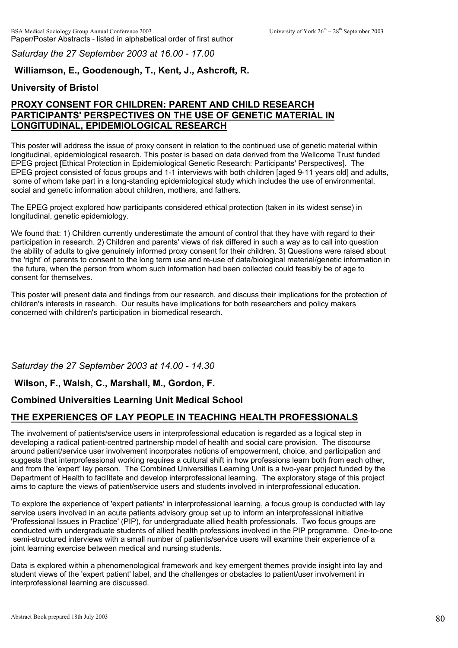*Saturday the 27 September 2003 at 16.00 - 17.00*

#### **Williamson, E., Goodenough, T., Kent, J., Ashcroft, R.**

#### **University of Bristol**

# **PROXY CONSENT FOR CHILDREN: PARENT AND CHILD RESEARCH PARTICIPANTS' PERSPECTIVES ON THE USE OF GENETIC MATERIAL IN LONGITUDINAL, EPIDEMIOLOGICAL RESEARCH**

This poster will address the issue of proxy consent in relation to the continued use of genetic material within longitudinal, epidemiological research. This poster is based on data derived from the Wellcome Trust funded EPEG project [Ethical Protection in Epidemiological Genetic Research: Participants' Perspectives]. The EPEG project consisted of focus groups and 1-1 interviews with both children [aged 9-11 years old] and adults, some of whom take part in a long-standing epidemiological study which includes the use of environmental, social and genetic information about children, mothers, and fathers.

The EPEG project explored how participants considered ethical protection (taken in its widest sense) in longitudinal, genetic epidemiology.

We found that: 1) Children currently underestimate the amount of control that they have with regard to their participation in research. 2) Children and parents' views of risk differed in such a way as to call into question the ability of adults to give genuinely informed proxy consent for their children. 3) Questions were raised about the 'right' of parents to consent to the long term use and re-use of data/biological material/genetic information in the future, when the person from whom such information had been collected could feasibly be of age to consent for themselves.

This poster will present data and findings from our research, and discuss their implications for the protection of children's interests in research. Our results have implications for both researchers and policy makers concerned with children's participation in biomedical research.

#### *Saturday the 27 September 2003 at 14.00 - 14.30*

#### **Wilson, F., Walsh, C., Marshall, M., Gordon, F.**

#### **Combined Universities Learning Unit Medical School**

#### **THE EXPERIENCES OF LAY PEOPLE IN TEACHING HEALTH PROFESSIONALS**

The involvement of patients/service users in interprofessional education is regarded as a logical step in developing a radical patient-centred partnership model of health and social care provision. The discourse around patient/service user involvement incorporates notions of empowerment, choice, and participation and suggests that interprofessional working requires a cultural shift in how professions learn both from each other, and from the 'expert' lay person. The Combined Universities Learning Unit is a two-year project funded by the Department of Health to facilitate and develop interprofessional learning. The exploratory stage of this project aims to capture the views of patient/service users and students involved in interprofessional education.

To explore the experience of 'expert patients' in interprofessional learning, a focus group is conducted with lay service users involved in an acute patients advisory group set up to inform an interprofessional initiative 'Professional Issues in Practice' (PIP), for undergraduate allied health professionals. Two focus groups are conducted with undergraduate students of allied health professions involved in the PIP programme. One-to-one semi-structured interviews with a small number of patients/service users will examine their experience of a joint learning exercise between medical and nursing students.

Data is explored within a phenomenological framework and key emergent themes provide insight into lay and student views of the 'expert patient' label, and the challenges or obstacles to patient/user involvement in interprofessional learning are discussed.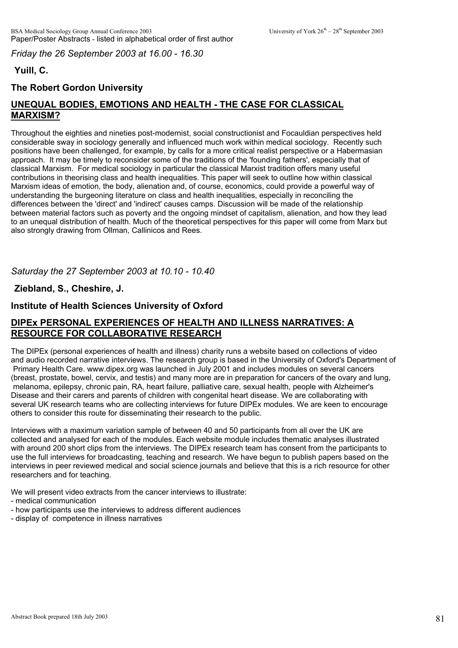*Friday the 26 September 2003 at 16.00 - 16.30*

# **Yuill, C.**

# **The Robert Gordon University**

# **UNEQUAL BODIES, EMOTIONS AND HEALTH - THE CASE FOR CLASSICAL MARXISM?**

Throughout the eighties and nineties post-modernist, social constructionist and Focauldian perspectives held considerable sway in sociology generally and influenced much work within medical sociology. Recently such positions have been challenged, for example, by calls for a more critical realist perspective or a Habermasian approach. It may be timely to reconsider some of the traditions of the 'founding fathers', especially that of classical Marxism. For medical sociology in particular the classical Marxist tradition offers many useful contributions in theorising class and health inequalities. This paper will seek to outline how within classical Marxism ideas of emotion, the body, alienation and, of course, economics, could provide a powerful way of understanding the burgeoning literature on class and health inequalities, especially in reconciling the differences between the 'direct' and 'indirect' causes camps. Discussion will be made of the relationship between material factors such as poverty and the ongoing mindset of capitalism, alienation, and how they lead to an unequal distribution of health. Much of the theoretical perspectives for this paper will come from Marx but also strongly drawing from Ollman, Callinicos and Rees.

*Saturday the 27 September 2003 at 10.10 - 10.40*

# **Ziebland, S., Cheshire, J.**

## **Institute of Health Sciences University of Oxford**

## **DIPEx PERSONAL EXPERIENCES OF HEALTH AND ILLNESS NARRATIVES: A RESOURCE FOR COLLABORATIVE RESEARCH**

The DIPEx (personal experiences of health and illness) charity runs a website based on collections of video and audio recorded narrative interviews. The research group is based in the University of Oxford's Department of Primary Health Care. www.dipex.org was launched in July 2001 and includes modules on several cancers (breast, prostate, bowel, cervix, and testis) and many more are in preparation for cancers of the ovary and lung, melanoma, epilepsy, chronic pain, RA, heart failure, palliative care, sexual health, people with Alzheimer's Disease and their carers and parents of children with congenital heart disease. We are collaborating with several UK research teams who are collecting interviews for future DIPEx modules. We are keen to encourage others to consider this route for disseminating their research to the public.

Interviews with a maximum variation sample of between 40 and 50 participants from all over the UK are collected and analysed for each of the modules. Each website module includes thematic analyses illustrated with around 200 short clips from the interviews. The DIPEx research team has consent from the participants to use the full interviews for broadcasting, teaching and research. We have begun to publish papers based on the interviews in peer reviewed medical and social science journals and believe that this is a rich resource for other researchers and for teaching.

We will present video extracts from the cancer interviews to illustrate:

- medical communication
- how participants use the interviews to address different audiences
- display of competence in illness narratives